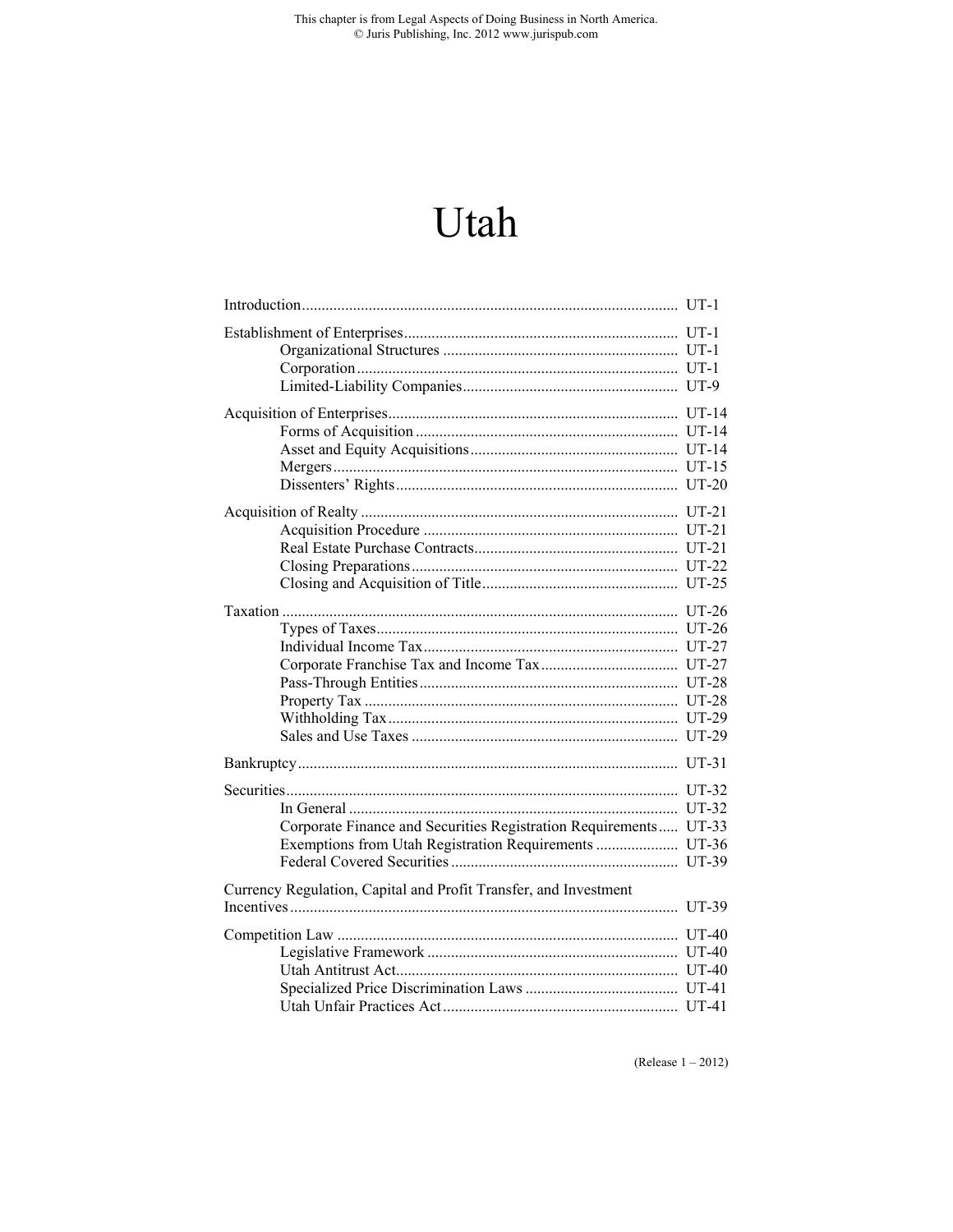This chapter is from Legal Aspects of Doing Business in North America.<br>  $\odot$  Juris Publishing, Inc. 2012 www.jurispub.com

# Utah

| Corporate Finance and Securities Registration Requirements UT-33 |  |  |  |  |
|------------------------------------------------------------------|--|--|--|--|
|                                                                  |  |  |  |  |
|                                                                  |  |  |  |  |
| Currency Regulation, Capital and Profit Transfer, and Investment |  |  |  |  |
|                                                                  |  |  |  |  |
|                                                                  |  |  |  |  |
|                                                                  |  |  |  |  |
|                                                                  |  |  |  |  |
|                                                                  |  |  |  |  |
|                                                                  |  |  |  |  |

(Release  $1 - 2012$ )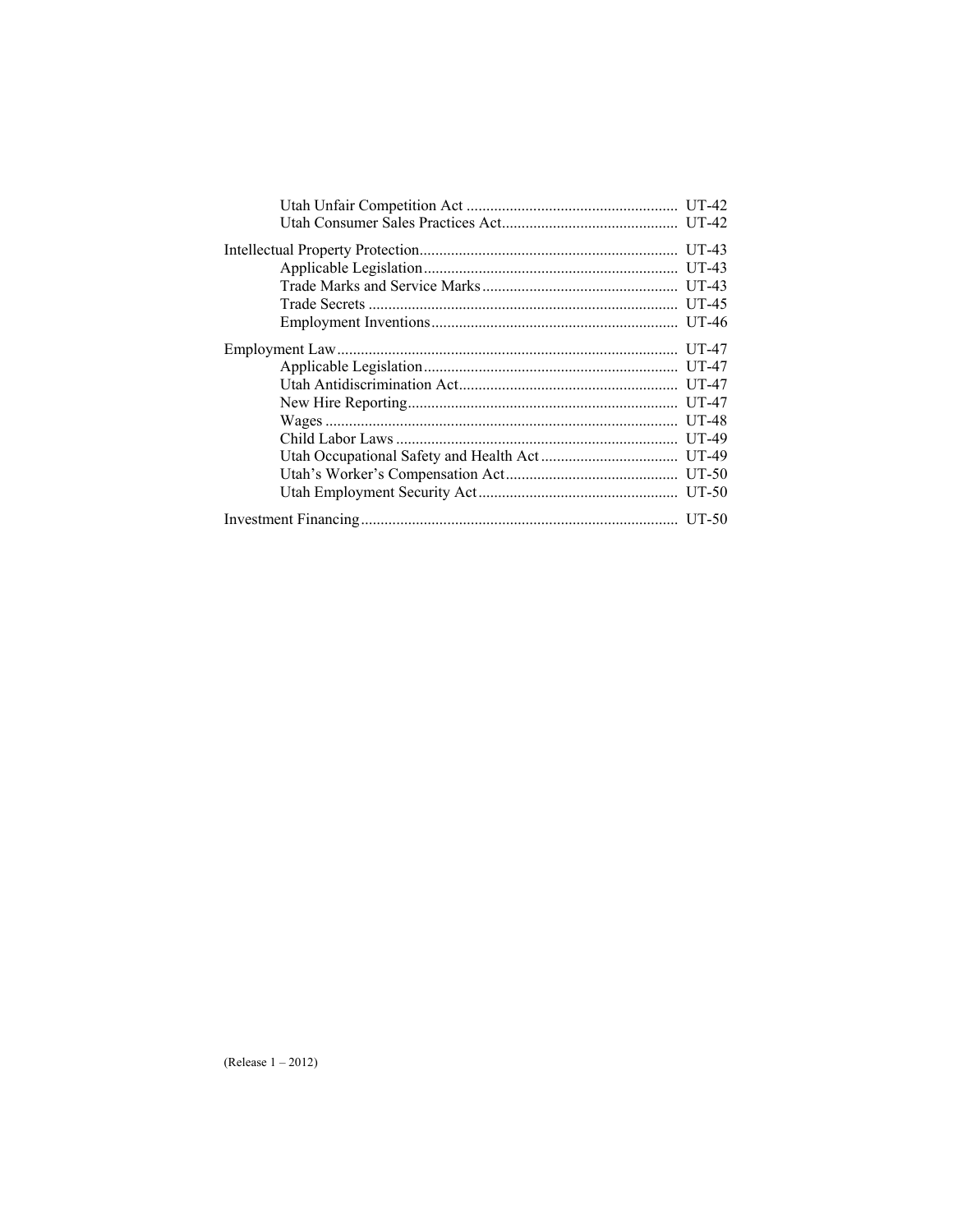|  | $UT-43$ |  |  |  |
|--|---------|--|--|--|
|  | $UT-45$ |  |  |  |
|  |         |  |  |  |
|  |         |  |  |  |
|  |         |  |  |  |
|  |         |  |  |  |
|  |         |  |  |  |
|  |         |  |  |  |
|  |         |  |  |  |
|  |         |  |  |  |
|  |         |  |  |  |
|  |         |  |  |  |
|  |         |  |  |  |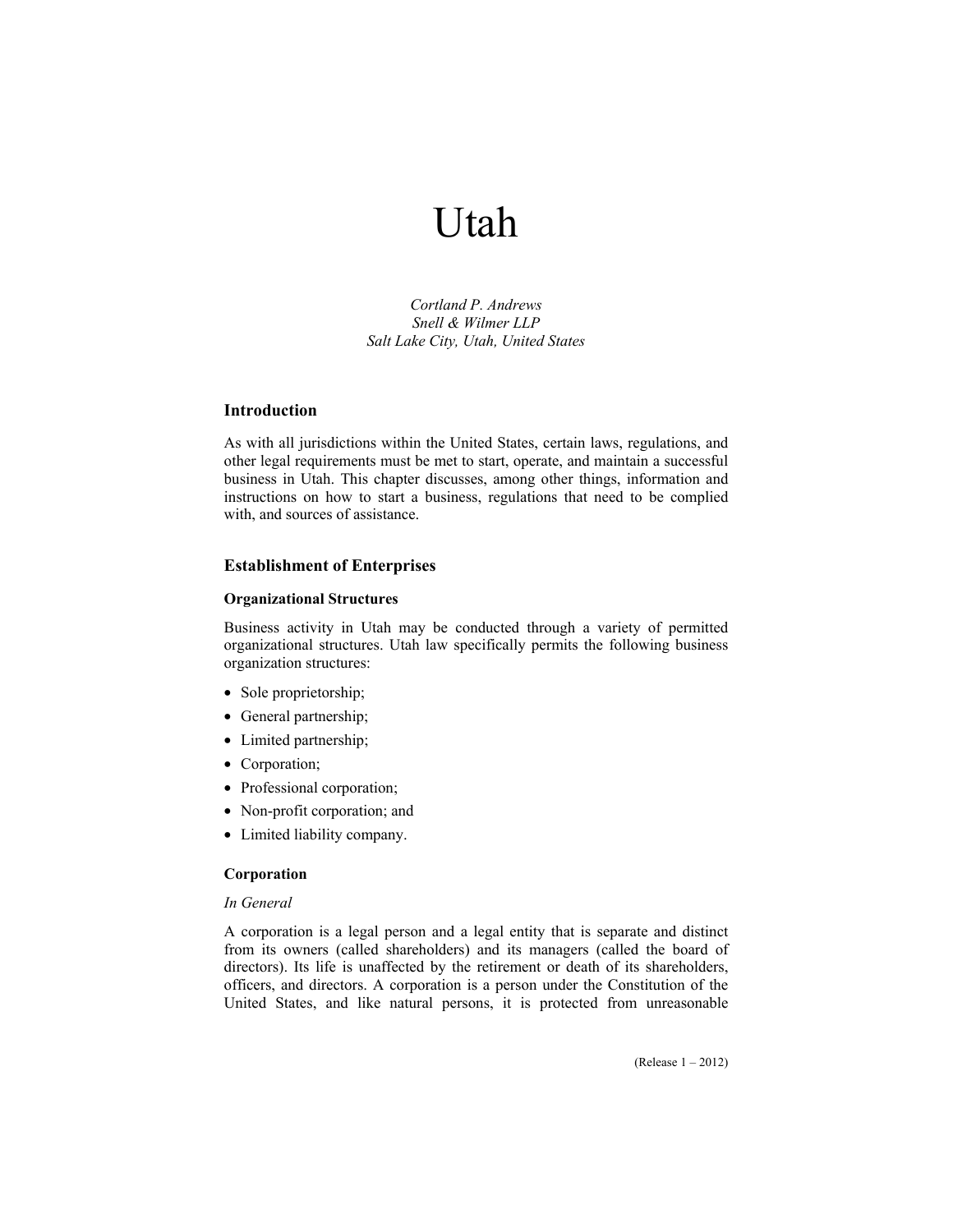# Utah

*Cortland P. Andrews Snell & Wilmer LLP Salt Lake City, Utah, United States* 

# **Introduction**

As with all jurisdictions within the United States, certain laws, regulations, and other legal requirements must be met to start, operate, and maintain a successful business in Utah. This chapter discusses, among other things, information and instructions on how to start a business, regulations that need to be complied with, and sources of assistance.

# **Establishment of Enterprises**

# **Organizational Structures**

Business activity in Utah may be conducted through a variety of permitted organizational structures. Utah law specifically permits the following business organization structures:

- Sole proprietorship;
- General partnership;
- Limited partnership;
- Corporation;
- Professional corporation;
- Non-profit corporation; and
- Limited liability company.

# **Corporation**

# *In General*

A corporation is a legal person and a legal entity that is separate and distinct from its owners (called shareholders) and its managers (called the board of directors). Its life is unaffected by the retirement or death of its shareholders, officers, and directors. A corporation is a person under the Constitution of the United States, and like natural persons, it is protected from unreasonable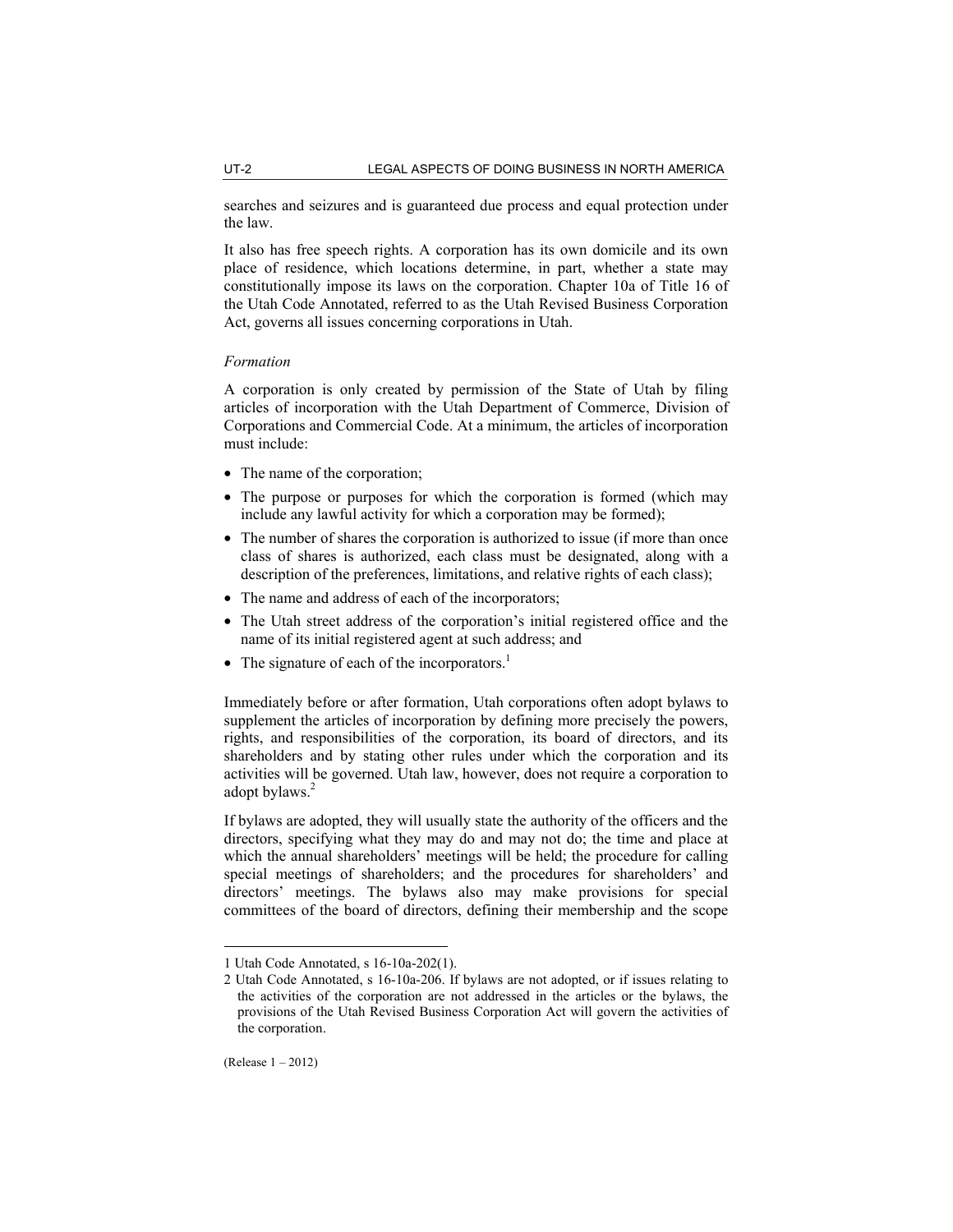searches and seizures and is guaranteed due process and equal protection under the law.

It also has free speech rights. A corporation has its own domicile and its own place of residence, which locations determine, in part, whether a state may constitutionally impose its laws on the corporation. Chapter 10a of Title 16 of the Utah Code Annotated, referred to as the Utah Revised Business Corporation Act, governs all issues concerning corporations in Utah.

## *Formation*

A corporation is only created by permission of the State of Utah by filing articles of incorporation with the Utah Department of Commerce, Division of Corporations and Commercial Code. At a minimum, the articles of incorporation must include:

- The name of the corporation;
- The purpose or purposes for which the corporation is formed (which may include any lawful activity for which a corporation may be formed);
- The number of shares the corporation is authorized to issue (if more than once class of shares is authorized, each class must be designated, along with a description of the preferences, limitations, and relative rights of each class);
- The name and address of each of the incorporators;
- The Utah street address of the corporation's initial registered office and the name of its initial registered agent at such address; and
- The signature of each of the incorporators.<sup>1</sup>

Immediately before or after formation, Utah corporations often adopt bylaws to supplement the articles of incorporation by defining more precisely the powers, rights, and responsibilities of the corporation, its board of directors, and its shareholders and by stating other rules under which the corporation and its activities will be governed. Utah law, however, does not require a corporation to adopt bylaws.<sup>2</sup>

If bylaws are adopted, they will usually state the authority of the officers and the directors, specifying what they may do and may not do; the time and place at which the annual shareholders' meetings will be held; the procedure for calling special meetings of shareholders; and the procedures for shareholders' and directors' meetings. The bylaws also may make provisions for special committees of the board of directors, defining their membership and the scope

<sup>1</sup> Utah Code Annotated, s 16-10a-202(1).

<sup>2</sup> Utah Code Annotated, s 16-10a-206. If bylaws are not adopted, or if issues relating to the activities of the corporation are not addressed in the articles or the bylaws, the provisions of the Utah Revised Business Corporation Act will govern the activities of the corporation.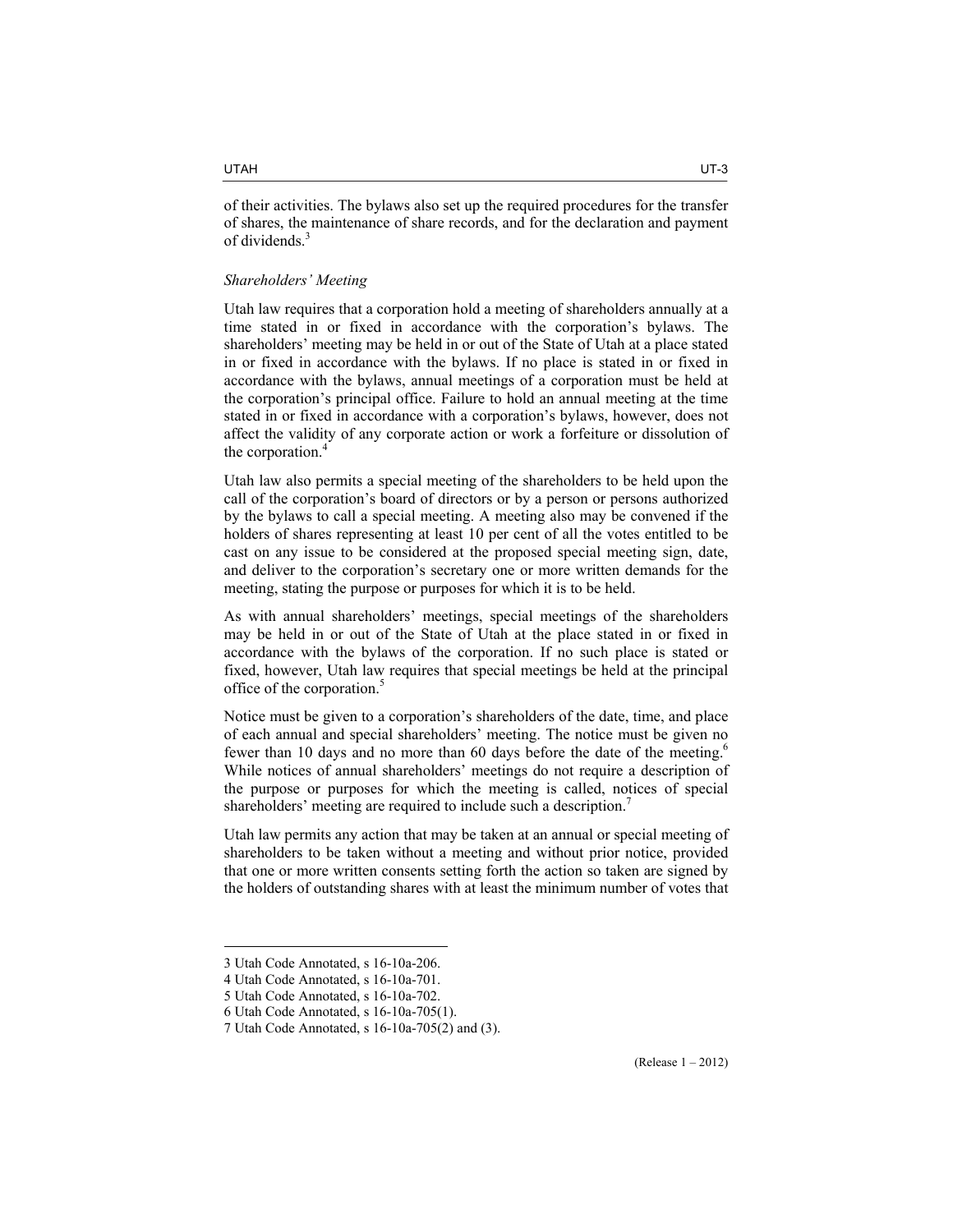of their activities. The bylaws also set up the required procedures for the transfer of shares, the maintenance of share records, and for the declaration and payment of dividends.<sup>3</sup>

# *Shareholders' Meeting*

Utah law requires that a corporation hold a meeting of shareholders annually at a time stated in or fixed in accordance with the corporation's bylaws. The shareholders' meeting may be held in or out of the State of Utah at a place stated in or fixed in accordance with the bylaws. If no place is stated in or fixed in accordance with the bylaws, annual meetings of a corporation must be held at the corporation's principal office. Failure to hold an annual meeting at the time stated in or fixed in accordance with a corporation's bylaws, however, does not affect the validity of any corporate action or work a forfeiture or dissolution of the corporation.<sup>4</sup>

Utah law also permits a special meeting of the shareholders to be held upon the call of the corporation's board of directors or by a person or persons authorized by the bylaws to call a special meeting. A meeting also may be convened if the holders of shares representing at least 10 per cent of all the votes entitled to be cast on any issue to be considered at the proposed special meeting sign, date, and deliver to the corporation's secretary one or more written demands for the meeting, stating the purpose or purposes for which it is to be held.

As with annual shareholders' meetings, special meetings of the shareholders may be held in or out of the State of Utah at the place stated in or fixed in accordance with the bylaws of the corporation. If no such place is stated or fixed, however, Utah law requires that special meetings be held at the principal office of the corporation.<sup>5</sup>

Notice must be given to a corporation's shareholders of the date, time, and place of each annual and special shareholders' meeting. The notice must be given no fewer than 10 days and no more than 60 days before the date of the meeting.<sup>6</sup> While notices of annual shareholders' meetings do not require a description of the purpose or purposes for which the meeting is called, notices of special shareholders' meeting are required to include such a description.<sup>7</sup>

Utah law permits any action that may be taken at an annual or special meeting of shareholders to be taken without a meeting and without prior notice, provided that one or more written consents setting forth the action so taken are signed by the holders of outstanding shares with at least the minimum number of votes that

 $\overline{a}$ 

(Release 1 – 2012)

<sup>3</sup> Utah Code Annotated, s 16-10a-206.

<sup>4</sup> Utah Code Annotated, s 16-10a-701.

<sup>5</sup> Utah Code Annotated, s 16-10a-702.

<sup>6</sup> Utah Code Annotated, s 16-10a-705(1).

<sup>7</sup> Utah Code Annotated, s 16-10a-705(2) and (3).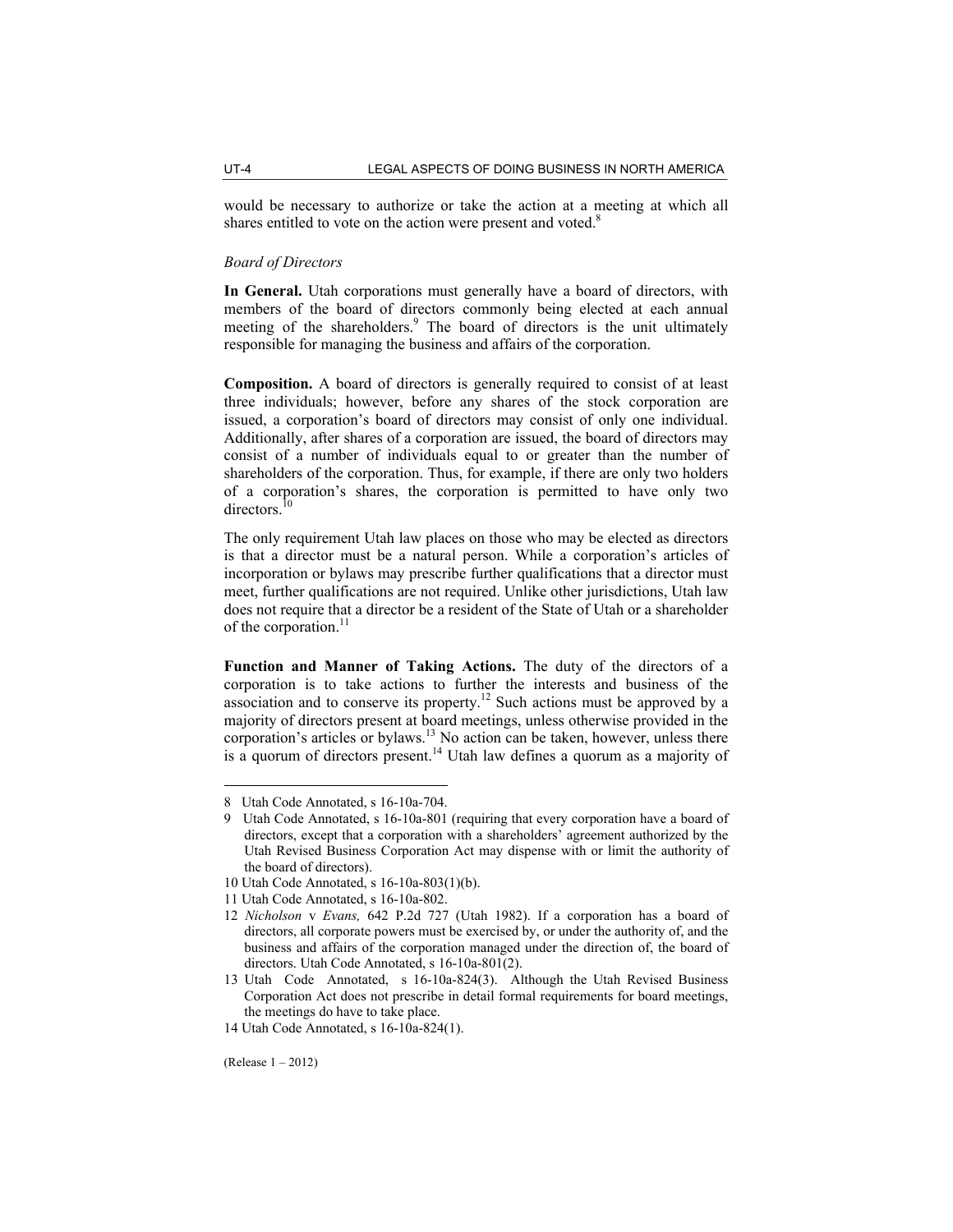would be necessary to authorize or take the action at a meeting at which all shares entitled to vote on the action were present and voted. $8$ 

#### *Board of Directors*

**In General.** Utah corporations must generally have a board of directors, with members of the board of directors commonly being elected at each annual meeting of the shareholders.<sup>9</sup> The board of directors is the unit ultimately responsible for managing the business and affairs of the corporation.

**Composition.** A board of directors is generally required to consist of at least three individuals; however, before any shares of the stock corporation are issued, a corporation's board of directors may consist of only one individual. Additionally, after shares of a corporation are issued, the board of directors may consist of a number of individuals equal to or greater than the number of shareholders of the corporation. Thus, for example, if there are only two holders of a corporation's shares, the corporation is permitted to have only two directors.<sup>10</sup>

The only requirement Utah law places on those who may be elected as directors is that a director must be a natural person. While a corporation's articles of incorporation or bylaws may prescribe further qualifications that a director must meet, further qualifications are not required. Unlike other jurisdictions, Utah law does not require that a director be a resident of the State of Utah or a shareholder of the corporation.<sup>11</sup>

**Function and Manner of Taking Actions.** The duty of the directors of a corporation is to take actions to further the interests and business of the association and to conserve its property.<sup>12</sup> Such actions must be approved by a majority of directors present at board meetings, unless otherwise provided in the corporation's articles or bylaws.<sup>13</sup> No action can be taken, however, unless there is a quorum of directors present.<sup>14</sup> Utah law defines a quorum as a majority of

(Release 1 – 2012)

<sup>8</sup> Utah Code Annotated, s 16-10a-704.

<sup>9</sup> Utah Code Annotated, s 16-10a-801 (requiring that every corporation have a board of directors, except that a corporation with a shareholders' agreement authorized by the Utah Revised Business Corporation Act may dispense with or limit the authority of the board of directors).

<sup>10</sup> Utah Code Annotated, s 16-10a-803(1)(b).

<sup>11</sup> Utah Code Annotated, s 16-10a-802.

<sup>12</sup> *Nicholson* v *Evans,* 642 P.2d 727 (Utah 1982). If a corporation has a board of directors, all corporate powers must be exercised by, or under the authority of, and the business and affairs of the corporation managed under the direction of, the board of directors. Utah Code Annotated, s 16-10a-801(2).

<sup>13</sup> Utah Code Annotated, s 16-10a-824(3). Although the Utah Revised Business Corporation Act does not prescribe in detail formal requirements for board meetings, the meetings do have to take place.

<sup>14</sup> Utah Code Annotated, s 16-10a-824(1).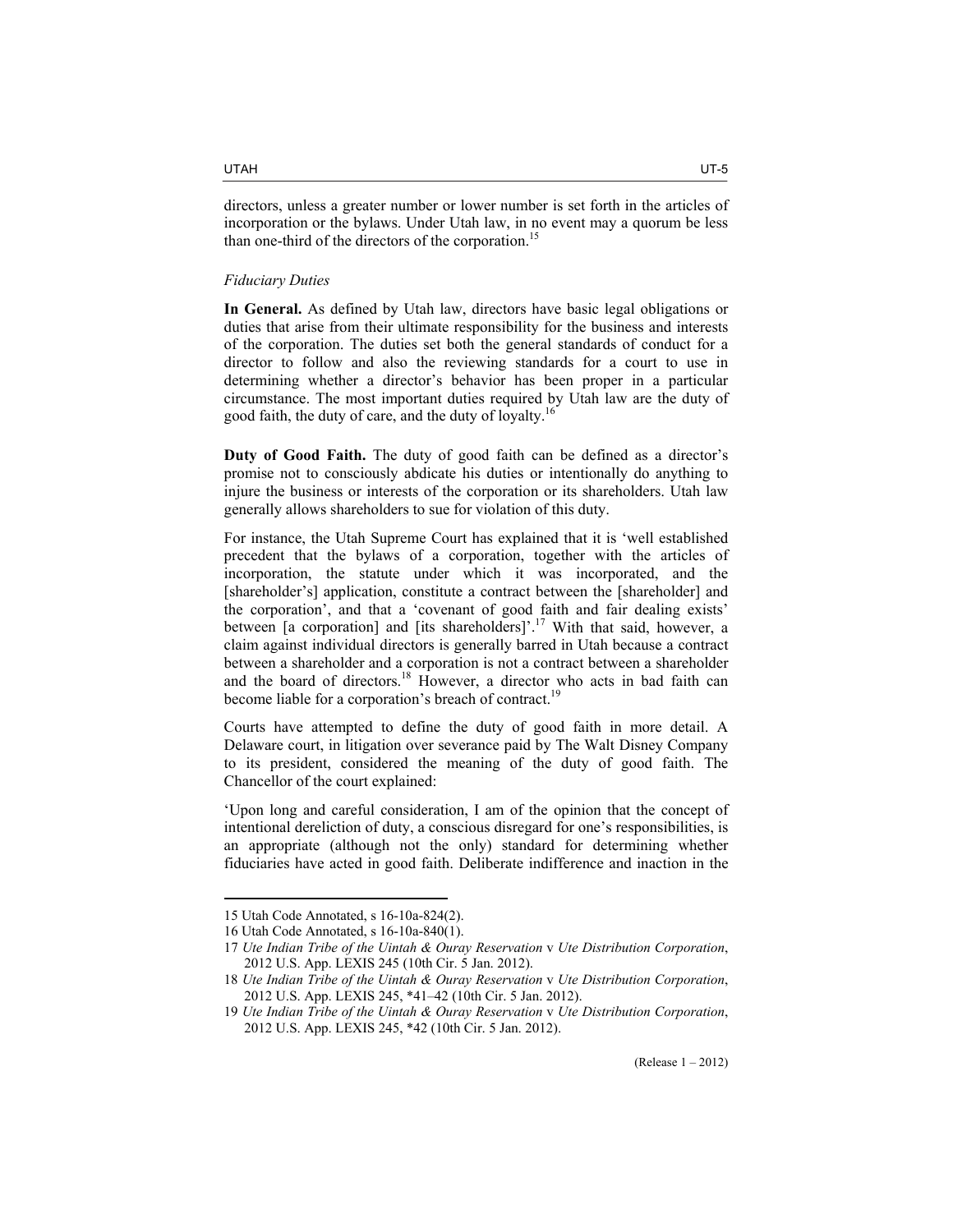directors, unless a greater number or lower number is set forth in the articles of incorporation or the bylaws. Under Utah law, in no event may a quorum be less than one-third of the directors of the corporation.<sup>15</sup>

### *Fiduciary Duties*

**In General.** As defined by Utah law, directors have basic legal obligations or duties that arise from their ultimate responsibility for the business and interests of the corporation. The duties set both the general standards of conduct for a director to follow and also the reviewing standards for a court to use in determining whether a director's behavior has been proper in a particular circumstance. The most important duties required by Utah law are the duty of good faith, the duty of care, and the duty of loyalty.<sup>16</sup>

**Duty of Good Faith.** The duty of good faith can be defined as a director's promise not to consciously abdicate his duties or intentionally do anything to injure the business or interests of the corporation or its shareholders. Utah law generally allows shareholders to sue for violation of this duty.

For instance, the Utah Supreme Court has explained that it is 'well established precedent that the bylaws of a corporation, together with the articles of incorporation, the statute under which it was incorporated, and the [shareholder's] application, constitute a contract between the [shareholder] and the corporation', and that a 'covenant of good faith and fair dealing exists' between [a corporation] and [its shareholders]'.<sup>17</sup> With that said, however, a claim against individual directors is generally barred in Utah because a contract between a shareholder and a corporation is not a contract between a shareholder and the board of directors.18 However, a director who acts in bad faith can become liable for a corporation's breach of contract.<sup>19</sup>

Courts have attempted to define the duty of good faith in more detail. A Delaware court, in litigation over severance paid by The Walt Disney Company to its president, considered the meaning of the duty of good faith. The Chancellor of the court explained:

'Upon long and careful consideration, I am of the opinion that the concept of intentional dereliction of duty, a conscious disregard for one's responsibilities, is an appropriate (although not the only) standard for determining whether fiduciaries have acted in good faith. Deliberate indifference and inaction in the

<sup>15</sup> Utah Code Annotated, s 16-10a-824(2).

<sup>16</sup> Utah Code Annotated, s 16-10a-840(1).

<sup>17</sup> *Ute Indian Tribe of the Uintah & Ouray Reservation* v *Ute Distribution Corporation*, 2012 U.S. App. LEXIS 245 (10th Cir. 5 Jan. 2012).

<sup>18</sup> *Ute Indian Tribe of the Uintah & Ouray Reservation* v *Ute Distribution Corporation*, 2012 U.S. App. LEXIS 245, \*41–42 (10th Cir. 5 Jan. 2012).

<sup>19</sup> *Ute Indian Tribe of the Uintah & Ouray Reservation* v *Ute Distribution Corporation*, 2012 U.S. App. LEXIS 245, \*42 (10th Cir. 5 Jan. 2012).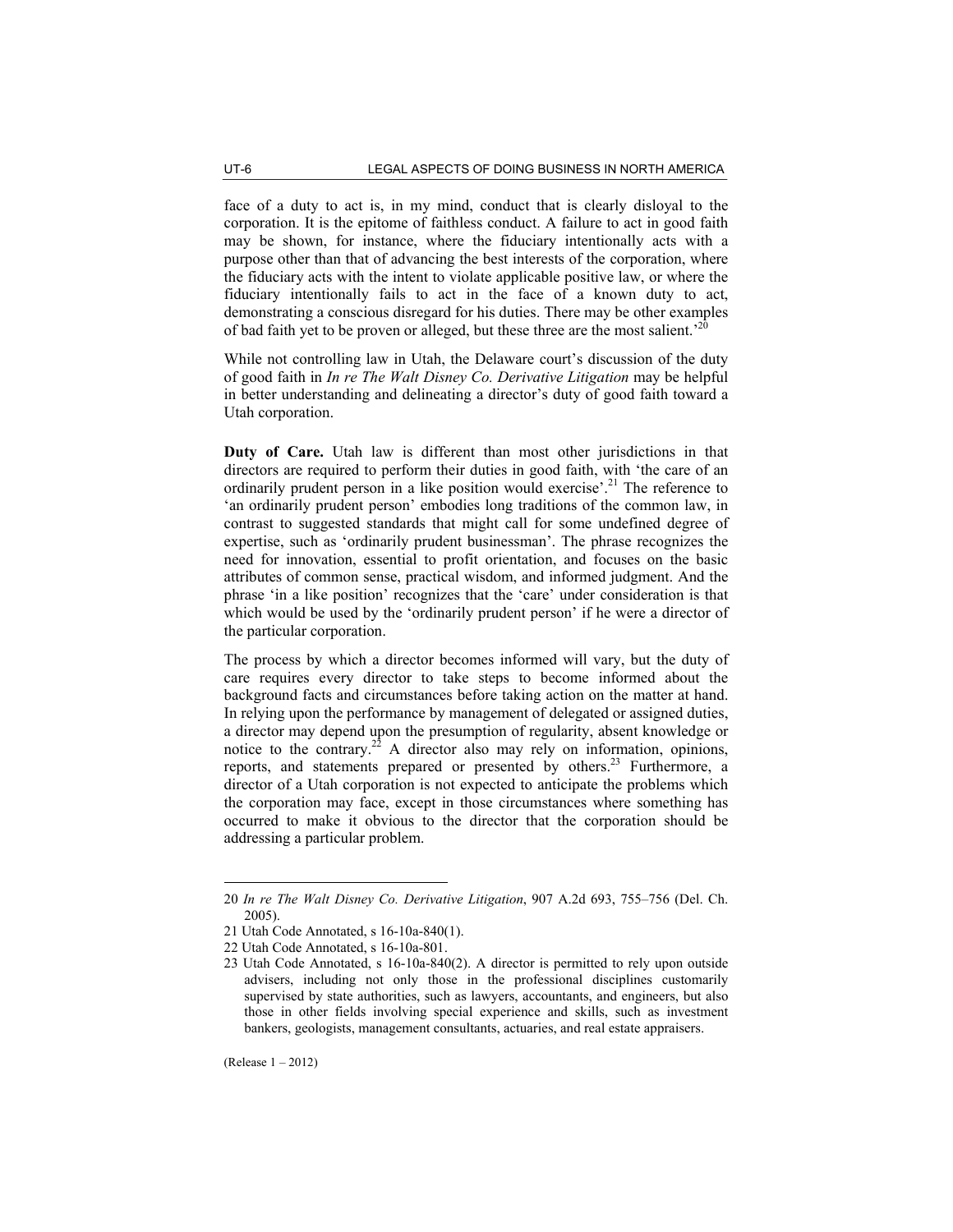face of a duty to act is, in my mind, conduct that is clearly disloyal to the corporation. It is the epitome of faithless conduct. A failure to act in good faith may be shown, for instance, where the fiduciary intentionally acts with a purpose other than that of advancing the best interests of the corporation, where the fiduciary acts with the intent to violate applicable positive law, or where the fiduciary intentionally fails to act in the face of a known duty to act, demonstrating a conscious disregard for his duties. There may be other examples of bad faith yet to be proven or alleged, but these three are the most salient.<sup>20</sup>

While not controlling law in Utah, the Delaware court's discussion of the duty of good faith in *In re The Walt Disney Co. Derivative Litigation* may be helpful in better understanding and delineating a director's duty of good faith toward a Utah corporation.

**Duty of Care.** Utah law is different than most other jurisdictions in that directors are required to perform their duties in good faith, with 'the care of an ordinarily prudent person in a like position would exercise'.<sup>21</sup> The reference to 'an ordinarily prudent person' embodies long traditions of the common law, in contrast to suggested standards that might call for some undefined degree of expertise, such as 'ordinarily prudent businessman'. The phrase recognizes the need for innovation, essential to profit orientation, and focuses on the basic attributes of common sense, practical wisdom, and informed judgment. And the phrase 'in a like position' recognizes that the 'care' under consideration is that which would be used by the 'ordinarily prudent person' if he were a director of the particular corporation.

The process by which a director becomes informed will vary, but the duty of care requires every director to take steps to become informed about the background facts and circumstances before taking action on the matter at hand. In relying upon the performance by management of delegated or assigned duties, a director may depend upon the presumption of regularity, absent knowledge or notice to the contrary.<sup>22</sup> A director also may rely on information, opinions, reports, and statements prepared or presented by others.<sup>23</sup> Furthermore, a director of a Utah corporation is not expected to anticipate the problems which the corporation may face, except in those circumstances where something has occurred to make it obvious to the director that the corporation should be addressing a particular problem.

<sup>20</sup> *In re The Walt Disney Co. Derivative Litigation*, 907 A.2d 693, 755–756 (Del. Ch. 2005).

<sup>21</sup> Utah Code Annotated, s 16-10a-840(1).

<sup>22</sup> Utah Code Annotated, s 16-10a-801.

<sup>23</sup> Utah Code Annotated, s 16-10a-840(2). A director is permitted to rely upon outside advisers, including not only those in the professional disciplines customarily supervised by state authorities, such as lawyers, accountants, and engineers, but also those in other fields involving special experience and skills, such as investment bankers, geologists, management consultants, actuaries, and real estate appraisers.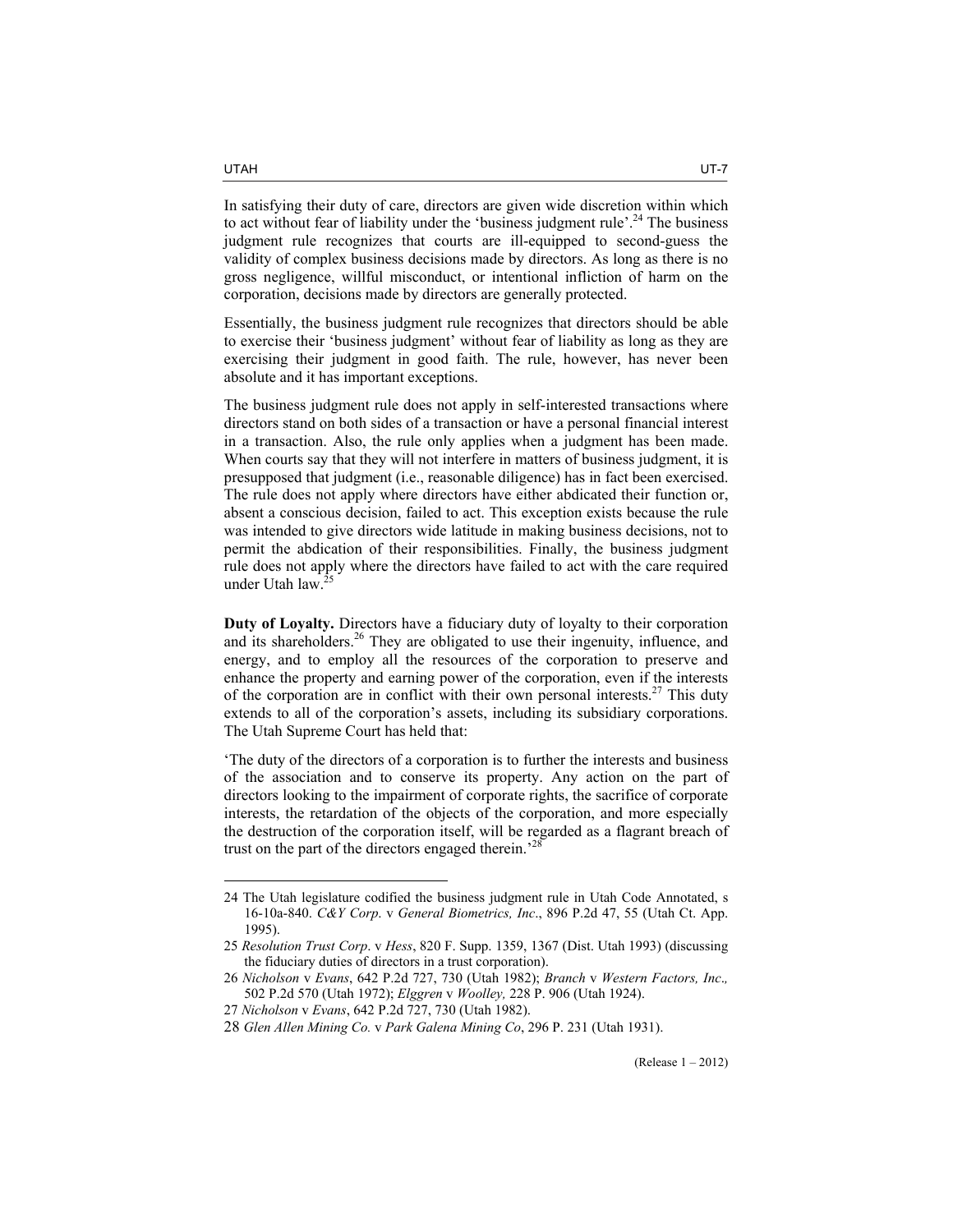In satisfying their duty of care, directors are given wide discretion within which to act without fear of liability under the 'business judgment rule'.<sup>24</sup> The business judgment rule recognizes that courts are ill-equipped to second-guess the validity of complex business decisions made by directors. As long as there is no gross negligence, willful misconduct, or intentional infliction of harm on the corporation, decisions made by directors are generally protected.

Essentially, the business judgment rule recognizes that directors should be able to exercise their 'business judgment' without fear of liability as long as they are exercising their judgment in good faith. The rule, however, has never been absolute and it has important exceptions.

The business judgment rule does not apply in self-interested transactions where directors stand on both sides of a transaction or have a personal financial interest in a transaction. Also, the rule only applies when a judgment has been made. When courts say that they will not interfere in matters of business judgment, it is presupposed that judgment (i.e., reasonable diligence) has in fact been exercised. The rule does not apply where directors have either abdicated their function or, absent a conscious decision, failed to act. This exception exists because the rule was intended to give directors wide latitude in making business decisions, not to permit the abdication of their responsibilities. Finally, the business judgment rule does not apply where the directors have failed to act with the care required under Utah law.

**Duty of Loyalty.** Directors have a fiduciary duty of loyalty to their corporation and its shareholders.<sup>26</sup> They are obligated to use their ingenuity, influence, and energy, and to employ all the resources of the corporation to preserve and enhance the property and earning power of the corporation, even if the interests of the corporation are in conflict with their own personal interests.<sup>27</sup> This duty extends to all of the corporation's assets, including its subsidiary corporations. The Utah Supreme Court has held that:

'The duty of the directors of a corporation is to further the interests and business of the association and to conserve its property. Any action on the part of directors looking to the impairment of corporate rights, the sacrifice of corporate interests, the retardation of the objects of the corporation, and more especially the destruction of the corporation itself, will be regarded as a flagrant breach of trust on the part of the directors engaged therein.'28

<sup>24</sup> The Utah legislature codified the business judgment rule in Utah Code Annotated, s 16-10a-840. *C&Y Corp*. v *General Biometrics, Inc*., 896 P.2d 47, 55 (Utah Ct. App. 1995).

<sup>25</sup> *Resolution Trust Corp*. v *Hess*, 820 F. Supp. 1359, 1367 (Dist. Utah 1993) (discussing the fiduciary duties of directors in a trust corporation).

<sup>26</sup> *Nicholson* v *Evans*, 642 P.2d 727, 730 (Utah 1982); *Branch* v *Western Factors, Inc*.*,* 502 P.2d 570 (Utah 1972); *Elggren* v *Woolley,* 228 P. 906 (Utah 1924).

<sup>27</sup> *Nicholson* v *Evans*, 642 P.2d 727, 730 (Utah 1982).

<sup>28</sup> *Glen Allen Mining Co.* v *Park Galena Mining Co*, 296 P. 231 (Utah 1931).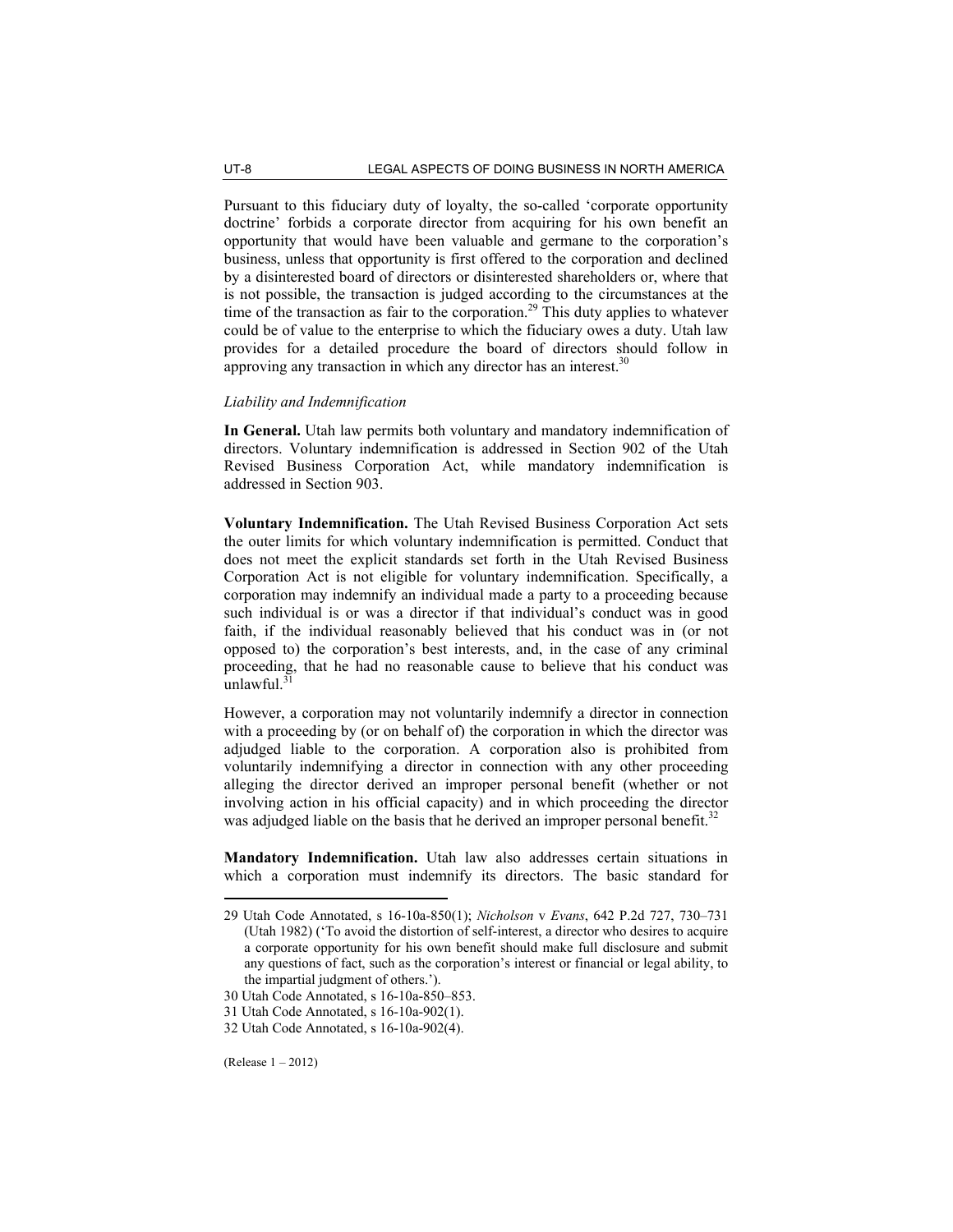Pursuant to this fiduciary duty of loyalty, the so-called 'corporate opportunity doctrine' forbids a corporate director from acquiring for his own benefit an opportunity that would have been valuable and germane to the corporation's business, unless that opportunity is first offered to the corporation and declined by a disinterested board of directors or disinterested shareholders or, where that is not possible, the transaction is judged according to the circumstances at the time of the transaction as fair to the corporation.<sup>29</sup> This duty applies to whatever could be of value to the enterprise to which the fiduciary owes a duty. Utah law provides for a detailed procedure the board of directors should follow in approving any transaction in which any director has an interest.<sup>30</sup>

# *Liability and Indemnification*

**In General.** Utah law permits both voluntary and mandatory indemnification of directors. Voluntary indemnification is addressed in Section 902 of the Utah Revised Business Corporation Act, while mandatory indemnification is addressed in Section 903.

**Voluntary Indemnification.** The Utah Revised Business Corporation Act sets the outer limits for which voluntary indemnification is permitted. Conduct that does not meet the explicit standards set forth in the Utah Revised Business Corporation Act is not eligible for voluntary indemnification. Specifically, a corporation may indemnify an individual made a party to a proceeding because such individual is or was a director if that individual's conduct was in good faith, if the individual reasonably believed that his conduct was in (or not opposed to) the corporation's best interests, and, in the case of any criminal proceeding, that he had no reasonable cause to believe that his conduct was unlawful. $3$ 

However, a corporation may not voluntarily indemnify a director in connection with a proceeding by (or on behalf of) the corporation in which the director was adjudged liable to the corporation. A corporation also is prohibited from voluntarily indemnifying a director in connection with any other proceeding alleging the director derived an improper personal benefit (whether or not involving action in his official capacity) and in which proceeding the director was adjudged liable on the basis that he derived an improper personal benefit.<sup>32</sup>

**Mandatory Indemnification.** Utah law also addresses certain situations in which a corporation must indemnify its directors. The basic standard for

<sup>29</sup> Utah Code Annotated, s 16-10a-850(1); *Nicholson* v *Evans*, 642 P.2d 727, 730–731 (Utah 1982) ('To avoid the distortion of self-interest, a director who desires to acquire a corporate opportunity for his own benefit should make full disclosure and submit any questions of fact, such as the corporation's interest or financial or legal ability, to the impartial judgment of others.').

<sup>30</sup> Utah Code Annotated, s 16-10a-850–853.

<sup>31</sup> Utah Code Annotated, s 16-10a-902(1).

<sup>32</sup> Utah Code Annotated, s 16-10a-902(4).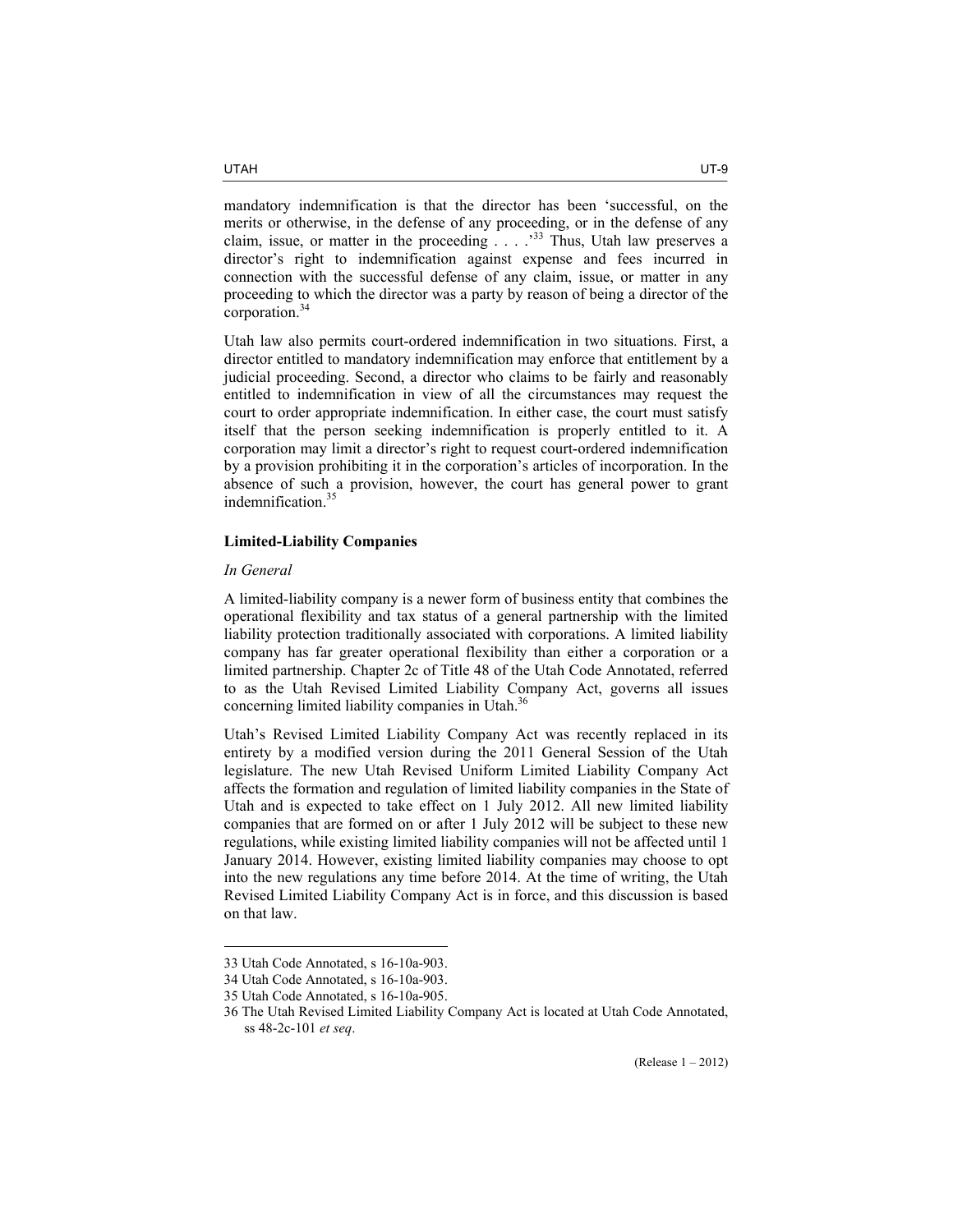mandatory indemnification is that the director has been 'successful, on the merits or otherwise, in the defense of any proceeding, or in the defense of any claim, issue, or matter in the proceeding  $\ldots$   $\frac{33}{10}$  Thus, Utah law preserves a director's right to indemnification against expense and fees incurred in connection with the successful defense of any claim, issue, or matter in any proceeding to which the director was a party by reason of being a director of the corporation.<sup>34</sup>

Utah law also permits court-ordered indemnification in two situations. First, a director entitled to mandatory indemnification may enforce that entitlement by a judicial proceeding. Second, a director who claims to be fairly and reasonably entitled to indemnification in view of all the circumstances may request the court to order appropriate indemnification. In either case, the court must satisfy itself that the person seeking indemnification is properly entitled to it. A corporation may limit a director's right to request court-ordered indemnification by a provision prohibiting it in the corporation's articles of incorporation. In the absence of such a provision, however, the court has general power to grant indemnification.<sup>35</sup>

# **Limited-Liability Companies**

# *In General*

 $\overline{a}$ 

A limited-liability company is a newer form of business entity that combines the operational flexibility and tax status of a general partnership with the limited liability protection traditionally associated with corporations. A limited liability company has far greater operational flexibility than either a corporation or a limited partnership. Chapter 2c of Title 48 of the Utah Code Annotated, referred to as the Utah Revised Limited Liability Company Act, governs all issues concerning limited liability companies in Utah.<sup>36</sup>

Utah's Revised Limited Liability Company Act was recently replaced in its entirety by a modified version during the 2011 General Session of the Utah legislature. The new Utah Revised Uniform Limited Liability Company Act affects the formation and regulation of limited liability companies in the State of Utah and is expected to take effect on 1 July 2012. All new limited liability companies that are formed on or after 1 July 2012 will be subject to these new regulations, while existing limited liability companies will not be affected until 1 January 2014. However, existing limited liability companies may choose to opt into the new regulations any time before 2014. At the time of writing, the Utah Revised Limited Liability Company Act is in force, and this discussion is based on that law.

<sup>33</sup> Utah Code Annotated, s 16-10a-903.

<sup>34</sup> Utah Code Annotated, s 16-10a-903.

<sup>35</sup> Utah Code Annotated, s 16-10a-905.

<sup>36</sup> The Utah Revised Limited Liability Company Act is located at Utah Code Annotated, ss 48-2c-101 *et seq*.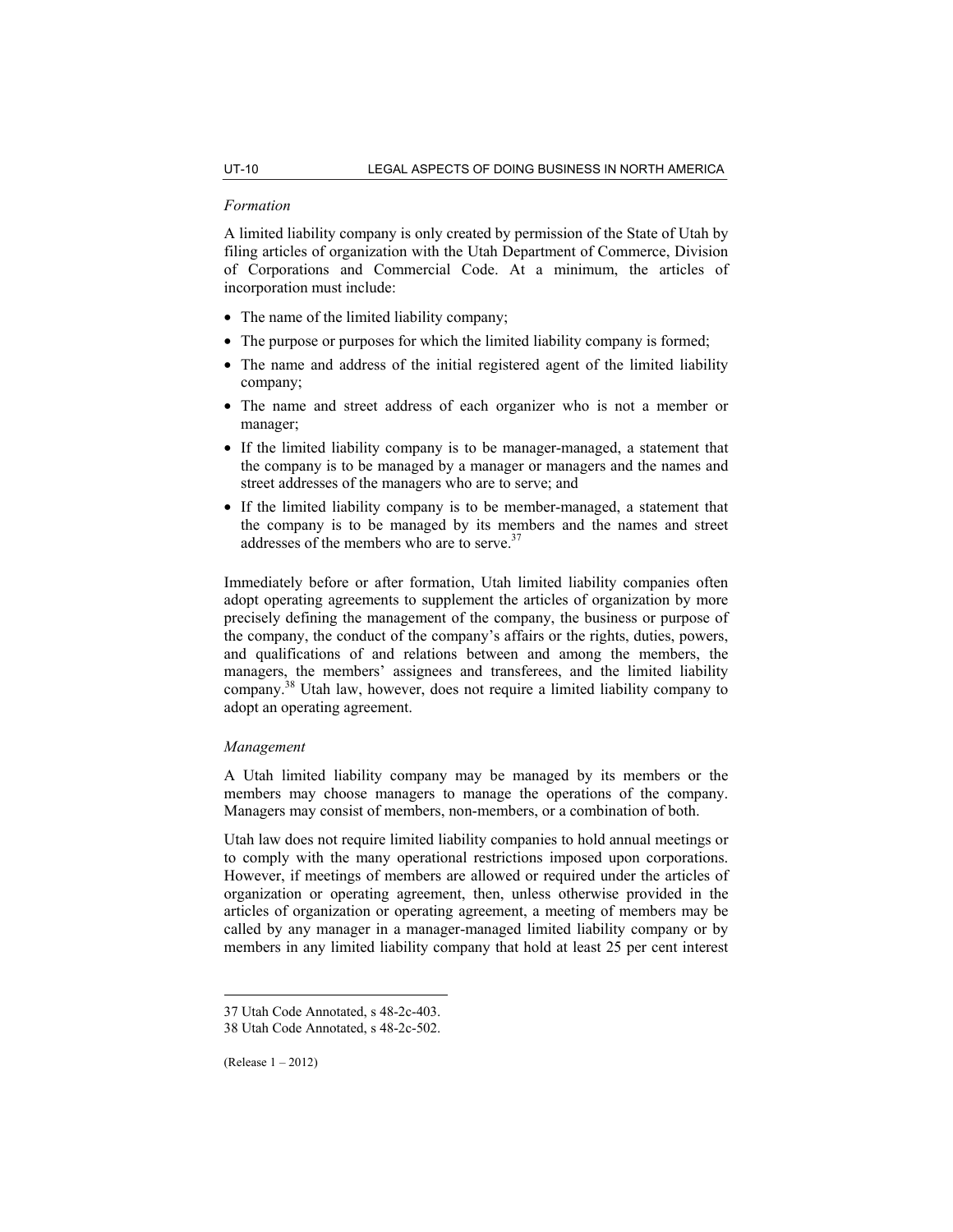#### *Formation*

A limited liability company is only created by permission of the State of Utah by filing articles of organization with the Utah Department of Commerce, Division of Corporations and Commercial Code. At a minimum, the articles of incorporation must include:

- The name of the limited liability company;
- The purpose or purposes for which the limited liability company is formed;
- The name and address of the initial registered agent of the limited liability company;
- The name and street address of each organizer who is not a member or manager;
- If the limited liability company is to be manager-managed, a statement that the company is to be managed by a manager or managers and the names and street addresses of the managers who are to serve; and
- If the limited liability company is to be member-managed, a statement that the company is to be managed by its members and the names and street addresses of the members who are to serve.  $37$

Immediately before or after formation, Utah limited liability companies often adopt operating agreements to supplement the articles of organization by more precisely defining the management of the company, the business or purpose of the company, the conduct of the company's affairs or the rights, duties, powers, and qualifications of and relations between and among the members, the managers, the members' assignees and transferees, and the limited liability company.38 Utah law, however, does not require a limited liability company to adopt an operating agreement.

# *Management*

A Utah limited liability company may be managed by its members or the members may choose managers to manage the operations of the company. Managers may consist of members, non-members, or a combination of both.

Utah law does not require limited liability companies to hold annual meetings or to comply with the many operational restrictions imposed upon corporations. However, if meetings of members are allowed or required under the articles of organization or operating agreement, then, unless otherwise provided in the articles of organization or operating agreement, a meeting of members may be called by any manager in a manager-managed limited liability company or by members in any limited liability company that hold at least 25 per cent interest

<sup>37</sup> Utah Code Annotated, s 48-2c-403.

<sup>38</sup> Utah Code Annotated, s 48-2c-502.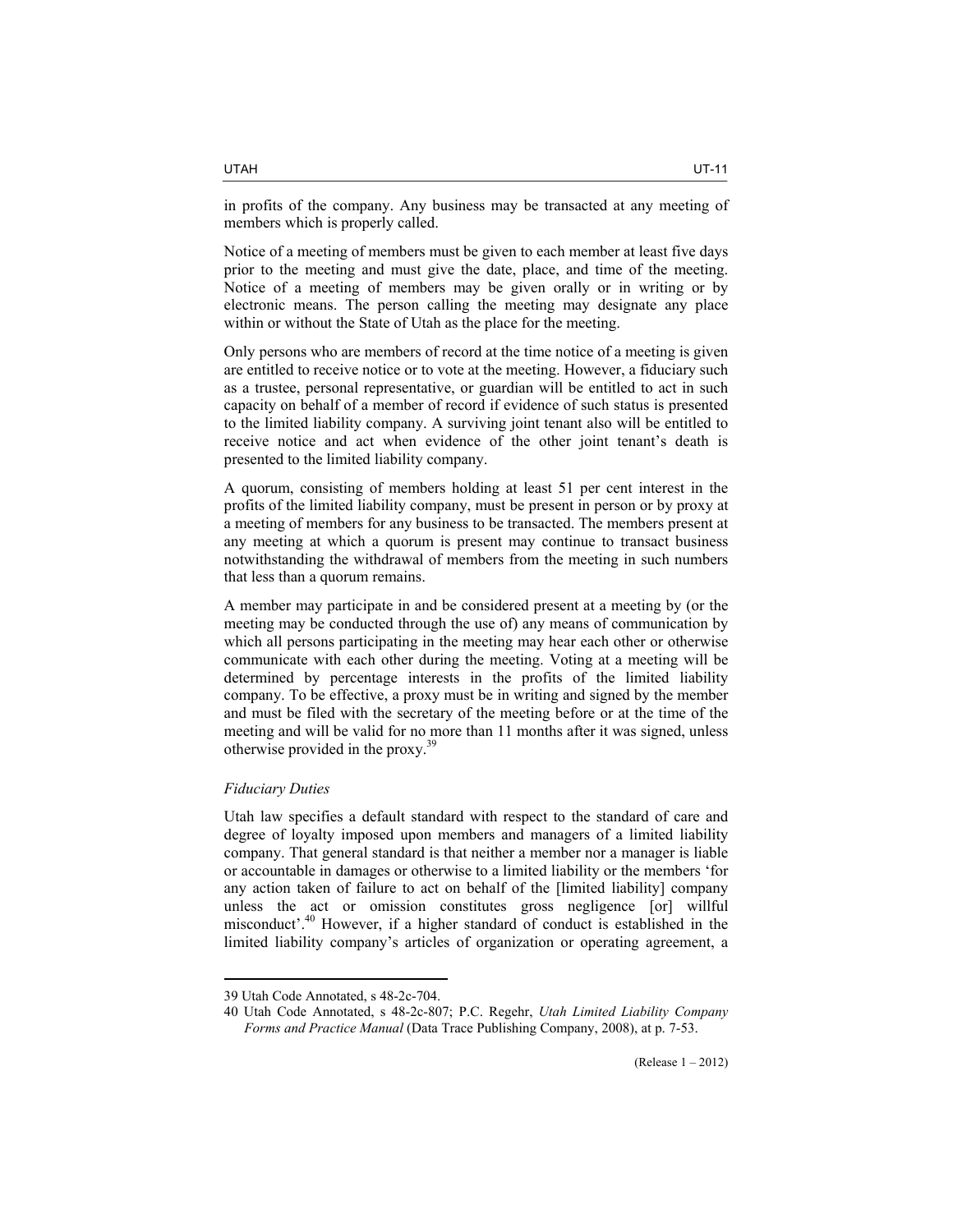in profits of the company. Any business may be transacted at any meeting of members which is properly called.

Notice of a meeting of members must be given to each member at least five days prior to the meeting and must give the date, place, and time of the meeting. Notice of a meeting of members may be given orally or in writing or by electronic means. The person calling the meeting may designate any place within or without the State of Utah as the place for the meeting.

Only persons who are members of record at the time notice of a meeting is given are entitled to receive notice or to vote at the meeting. However, a fiduciary such as a trustee, personal representative, or guardian will be entitled to act in such capacity on behalf of a member of record if evidence of such status is presented to the limited liability company. A surviving joint tenant also will be entitled to receive notice and act when evidence of the other joint tenant's death is presented to the limited liability company.

A quorum, consisting of members holding at least 51 per cent interest in the profits of the limited liability company, must be present in person or by proxy at a meeting of members for any business to be transacted. The members present at any meeting at which a quorum is present may continue to transact business notwithstanding the withdrawal of members from the meeting in such numbers that less than a quorum remains.

A member may participate in and be considered present at a meeting by (or the meeting may be conducted through the use of) any means of communication by which all persons participating in the meeting may hear each other or otherwise communicate with each other during the meeting. Voting at a meeting will be determined by percentage interests in the profits of the limited liability company. To be effective, a proxy must be in writing and signed by the member and must be filed with the secretary of the meeting before or at the time of the meeting and will be valid for no more than 11 months after it was signed, unless otherwise provided in the proxy.<sup>39</sup>

## *Fiduciary Duties*

 $\overline{a}$ 

Utah law specifies a default standard with respect to the standard of care and degree of loyalty imposed upon members and managers of a limited liability company. That general standard is that neither a member nor a manager is liable or accountable in damages or otherwise to a limited liability or the members 'for any action taken of failure to act on behalf of the [limited liability] company unless the act or omission constitutes gross negligence [or] willful misconduct'.40 However, if a higher standard of conduct is established in the limited liability company's articles of organization or operating agreement, a

<sup>39</sup> Utah Code Annotated, s 48-2c-704.

<sup>40</sup> Utah Code Annotated, s 48-2c-807; P.C. Regehr, *Utah Limited Liability Company Forms and Practice Manual* (Data Trace Publishing Company, 2008), at p. 7-53.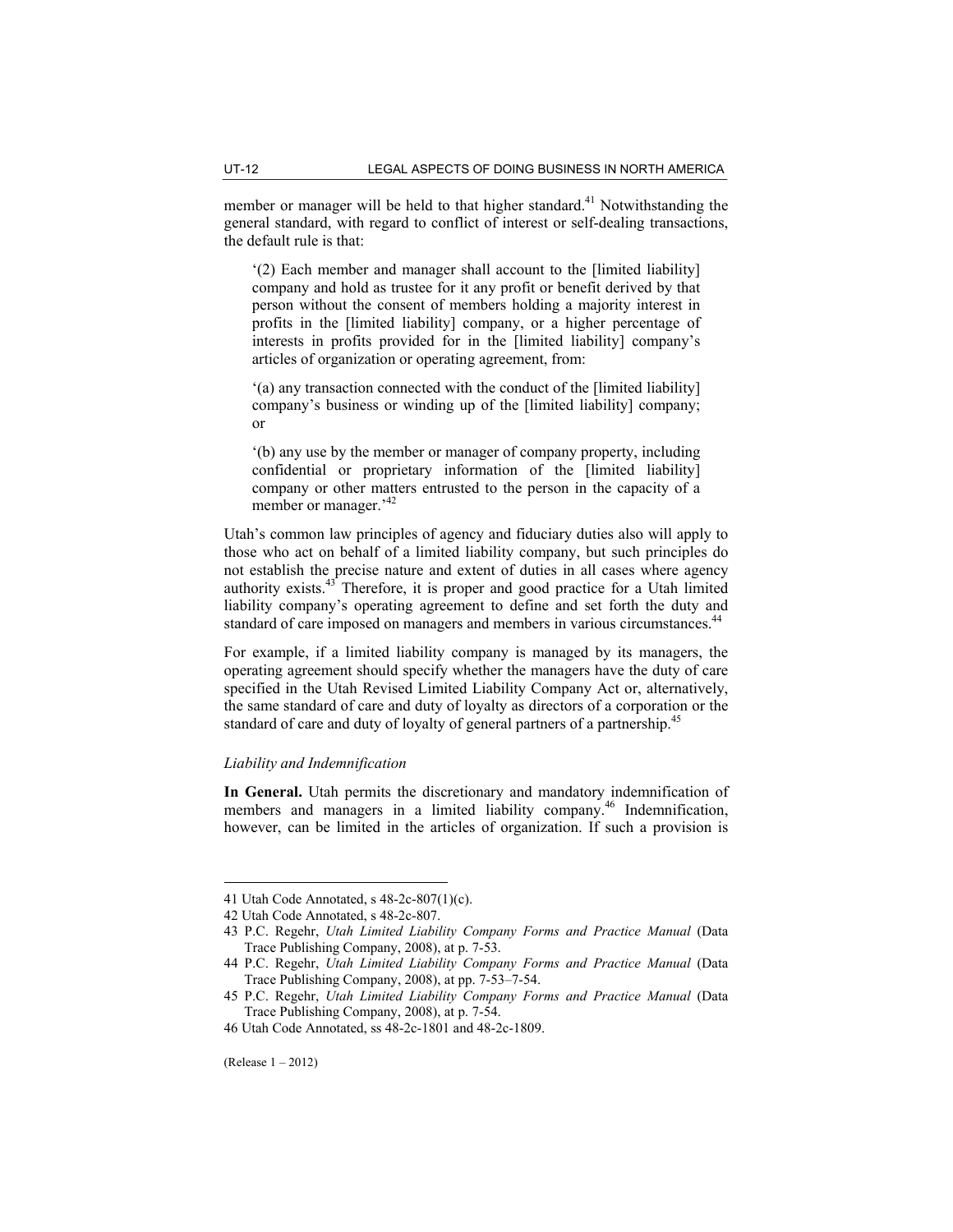member or manager will be held to that higher standard.<sup>41</sup> Notwithstanding the general standard, with regard to conflict of interest or self-dealing transactions, the default rule is that:

'(2) Each member and manager shall account to the [limited liability] company and hold as trustee for it any profit or benefit derived by that person without the consent of members holding a majority interest in profits in the [limited liability] company, or a higher percentage of interests in profits provided for in the [limited liability] company's articles of organization or operating agreement, from:

'(a) any transaction connected with the conduct of the [limited liability] company's business or winding up of the [limited liability] company; or

'(b) any use by the member or manager of company property, including confidential or proprietary information of the [limited liability] company or other matters entrusted to the person in the capacity of a member or manager.<sup>'42</sup>

Utah's common law principles of agency and fiduciary duties also will apply to those who act on behalf of a limited liability company, but such principles do not establish the precise nature and extent of duties in all cases where agency authority exists.<sup>43</sup> Therefore, it is proper and good practice for a Utah limited liability company's operating agreement to define and set forth the duty and standard of care imposed on managers and members in various circumstances.<sup>44</sup>

For example, if a limited liability company is managed by its managers, the operating agreement should specify whether the managers have the duty of care specified in the Utah Revised Limited Liability Company Act or, alternatively, the same standard of care and duty of loyalty as directors of a corporation or the standard of care and duty of loyalty of general partners of a partnership.<sup>45</sup>

# *Liability and Indemnification*

**In General.** Utah permits the discretionary and mandatory indemnification of members and managers in a limited liability company.<sup>46</sup> Indemnification, however, can be limited in the articles of organization. If such a provision is

<sup>41</sup> Utah Code Annotated, s 48-2c-807(1)(c).

<sup>42</sup> Utah Code Annotated, s 48-2c-807.

<sup>43</sup> P.C. Regehr, *Utah Limited Liability Company Forms and Practice Manual* (Data Trace Publishing Company, 2008), at p. 7-53.

<sup>44</sup> P.C. Regehr, *Utah Limited Liability Company Forms and Practice Manual* (Data Trace Publishing Company, 2008), at pp. 7-53–7-54.

<sup>45</sup> P.C. Regehr, *Utah Limited Liability Company Forms and Practice Manual* (Data Trace Publishing Company, 2008), at p. 7-54.

<sup>46</sup> Utah Code Annotated, ss 48-2c-1801 and 48-2c-1809.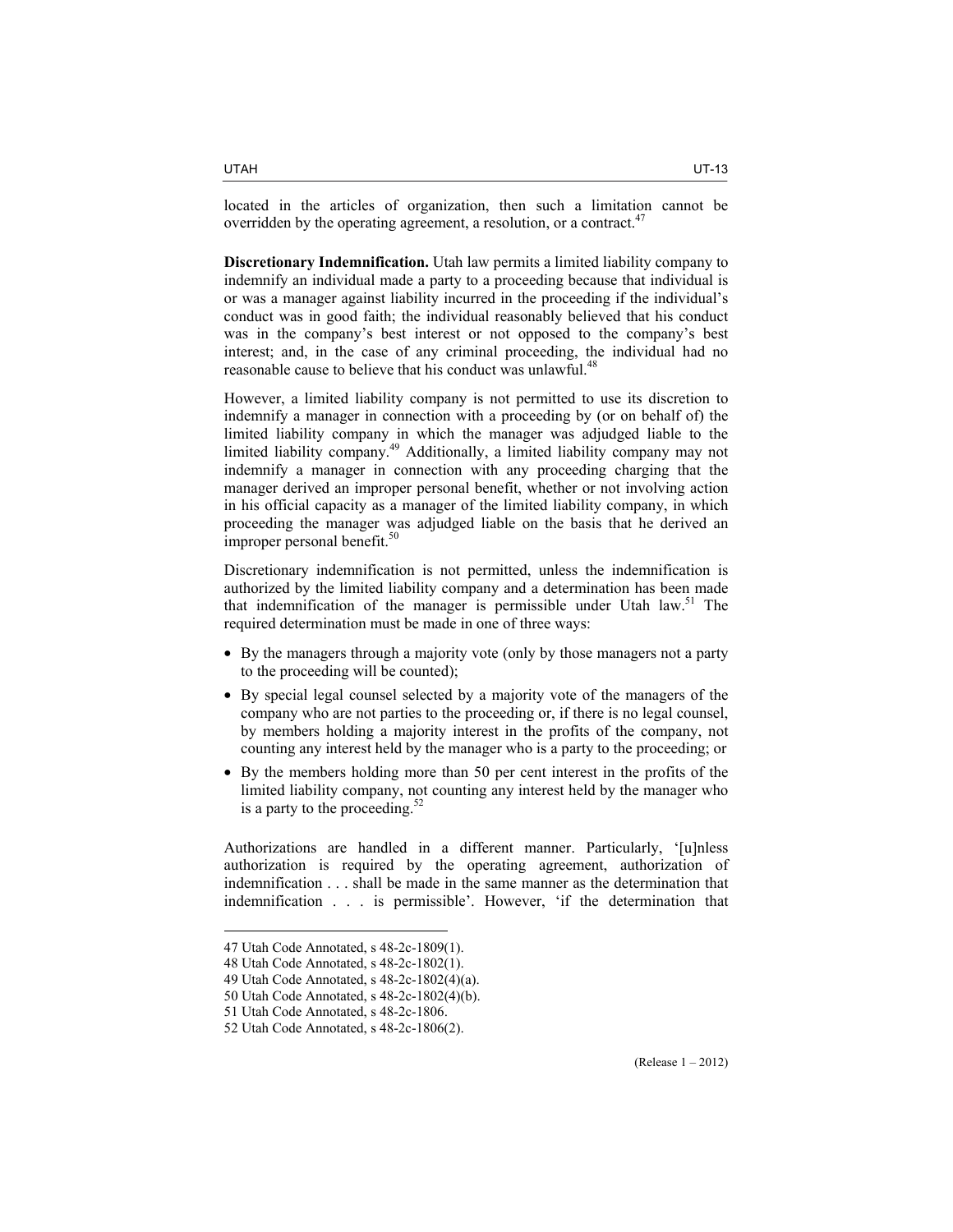located in the articles of organization, then such a limitation cannot be overridden by the operating agreement, a resolution, or a contract.<sup>47</sup>

**Discretionary Indemnification.** Utah law permits a limited liability company to indemnify an individual made a party to a proceeding because that individual is or was a manager against liability incurred in the proceeding if the individual's conduct was in good faith; the individual reasonably believed that his conduct was in the company's best interest or not opposed to the company's best interest; and, in the case of any criminal proceeding, the individual had no reasonable cause to believe that his conduct was unlawful.<sup>4</sup>

However, a limited liability company is not permitted to use its discretion to indemnify a manager in connection with a proceeding by (or on behalf of) the limited liability company in which the manager was adjudged liable to the limited liability company.49 Additionally, a limited liability company may not indemnify a manager in connection with any proceeding charging that the manager derived an improper personal benefit, whether or not involving action in his official capacity as a manager of the limited liability company, in which proceeding the manager was adjudged liable on the basis that he derived an improper personal benefit.<sup>50</sup>

Discretionary indemnification is not permitted, unless the indemnification is authorized by the limited liability company and a determination has been made that indemnification of the manager is permissible under Utah law.<sup>51</sup> The required determination must be made in one of three ways:

- By the managers through a majority vote (only by those managers not a party to the proceeding will be counted);
- By special legal counsel selected by a majority vote of the managers of the company who are not parties to the proceeding or, if there is no legal counsel, by members holding a majority interest in the profits of the company, not counting any interest held by the manager who is a party to the proceeding; or
- By the members holding more than 50 per cent interest in the profits of the limited liability company, not counting any interest held by the manager who is a party to the proceeding. $52$

Authorizations are handled in a different manner. Particularly, '[u]nless authorization is required by the operating agreement, authorization of indemnification . . . shall be made in the same manner as the determination that indemnification . . . is permissible'. However, 'if the determination that

<sup>47</sup> Utah Code Annotated, s 48-2c-1809(1).

<sup>48</sup> Utah Code Annotated, s 48-2c-1802(1).

<sup>49</sup> Utah Code Annotated, s 48-2c-1802(4)(a).

<sup>50</sup> Utah Code Annotated, s 48-2c-1802(4)(b).

<sup>51</sup> Utah Code Annotated, s 48-2c-1806.

<sup>52</sup> Utah Code Annotated, s 48-2c-1806(2).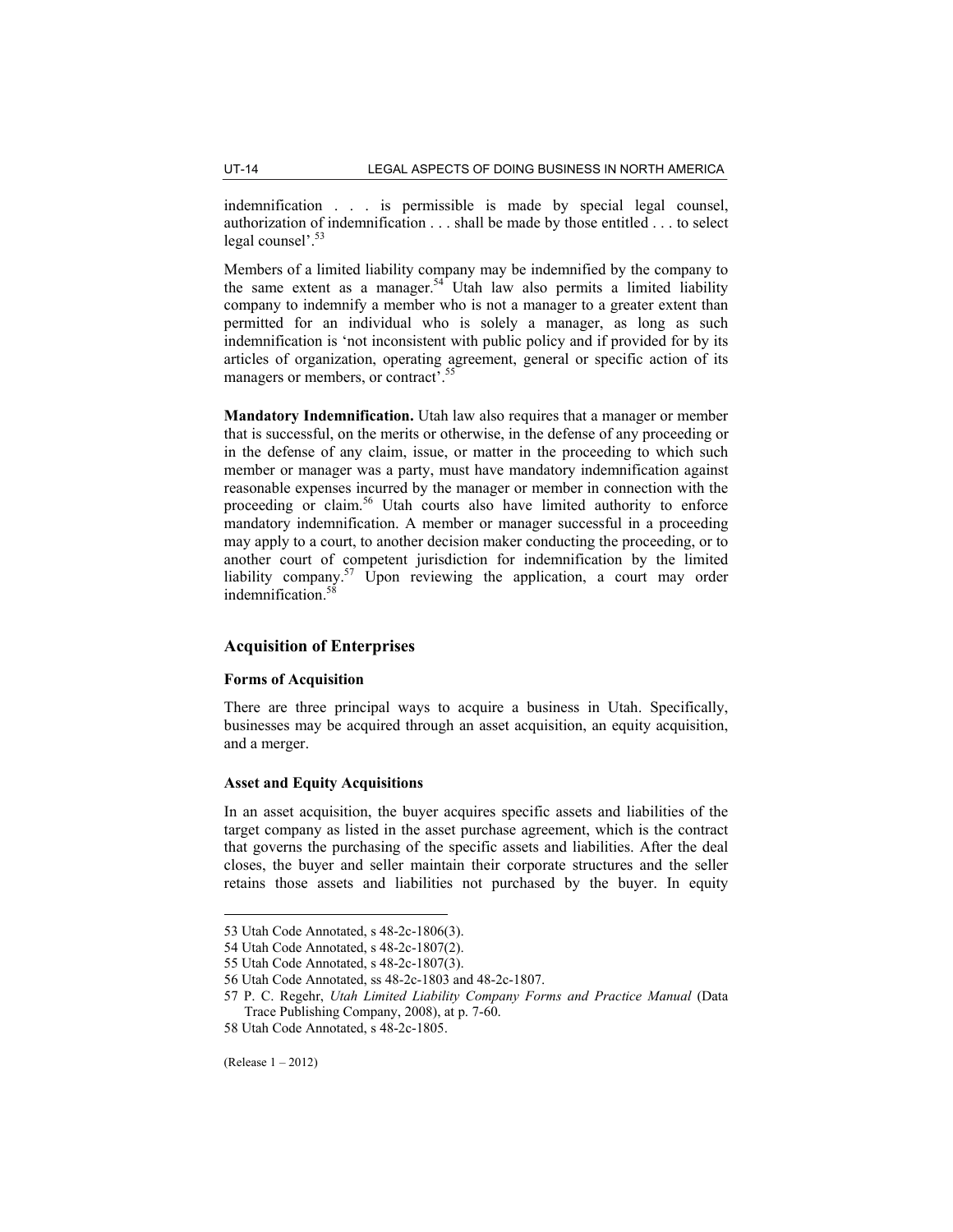indemnification . . . is permissible is made by special legal counsel, authorization of indemnification . . . shall be made by those entitled . . . to select legal counsel'.<sup>53</sup>

Members of a limited liability company may be indemnified by the company to the same extent as a manager.<sup>54</sup> Utah law also permits a limited liability company to indemnify a member who is not a manager to a greater extent than permitted for an individual who is solely a manager, as long as such indemnification is 'not inconsistent with public policy and if provided for by its articles of organization, operating agreement, general or specific action of its managers or members, or contract<sup>7</sup>.<sup>55</sup>

**Mandatory Indemnification.** Utah law also requires that a manager or member that is successful, on the merits or otherwise, in the defense of any proceeding or in the defense of any claim, issue, or matter in the proceeding to which such member or manager was a party, must have mandatory indemnification against reasonable expenses incurred by the manager or member in connection with the proceeding or claim.<sup>56</sup> Utah courts also have limited authority to enforce mandatory indemnification. A member or manager successful in a proceeding may apply to a court, to another decision maker conducting the proceeding, or to another court of competent jurisdiction for indemnification by the limited liability company.<sup>57</sup> Upon reviewing the application, a court may order indemnification.58

# **Acquisition of Enterprises**

#### **Forms of Acquisition**

There are three principal ways to acquire a business in Utah. Specifically, businesses may be acquired through an asset acquisition, an equity acquisition, and a merger.

#### **Asset and Equity Acquisitions**

In an asset acquisition, the buyer acquires specific assets and liabilities of the target company as listed in the asset purchase agreement, which is the contract that governs the purchasing of the specific assets and liabilities. After the deal closes, the buyer and seller maintain their corporate structures and the seller retains those assets and liabilities not purchased by the buyer. In equity

<sup>53</sup> Utah Code Annotated, s 48-2c-1806(3).

<sup>54</sup> Utah Code Annotated, s 48-2c-1807(2).

<sup>55</sup> Utah Code Annotated, s 48-2c-1807(3).

<sup>56</sup> Utah Code Annotated, ss 48-2c-1803 and 48-2c-1807.

<sup>57</sup> P. C. Regehr, *Utah Limited Liability Company Forms and Practice Manual* (Data Trace Publishing Company, 2008), at p. 7-60.

<sup>58</sup> Utah Code Annotated, s 48-2c-1805.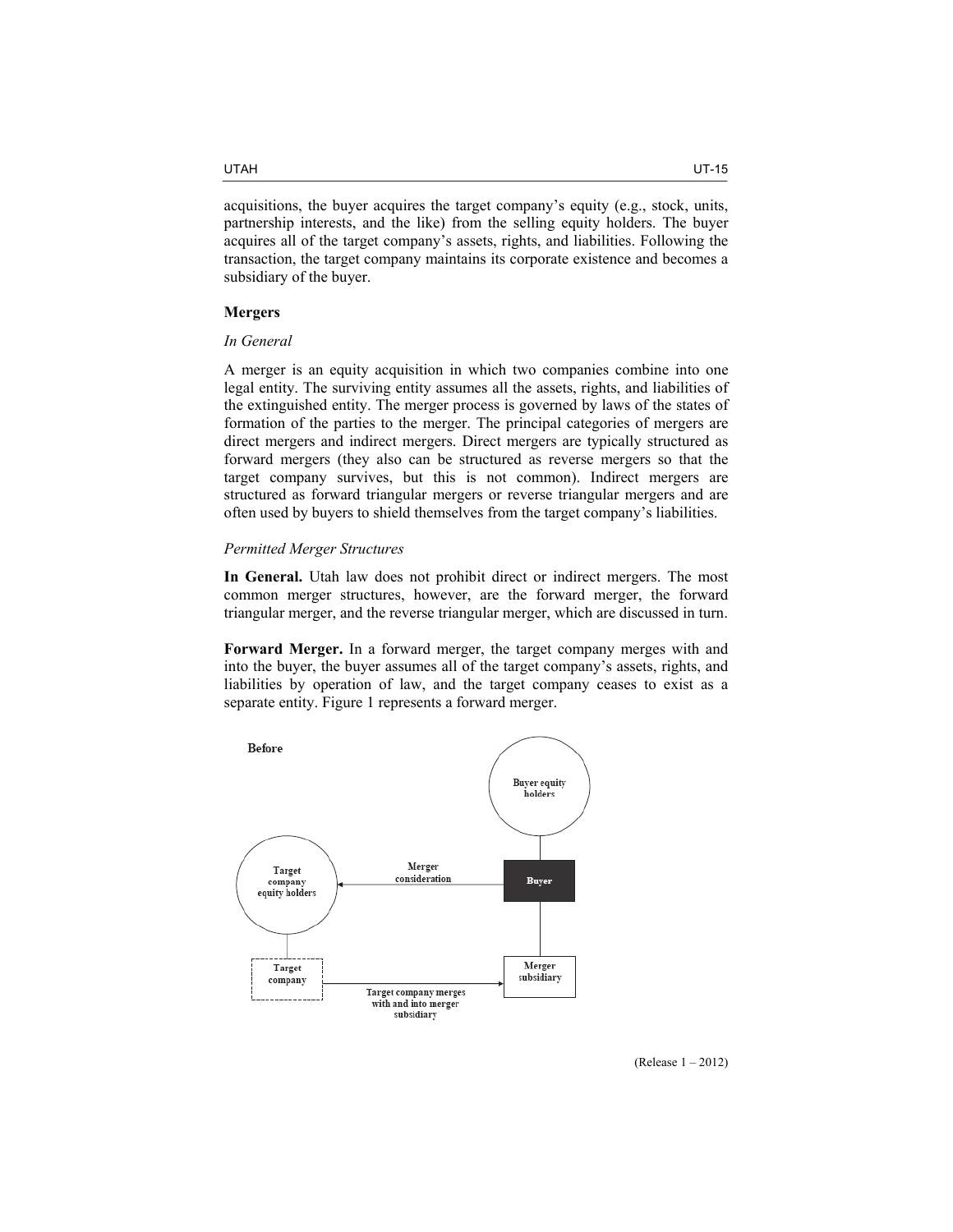acquisitions, the buyer acquires the target company's equity (e.g., stock, units, partnership interests, and the like) from the selling equity holders. The buyer acquires all of the target company's assets, rights, and liabilities. Following the transaction, the target company maintains its corporate existence and becomes a subsidiary of the buyer.

# **Mergers**

# *In General*

A merger is an equity acquisition in which two companies combine into one legal entity. The surviving entity assumes all the assets, rights, and liabilities of the extinguished entity. The merger process is governed by laws of the states of formation of the parties to the merger. The principal categories of mergers are direct mergers and indirect mergers. Direct mergers are typically structured as forward mergers (they also can be structured as reverse mergers so that the target company survives, but this is not common). Indirect mergers are structured as forward triangular mergers or reverse triangular mergers and are often used by buyers to shield themselves from the target company's liabilities.

#### *Permitted Merger Structures*

**In General.** Utah law does not prohibit direct or indirect mergers. The most common merger structures, however, are the forward merger, the forward triangular merger, and the reverse triangular merger, which are discussed in turn.

**Forward Merger.** In a forward merger, the target company merges with and into the buyer, the buyer assumes all of the target company's assets, rights, and liabilities by operation of law, and the target company ceases to exist as a separate entity. Figure 1 represents a forward merger.



(Release 1 – 2012)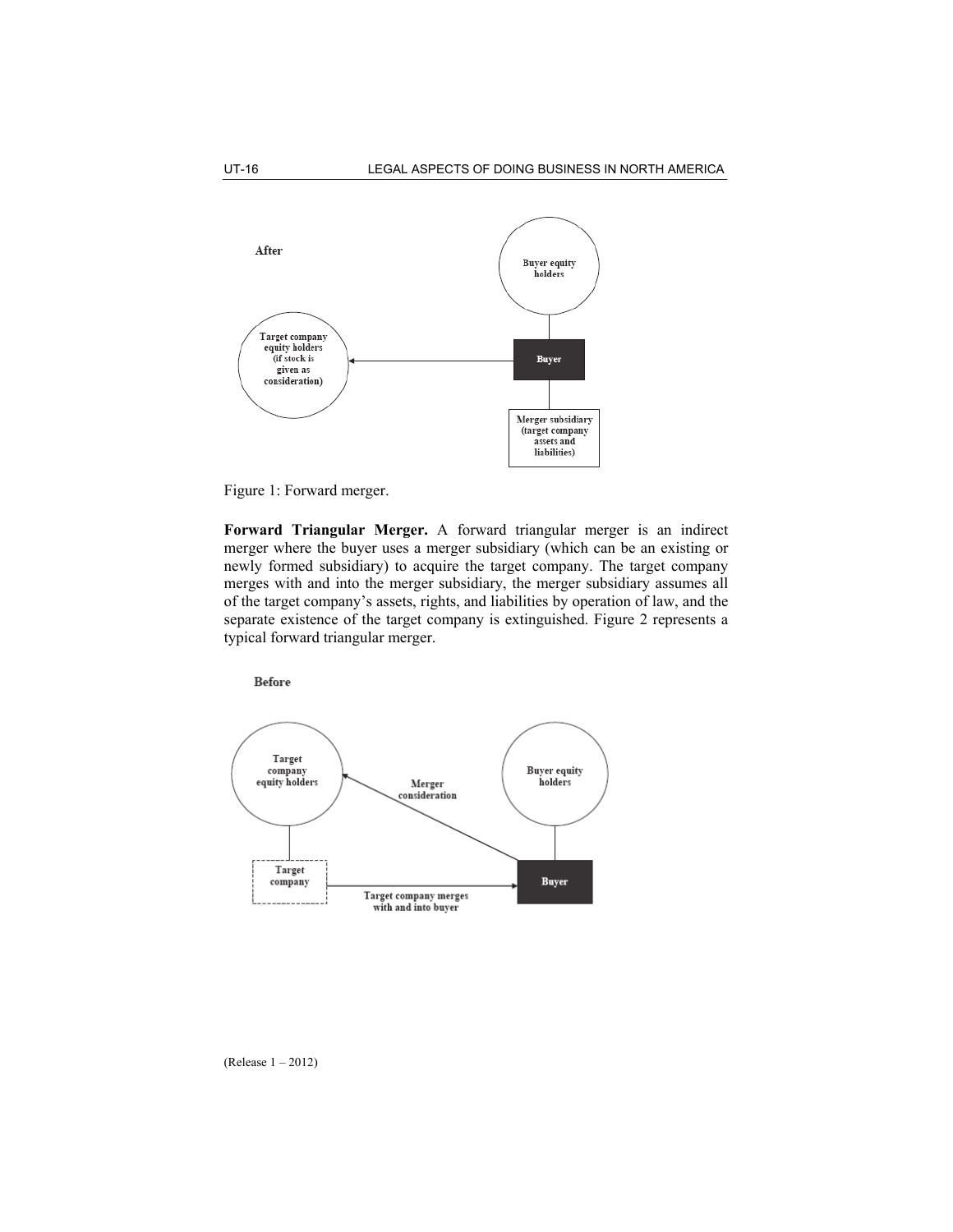



**Forward Triangular Merger.** A forward triangular merger is an indirect merger where the buyer uses a merger subsidiary (which can be an existing or newly formed subsidiary) to acquire the target company. The target company merges with and into the merger subsidiary, the merger subsidiary assumes all of the target company's assets, rights, and liabilities by operation of law, and the separate existence of the target company is extinguished. Figure 2 represents a typical forward triangular merger.



(Release 1 – 2012)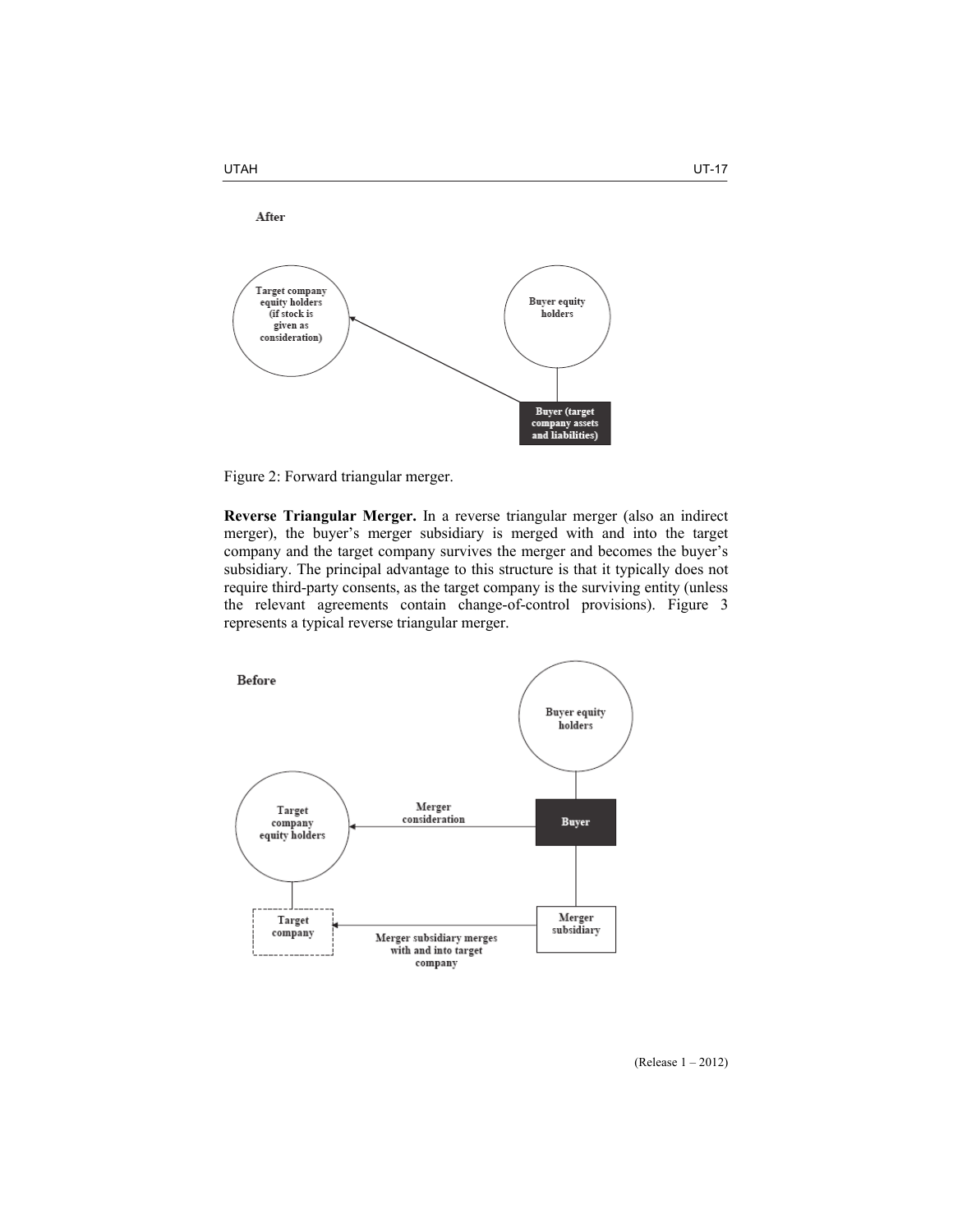



**Reverse Triangular Merger.** In a reverse triangular merger (also an indirect merger), the buyer's merger subsidiary is merged with and into the target company and the target company survives the merger and becomes the buyer's subsidiary. The principal advantage to this structure is that it typically does not require third-party consents, as the target company is the surviving entity (unless the relevant agreements contain change-of-control provisions). Figure 3 represents a typical reverse triangular merger.

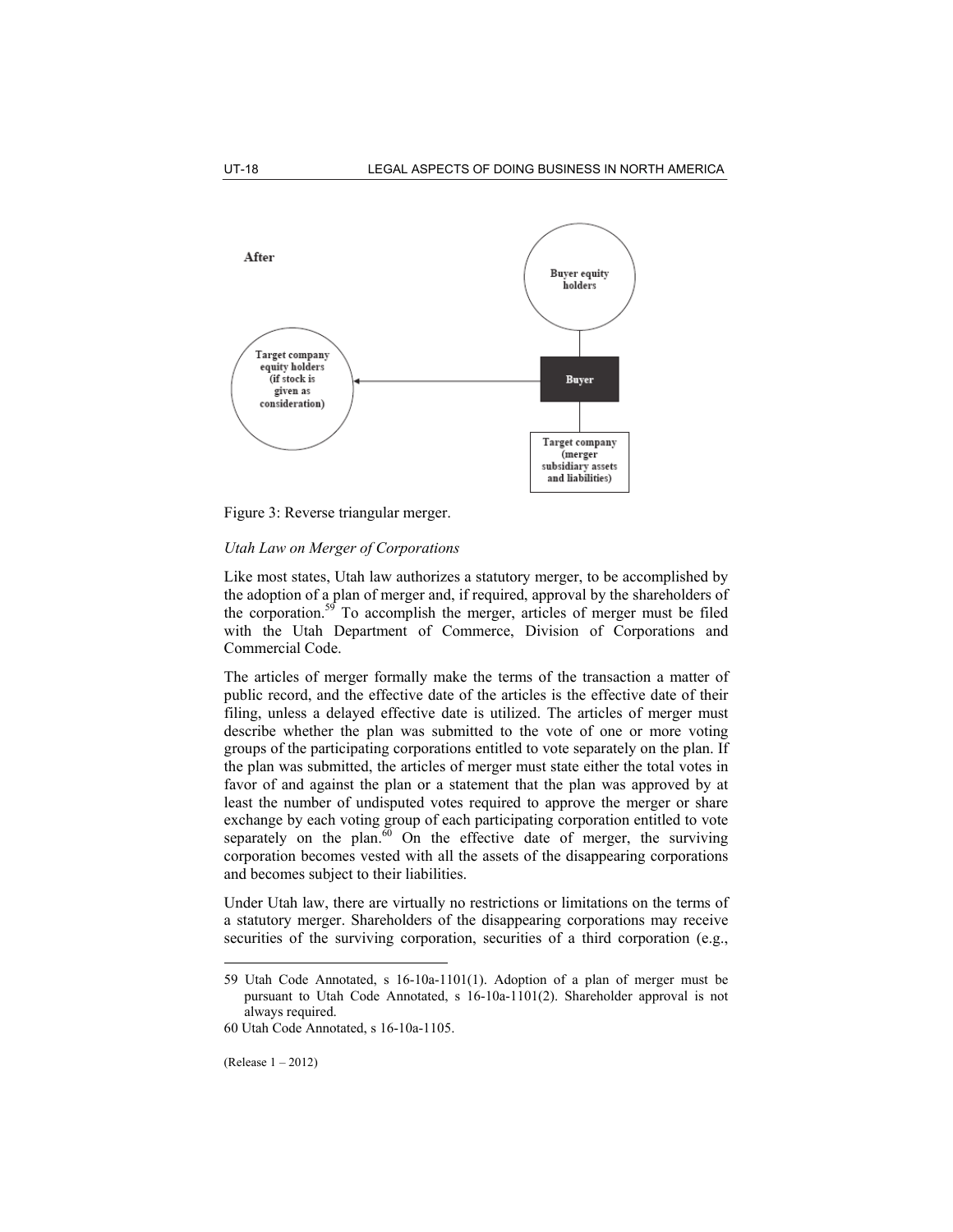

Figure 3: Reverse triangular merger.

# *Utah Law on Merger of Corporations*

Like most states, Utah law authorizes a statutory merger, to be accomplished by the adoption of a plan of merger and, if required, approval by the shareholders of the corporation.<sup>59</sup> To accomplish the merger, articles of merger must be filed with the Utah Department of Commerce, Division of Corporations and Commercial Code.

The articles of merger formally make the terms of the transaction a matter of public record, and the effective date of the articles is the effective date of their filing, unless a delayed effective date is utilized. The articles of merger must describe whether the plan was submitted to the vote of one or more voting groups of the participating corporations entitled to vote separately on the plan. If the plan was submitted, the articles of merger must state either the total votes in favor of and against the plan or a statement that the plan was approved by at least the number of undisputed votes required to approve the merger or share exchange by each voting group of each participating corporation entitled to vote separately on the plan. $60$  On the effective date of merger, the surviving corporation becomes vested with all the assets of the disappearing corporations and becomes subject to their liabilities.

Under Utah law, there are virtually no restrictions or limitations on the terms of a statutory merger. Shareholders of the disappearing corporations may receive securities of the surviving corporation, securities of a third corporation (e.g.,

<sup>59</sup> Utah Code Annotated, s 16-10a-1101(1). Adoption of a plan of merger must be pursuant to Utah Code Annotated, s 16-10a-1101(2). Shareholder approval is not always required.

<sup>60</sup> Utah Code Annotated, s 16-10a-1105.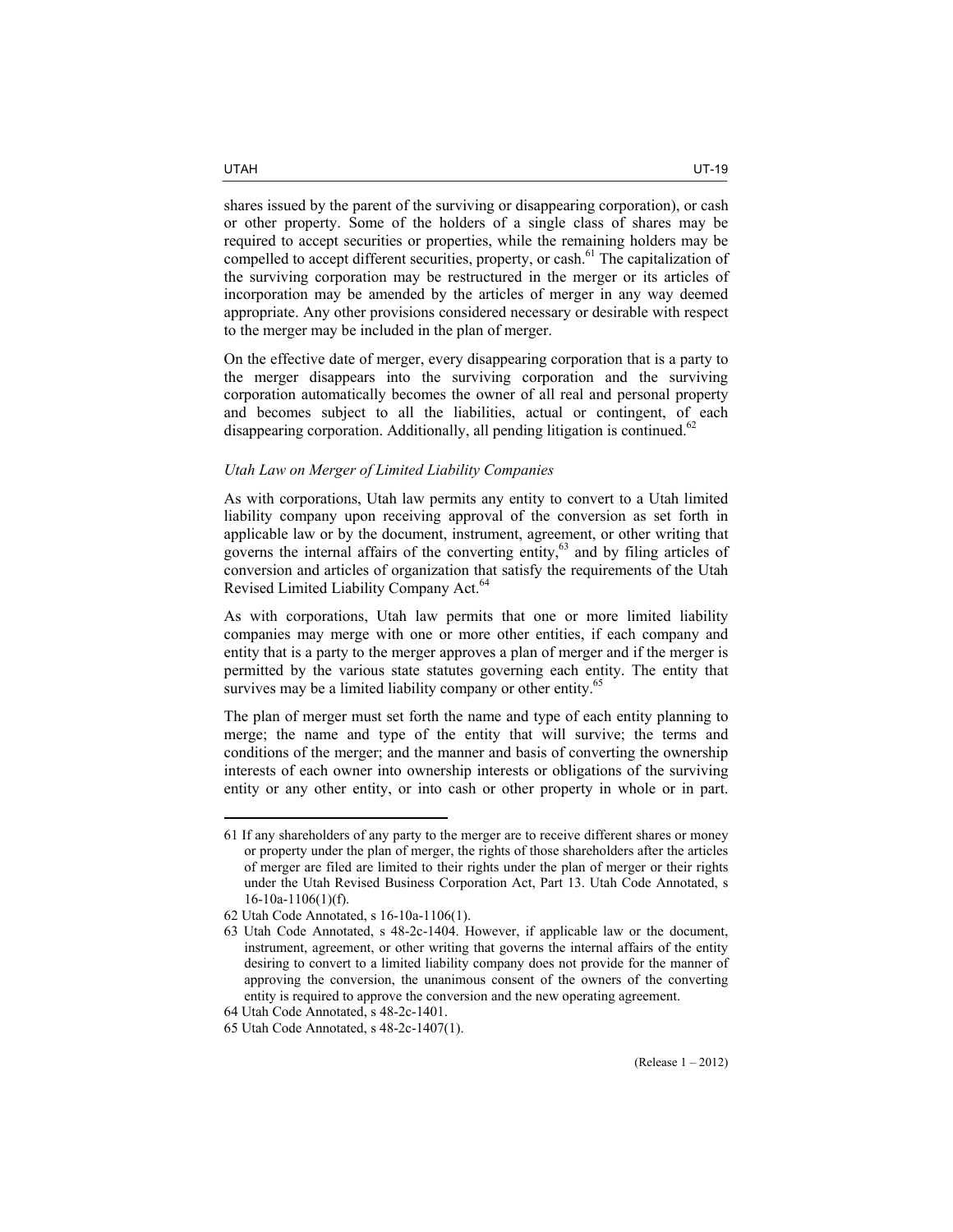shares issued by the parent of the surviving or disappearing corporation), or cash or other property. Some of the holders of a single class of shares may be required to accept securities or properties, while the remaining holders may be compelled to accept different securities, property, or cash.<sup>61</sup> The capitalization of the surviving corporation may be restructured in the merger or its articles of incorporation may be amended by the articles of merger in any way deemed appropriate. Any other provisions considered necessary or desirable with respect to the merger may be included in the plan of merger.

On the effective date of merger, every disappearing corporation that is a party to the merger disappears into the surviving corporation and the surviving corporation automatically becomes the owner of all real and personal property and becomes subject to all the liabilities, actual or contingent, of each disappearing corporation. Additionally, all pending litigation is continued.<sup>62</sup>

### *Utah Law on Merger of Limited Liability Companies*

As with corporations, Utah law permits any entity to convert to a Utah limited liability company upon receiving approval of the conversion as set forth in applicable law or by the document, instrument, agreement, or other writing that governs the internal affairs of the converting entity, $63$  and by filing articles of conversion and articles of organization that satisfy the requirements of the Utah Revised Limited Liability Company Act.<sup>64</sup>

As with corporations, Utah law permits that one or more limited liability companies may merge with one or more other entities, if each company and entity that is a party to the merger approves a plan of merger and if the merger is permitted by the various state statutes governing each entity. The entity that survives may be a limited liability company or other entity.<sup>65</sup>

The plan of merger must set forth the name and type of each entity planning to merge; the name and type of the entity that will survive; the terms and conditions of the merger; and the manner and basis of converting the ownership interests of each owner into ownership interests or obligations of the surviving entity or any other entity, or into cash or other property in whole or in part.

<sup>61</sup> If any shareholders of any party to the merger are to receive different shares or money or property under the plan of merger, the rights of those shareholders after the articles of merger are filed are limited to their rights under the plan of merger or their rights under the Utah Revised Business Corporation Act, Part 13. Utah Code Annotated, s 16-10a-1106(1)(f).

<sup>62</sup> Utah Code Annotated, s 16-10a-1106(1).

<sup>63</sup> Utah Code Annotated, s 48-2c-1404. However, if applicable law or the document, instrument, agreement, or other writing that governs the internal affairs of the entity desiring to convert to a limited liability company does not provide for the manner of approving the conversion, the unanimous consent of the owners of the converting entity is required to approve the conversion and the new operating agreement.

<sup>64</sup> Utah Code Annotated, s 48-2c-1401.

<sup>65</sup> Utah Code Annotated, s 48-2c-1407(1).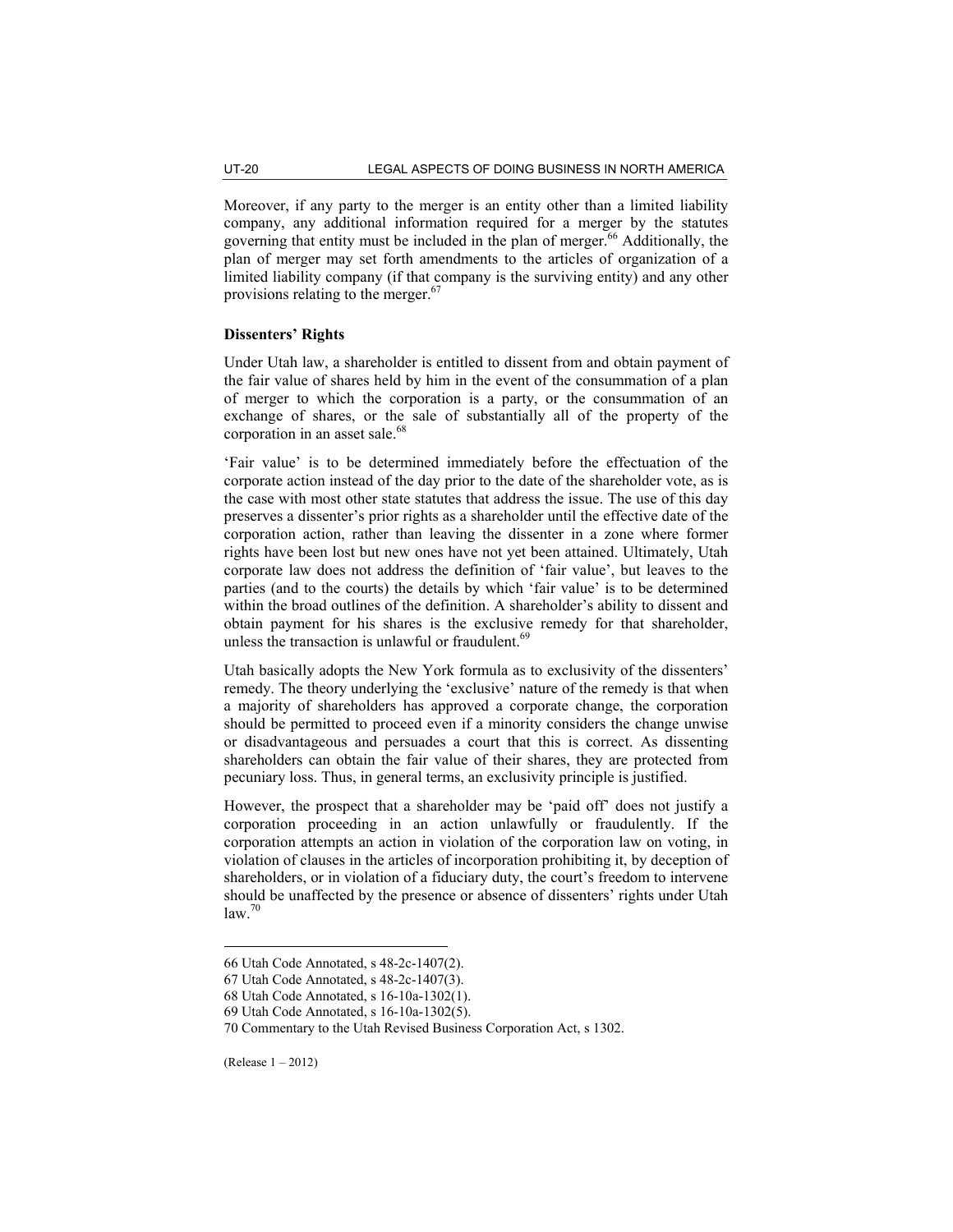Moreover, if any party to the merger is an entity other than a limited liability company, any additional information required for a merger by the statutes governing that entity must be included in the plan of merger.<sup>66</sup> Additionally, the plan of merger may set forth amendments to the articles of organization of a limited liability company (if that company is the surviving entity) and any other provisions relating to the merger.<sup>67</sup>

# **Dissenters' Rights**

Under Utah law, a shareholder is entitled to dissent from and obtain payment of the fair value of shares held by him in the event of the consummation of a plan of merger to which the corporation is a party, or the consummation of an exchange of shares, or the sale of substantially all of the property of the corporation in an asset sale.<sup>68</sup>

'Fair value' is to be determined immediately before the effectuation of the corporate action instead of the day prior to the date of the shareholder vote, as is the case with most other state statutes that address the issue. The use of this day preserves a dissenter's prior rights as a shareholder until the effective date of the corporation action, rather than leaving the dissenter in a zone where former rights have been lost but new ones have not yet been attained. Ultimately, Utah corporate law does not address the definition of 'fair value', but leaves to the parties (and to the courts) the details by which 'fair value' is to be determined within the broad outlines of the definition. A shareholder's ability to dissent and obtain payment for his shares is the exclusive remedy for that shareholder, unless the transaction is unlawful or fraudulent.<sup>69</sup>

Utah basically adopts the New York formula as to exclusivity of the dissenters' remedy. The theory underlying the 'exclusive' nature of the remedy is that when a majority of shareholders has approved a corporate change, the corporation should be permitted to proceed even if a minority considers the change unwise or disadvantageous and persuades a court that this is correct. As dissenting shareholders can obtain the fair value of their shares, they are protected from pecuniary loss. Thus, in general terms, an exclusivity principle is justified.

However, the prospect that a shareholder may be 'paid off' does not justify a corporation proceeding in an action unlawfully or fraudulently. If the corporation attempts an action in violation of the corporation law on voting, in violation of clauses in the articles of incorporation prohibiting it, by deception of shareholders, or in violation of a fiduciary duty, the court's freedom to intervene should be unaffected by the presence or absence of dissenters' rights under Utah  $\frac{1}{2}$ law<sup>70</sup>

(Release 1 – 2012)

<sup>66</sup> Utah Code Annotated, s 48-2c-1407(2).

<sup>67</sup> Utah Code Annotated, s 48-2c-1407(3).

<sup>68</sup> Utah Code Annotated, s 16-10a-1302(1).

<sup>69</sup> Utah Code Annotated, s 16-10a-1302(5).

<sup>70</sup> Commentary to the Utah Revised Business Corporation Act, s 1302.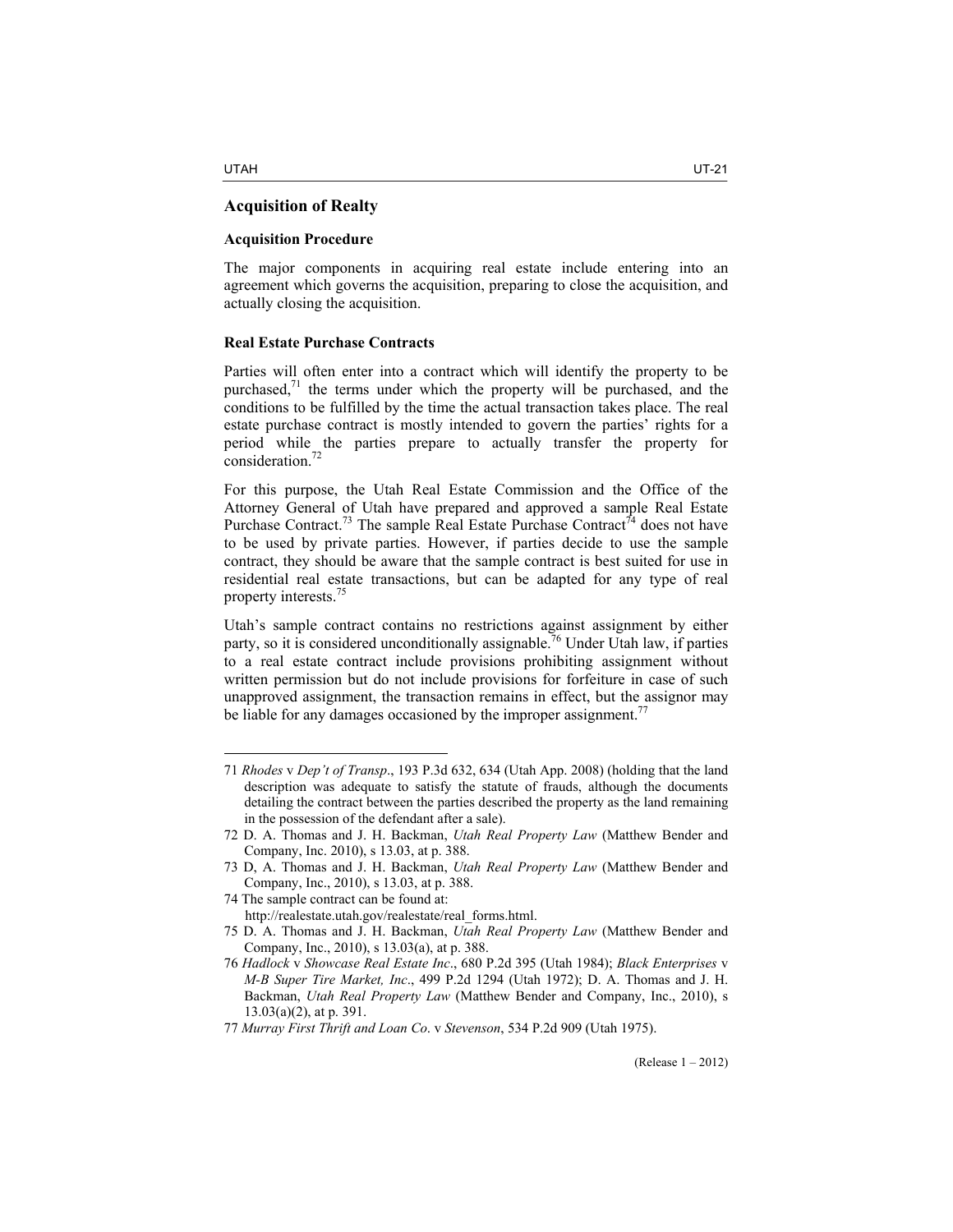$\overline{a}$ 

# **Acquisition of Realty**

# **Acquisition Procedure**

The major components in acquiring real estate include entering into an agreement which governs the acquisition, preparing to close the acquisition, and actually closing the acquisition.

# **Real Estate Purchase Contracts**

Parties will often enter into a contract which will identify the property to be purchased, $<sup>71</sup>$  the terms under which the property will be purchased, and the</sup> conditions to be fulfilled by the time the actual transaction takes place. The real estate purchase contract is mostly intended to govern the parties' rights for a period while the parties prepare to actually transfer the property for consideration.<sup>72</sup>

For this purpose, the Utah Real Estate Commission and the Office of the Attorney General of Utah have prepared and approved a sample Real Estate Purchase Contract.<sup>73</sup> The sample Real Estate Purchase Contract<sup>74</sup> does not have to be used by private parties. However, if parties decide to use the sample contract, they should be aware that the sample contract is best suited for use in residential real estate transactions, but can be adapted for any type of real property interests.<sup>75</sup>

Utah's sample contract contains no restrictions against assignment by either party, so it is considered unconditionally assignable.<sup>76</sup> Under Utah law, if parties to a real estate contract include provisions prohibiting assignment without written permission but do not include provisions for forfeiture in case of such unapproved assignment, the transaction remains in effect, but the assignor may be liable for any damages occasioned by the improper assignment.<sup>7</sup>

<sup>71</sup> *Rhodes* v *Dep't of Transp*., 193 P.3d 632, 634 (Utah App. 2008) (holding that the land description was adequate to satisfy the statute of frauds, although the documents detailing the contract between the parties described the property as the land remaining in the possession of the defendant after a sale).

<sup>72</sup> D. A. Thomas and J. H. Backman, *Utah Real Property Law* (Matthew Bender and Company, Inc. 2010), s 13.03, at p. 388.

<sup>73</sup> D, A. Thomas and J. H. Backman, *Utah Real Property Law* (Matthew Bender and Company, Inc., 2010), s 13.03, at p. 388.

<sup>74</sup> The sample contract can be found at: http://realestate.utah.gov/realestate/real\_forms.html.

<sup>75</sup> D. A. Thomas and J. H. Backman, *Utah Real Property Law* (Matthew Bender and Company, Inc., 2010), s 13.03(a), at p. 388.

<sup>76</sup> *Hadlock* v *Showcase Real Estate Inc*., 680 P.2d 395 (Utah 1984); *Black Enterprises* v *M-B Super Tire Market, Inc*., 499 P.2d 1294 (Utah 1972); D. A. Thomas and J. H. Backman, *Utah Real Property Law* (Matthew Bender and Company, Inc., 2010), s 13.03(a)(2), at p. 391.

<sup>77</sup> *Murray First Thrift and Loan Co*. v *Stevenson*, 534 P.2d 909 (Utah 1975).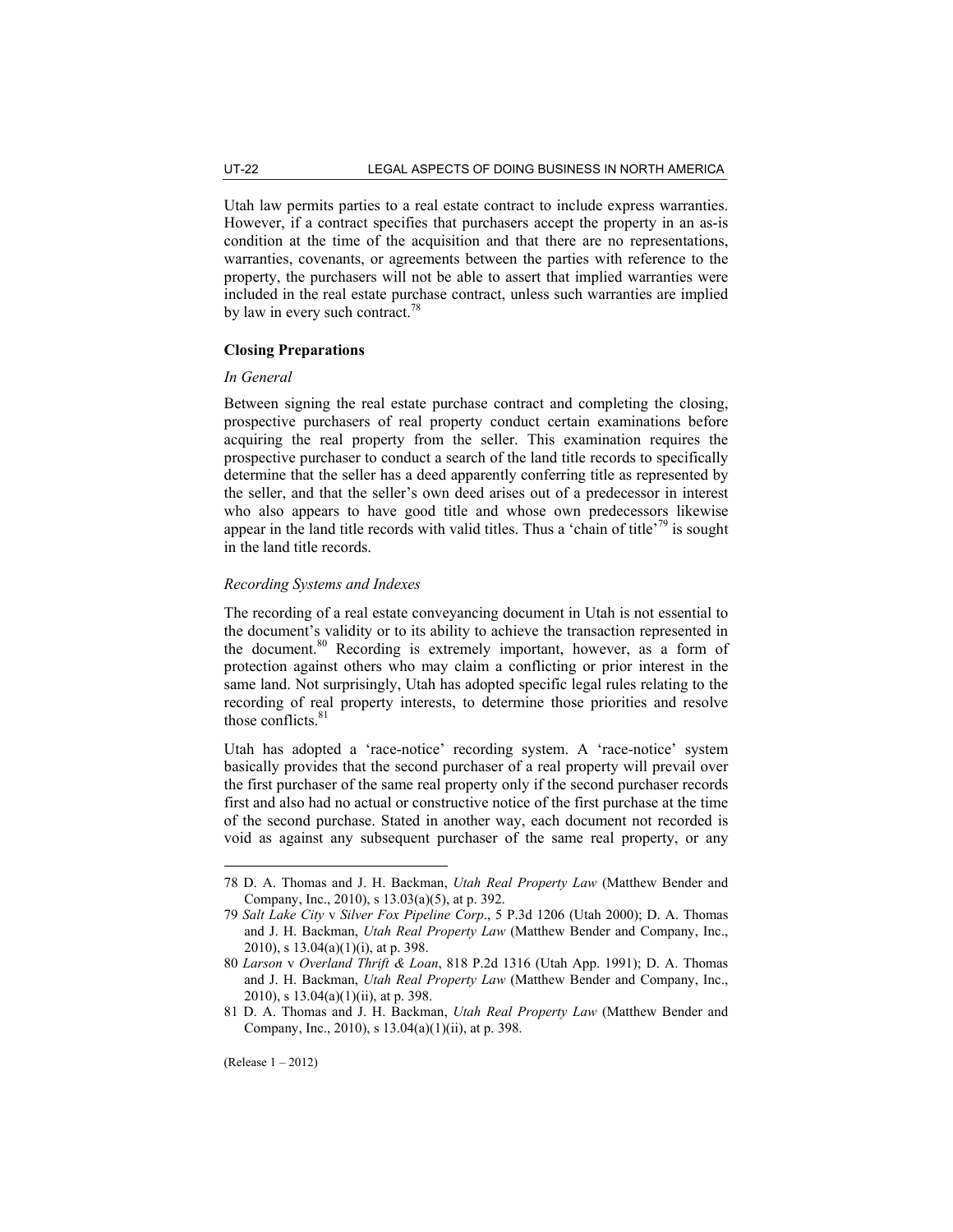Utah law permits parties to a real estate contract to include express warranties. However, if a contract specifies that purchasers accept the property in an as-is condition at the time of the acquisition and that there are no representations, warranties, covenants, or agreements between the parties with reference to the property, the purchasers will not be able to assert that implied warranties were included in the real estate purchase contract, unless such warranties are implied by law in every such contract.<sup>78</sup>

# **Closing Preparations**

#### *In General*

Between signing the real estate purchase contract and completing the closing, prospective purchasers of real property conduct certain examinations before acquiring the real property from the seller. This examination requires the prospective purchaser to conduct a search of the land title records to specifically determine that the seller has a deed apparently conferring title as represented by the seller, and that the seller's own deed arises out of a predecessor in interest who also appears to have good title and whose own predecessors likewise appear in the land title records with valid titles. Thus a 'chain of title'<sup>79</sup> is sought in the land title records.

# *Recording Systems and Indexes*

The recording of a real estate conveyancing document in Utah is not essential to the document's validity or to its ability to achieve the transaction represented in the document.<sup>80</sup> Recording is extremely important, however, as a form of protection against others who may claim a conflicting or prior interest in the same land. Not surprisingly, Utah has adopted specific legal rules relating to the recording of real property interests, to determine those priorities and resolve those conflicts. $81$ 

Utah has adopted a 'race-notice' recording system. A 'race-notice' system basically provides that the second purchaser of a real property will prevail over the first purchaser of the same real property only if the second purchaser records first and also had no actual or constructive notice of the first purchase at the time of the second purchase. Stated in another way, each document not recorded is void as against any subsequent purchaser of the same real property, or any

<sup>78</sup> D. A. Thomas and J. H. Backman, *Utah Real Property Law* (Matthew Bender and Company, Inc., 2010), s 13.03(a)(5), at p. 392.

<sup>79</sup> *Salt Lake City* v *Silver Fox Pipeline Corp*., 5 P.3d 1206 (Utah 2000); D. A. Thomas and J. H. Backman, *Utah Real Property Law* (Matthew Bender and Company, Inc., 2010), s 13.04(a)(1)(i), at p. 398.

<sup>80</sup> *Larson* v *Overland Thrift & Loan*, 818 P.2d 1316 (Utah App. 1991); D. A. Thomas and J. H. Backman, *Utah Real Property Law* (Matthew Bender and Company, Inc., 2010), s 13.04(a)(1)(ii), at p. 398.

<sup>81</sup> D. A. Thomas and J. H. Backman, *Utah Real Property Law* (Matthew Bender and Company, Inc., 2010), s 13.04(a)(1)(ii), at p. 398.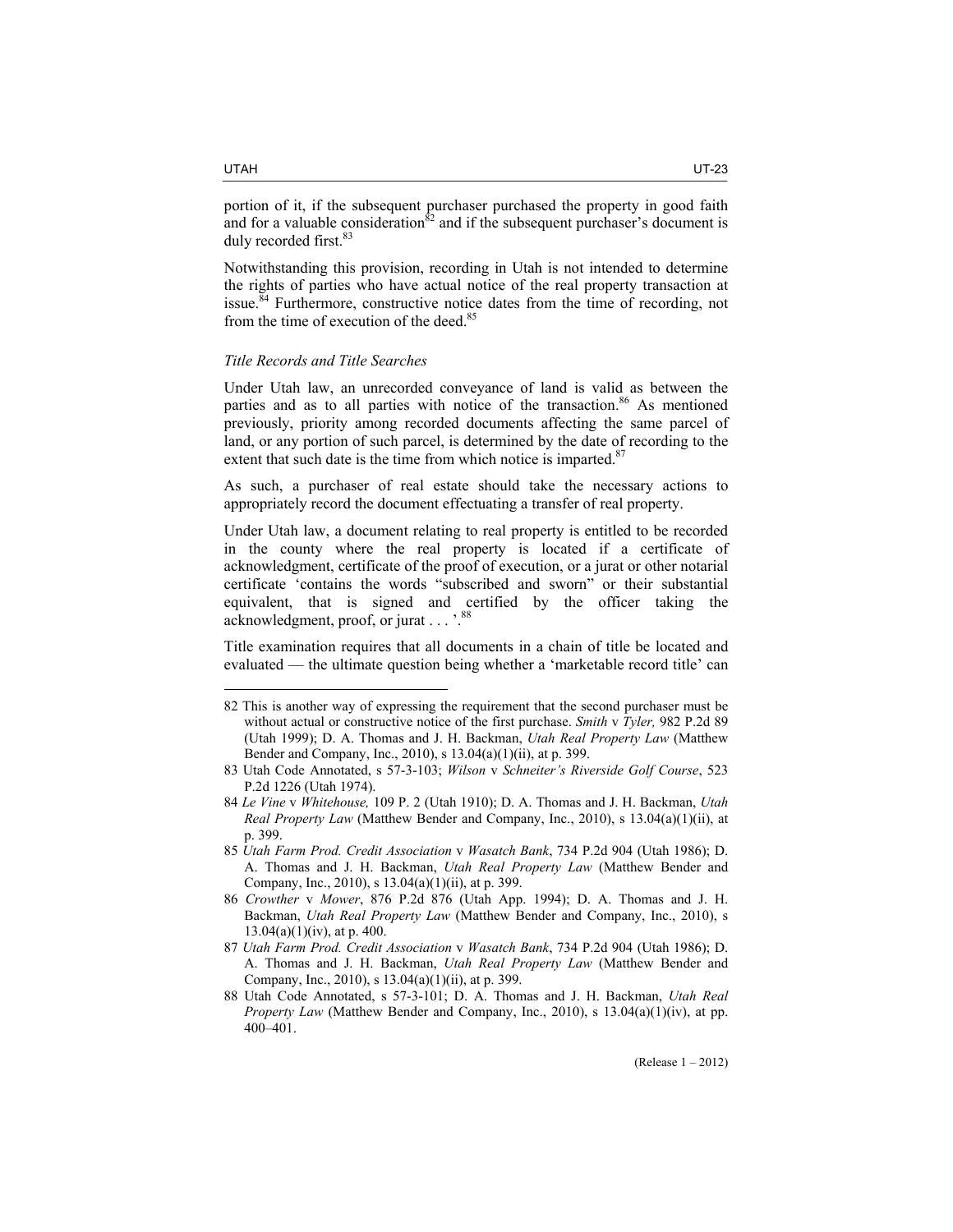portion of it, if the subsequent purchaser purchased the property in good faith and for a valuable consideration $82$  and if the subsequent purchaser's document is duly recorded first.<sup>83</sup>

Notwithstanding this provision, recording in Utah is not intended to determine the rights of parties who have actual notice of the real property transaction at issue.<sup>84</sup> Furthermore, constructive notice dates from the time of recording, not from the time of execution of the deed. $8$ 

### *Title Records and Title Searches*

Under Utah law, an unrecorded conveyance of land is valid as between the parties and as to all parties with notice of the transaction.<sup>86</sup> As mentioned previously, priority among recorded documents affecting the same parcel of land, or any portion of such parcel, is determined by the date of recording to the extent that such date is the time from which notice is imparted.<sup>87</sup>

As such, a purchaser of real estate should take the necessary actions to appropriately record the document effectuating a transfer of real property.

Under Utah law, a document relating to real property is entitled to be recorded in the county where the real property is located if a certificate of acknowledgment, certificate of the proof of execution, or a jurat or other notarial certificate 'contains the words "subscribed and sworn" or their substantial equivalent, that is signed and certified by the officer taking the acknowledgment, proof, or jurat . . . '.<sup>8</sup>

Title examination requires that all documents in a chain of title be located and evaluated — the ultimate question being whether a 'marketable record title' can

<sup>82</sup> This is another way of expressing the requirement that the second purchaser must be without actual or constructive notice of the first purchase. *Smith* v *Tyler,* 982 P.2d 89 (Utah 1999); D. A. Thomas and J. H. Backman, *Utah Real Property Law* (Matthew Bender and Company, Inc., 2010), s 13.04(a)(1)(ii), at p. 399.

<sup>83</sup> Utah Code Annotated, s 57-3-103; *Wilson* v *Schneiter's Riverside Golf Course*, 523 P.2d 1226 (Utah 1974).

<sup>84</sup> *Le Vine* v *Whitehouse,* 109 P. 2 (Utah 1910); D. A. Thomas and J. H. Backman, *Utah Real Property Law* (Matthew Bender and Company, Inc., 2010), s 13.04(a)(1)(ii), at p. 399.

<sup>85</sup> *Utah Farm Prod. Credit Association* v *Wasatch Bank*, 734 P.2d 904 (Utah 1986); D. A. Thomas and J. H. Backman, *Utah Real Property Law* (Matthew Bender and Company, Inc., 2010), s 13.04(a)(1)(ii), at p. 399.

<sup>86</sup> *Crowther* v *Mower*, 876 P.2d 876 (Utah App. 1994); D. A. Thomas and J. H. Backman, *Utah Real Property Law* (Matthew Bender and Company, Inc., 2010), s  $13.04(a)(1)(iv)$ , at p. 400.

<sup>87</sup> *Utah Farm Prod. Credit Association* v *Wasatch Bank*, 734 P.2d 904 (Utah 1986); D. A. Thomas and J. H. Backman, *Utah Real Property Law* (Matthew Bender and Company, Inc., 2010), s 13.04(a)(1)(ii), at p. 399.

<sup>88</sup> Utah Code Annotated, s 57-3-101; D. A. Thomas and J. H. Backman, *Utah Real Property Law* (Matthew Bender and Company, Inc., 2010), s 13.04(a)(1)(iv), at pp. 400–401.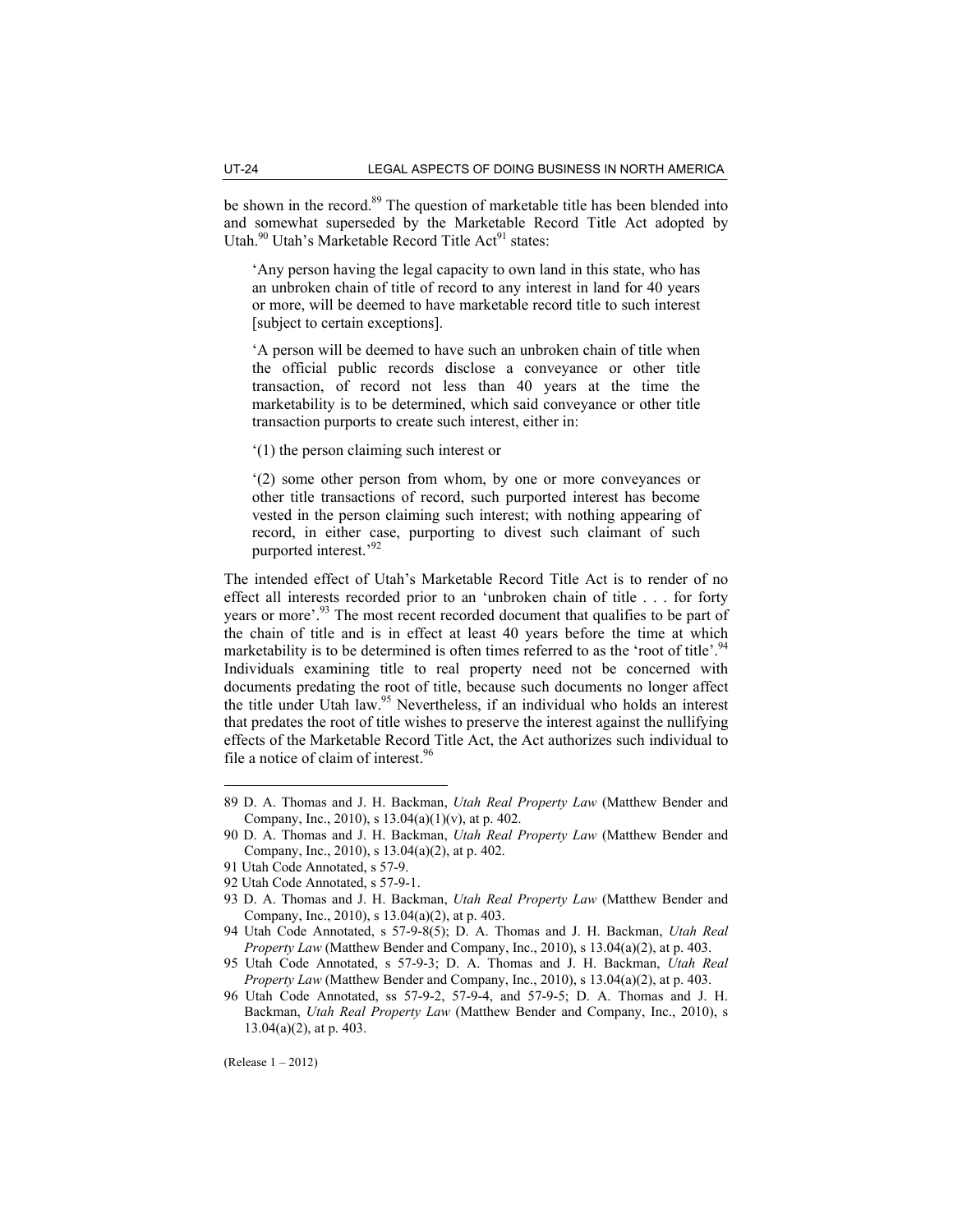be shown in the record.<sup>89</sup> The question of marketable title has been blended into and somewhat superseded by the Marketable Record Title Act adopted by Utah.<sup>90</sup> Utah's Marketable Record Title Act<sup>91</sup> states:

'Any person having the legal capacity to own land in this state, who has an unbroken chain of title of record to any interest in land for 40 years or more, will be deemed to have marketable record title to such interest [subject to certain exceptions].

'A person will be deemed to have such an unbroken chain of title when the official public records disclose a conveyance or other title transaction, of record not less than 40 years at the time the marketability is to be determined, which said conveyance or other title transaction purports to create such interest, either in:

'(1) the person claiming such interest or

'(2) some other person from whom, by one or more conveyances or other title transactions of record, such purported interest has become vested in the person claiming such interest; with nothing appearing of record, in either case, purporting to divest such claimant of such purported interest.'92

The intended effect of Utah's Marketable Record Title Act is to render of no effect all interests recorded prior to an 'unbroken chain of title . . . for forty years or more'.<sup>93</sup> The most recent recorded document that qualifies to be part of the chain of title and is in effect at least 40 years before the time at which marketability is to be determined is often times referred to as the 'root of title'.<sup>94</sup> Individuals examining title to real property need not be concerned with documents predating the root of title, because such documents no longer affect the title under Utah law.<sup>95</sup> Nevertheless, if an individual who holds an interest that predates the root of title wishes to preserve the interest against the nullifying effects of the Marketable Record Title Act, the Act authorizes such individual to file a notice of claim of interest.<sup>96</sup>

(Release 1 – 2012)

<sup>89</sup> D. A. Thomas and J. H. Backman, *Utah Real Property Law* (Matthew Bender and Company, Inc., 2010), s 13.04(a)(1)(v), at p. 402.

<sup>90</sup> D. A. Thomas and J. H. Backman, *Utah Real Property Law* (Matthew Bender and Company, Inc., 2010), s 13.04(a)(2), at p. 402.

<sup>91</sup> Utah Code Annotated, s 57-9.

<sup>92</sup> Utah Code Annotated, s 57-9-1.

<sup>93</sup> D. A. Thomas and J. H. Backman, *Utah Real Property Law* (Matthew Bender and Company, Inc., 2010), s 13.04(a)(2), at p. 403.

<sup>94</sup> Utah Code Annotated, s 57-9-8(5); D. A. Thomas and J. H. Backman, *Utah Real Property Law* (Matthew Bender and Company, Inc., 2010), s 13.04(a)(2), at p. 403.

<sup>95</sup> Utah Code Annotated, s 57-9-3; D. A. Thomas and J. H. Backman, *Utah Real Property Law* (Matthew Bender and Company, Inc., 2010), s 13.04(a)(2), at p. 403.

<sup>96</sup> Utah Code Annotated, ss 57-9-2, 57-9-4, and 57-9-5; D. A. Thomas and J. H. Backman, *Utah Real Property Law* (Matthew Bender and Company, Inc., 2010), s 13.04(a)(2), at p. 403.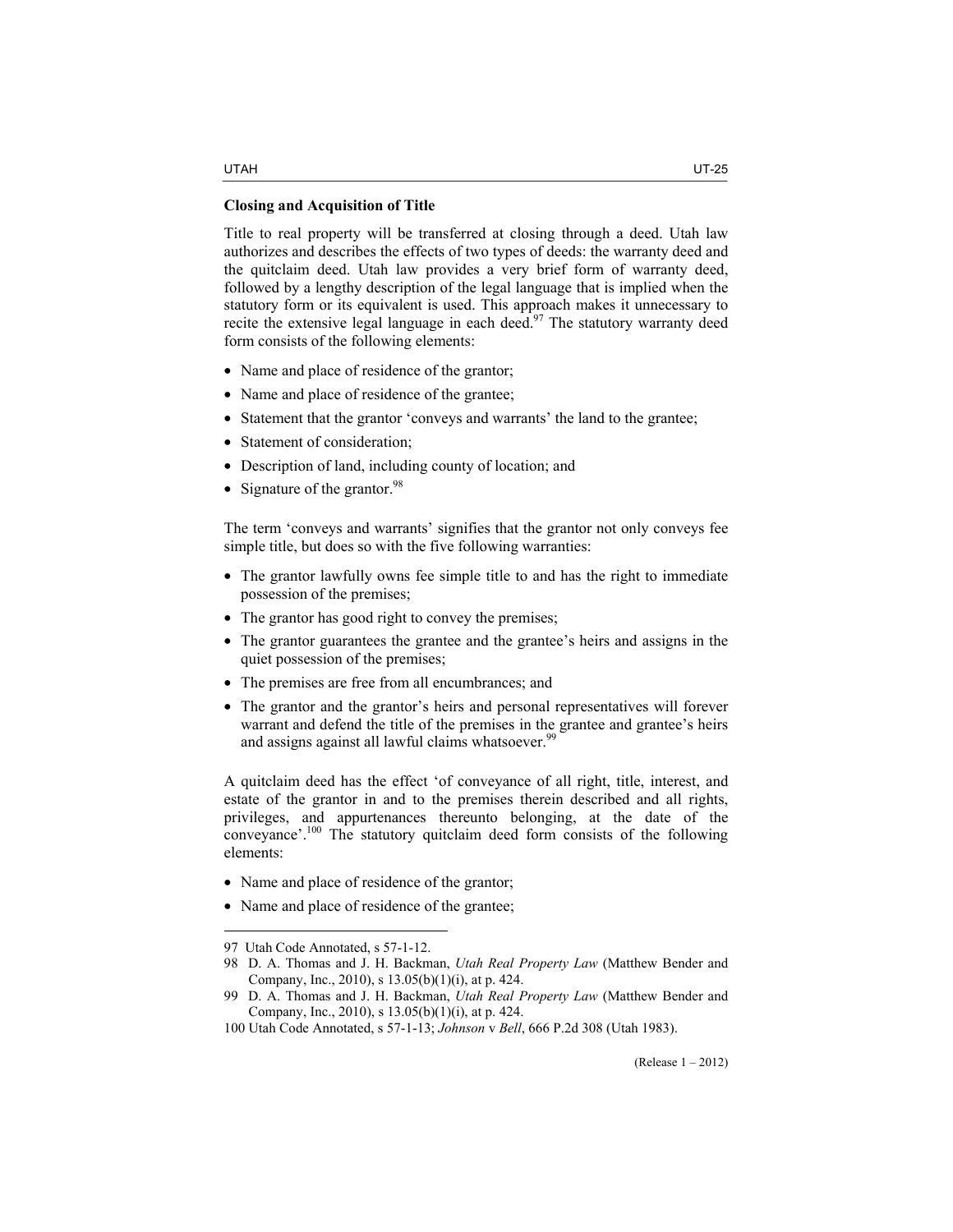Title to real property will be transferred at closing through a deed. Utah law authorizes and describes the effects of two types of deeds: the warranty deed and the quitclaim deed. Utah law provides a very brief form of warranty deed, followed by a lengthy description of the legal language that is implied when the statutory form or its equivalent is used. This approach makes it unnecessary to recite the extensive legal language in each deed.<sup>97</sup> The statutory warranty deed form consists of the following elements:

- Name and place of residence of the grantor;
- Name and place of residence of the grantee;
- Statement that the grantor 'conveys and warrants' the land to the grantee;
- Statement of consideration;
- Description of land, including county of location; and
- Signature of the grantor. $98$

The term 'conveys and warrants' signifies that the grantor not only conveys fee simple title, but does so with the five following warranties:

- The grantor lawfully owns fee simple title to and has the right to immediate possession of the premises;
- The grantor has good right to convey the premises;
- The grantor guarantees the grantee and the grantee's heirs and assigns in the quiet possession of the premises;
- The premises are free from all encumbrances; and
- The grantor and the grantor's heirs and personal representatives will forever warrant and defend the title of the premises in the grantee and grantee's heirs and assigns against all lawful claims whatsoever.<sup>99</sup>

A quitclaim deed has the effect 'of conveyance of all right, title, interest, and estate of the grantor in and to the premises therein described and all rights, privileges, and appurtenances thereunto belonging, at the date of the conveyance'.100 The statutory quitclaim deed form consists of the following elements:

- Name and place of residence of the grantor;
- Name and place of residence of the grantee;

<sup>97</sup> Utah Code Annotated, s 57-1-12.

<sup>98</sup> D. A. Thomas and J. H. Backman, *Utah Real Property Law* (Matthew Bender and Company, Inc., 2010), s 13.05(b)(1)(i), at p. 424.

<sup>99</sup> D. A. Thomas and J. H. Backman, *Utah Real Property Law* (Matthew Bender and Company, Inc., 2010), s 13.05(b)(1)(i), at p. 424.

<sup>100</sup> Utah Code Annotated, s 57-1-13; *Johnson* v *Bell*, 666 P.2d 308 (Utah 1983).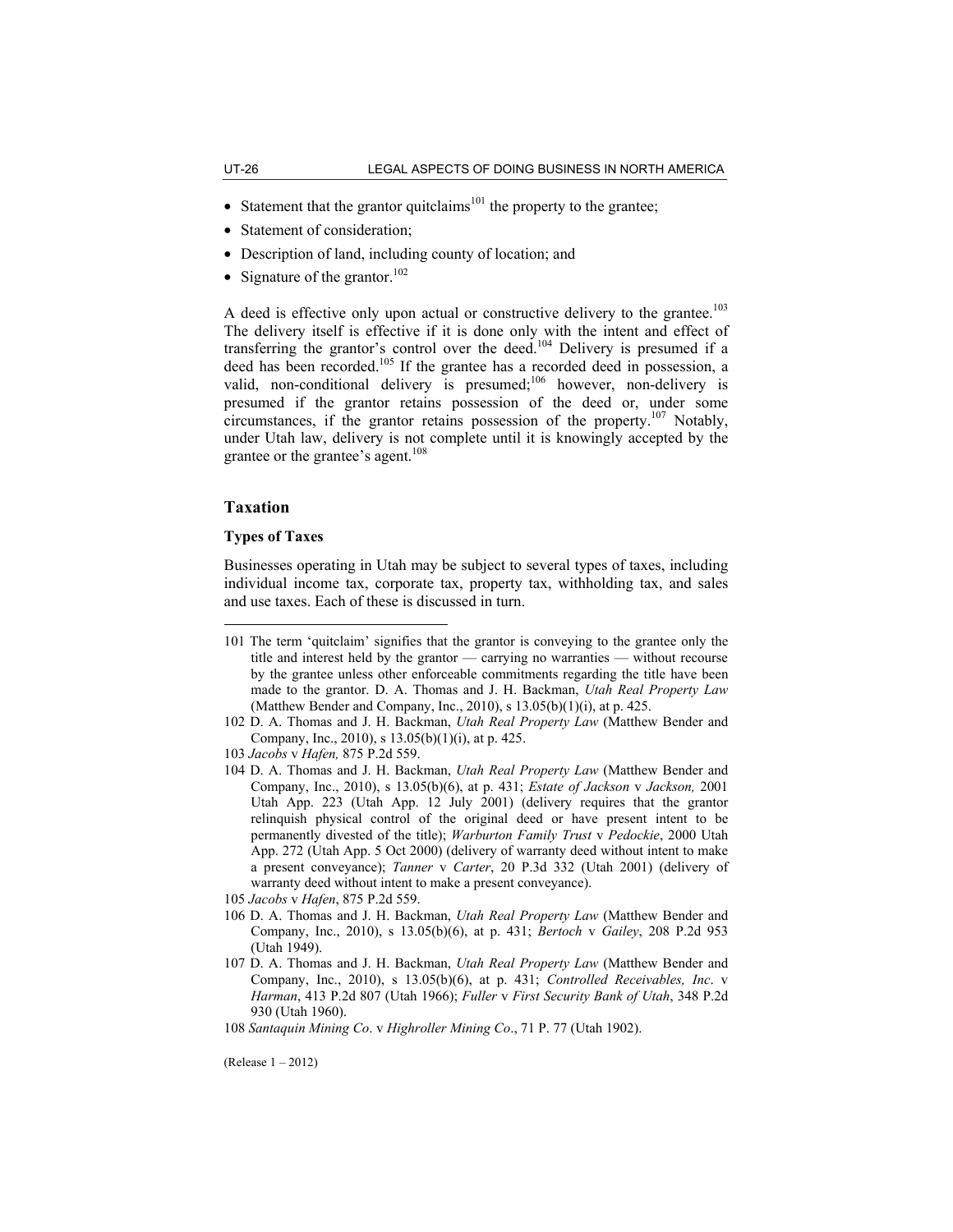- Statement that the grantor quitclaims<sup>101</sup> the property to the grantee;
- Statement of consideration;
- Description of land, including county of location; and
- Signature of the grantor.<sup>102</sup>

A deed is effective only upon actual or constructive delivery to the grantee.<sup>103</sup> The delivery itself is effective if it is done only with the intent and effect of transferring the grantor's control over the deed.<sup>104</sup> Delivery is presumed if a deed has been recorded.<sup>105</sup> If the grantee has a recorded deed in possession, a valid, non-conditional delivery is presumed;<sup>106</sup> however, non-delivery is presumed if the grantor retains possession of the deed or, under some circumstances, if the grantor retains possession of the property.<sup>107</sup> Notably, under Utah law, delivery is not complete until it is knowingly accepted by the grantee or the grantee's agent. $108$ 

# **Taxation**

 $\overline{a}$ 

# **Types of Taxes**

Businesses operating in Utah may be subject to several types of taxes, including individual income tax, corporate tax, property tax, withholding tax, and sales and use taxes. Each of these is discussed in turn.

- 105 *Jacobs* v *Hafen*, 875 P.2d 559.
- 106 D. A. Thomas and J. H. Backman, *Utah Real Property Law* (Matthew Bender and Company, Inc., 2010), s 13.05(b)(6), at p. 431; *Bertoch* v *Gailey*, 208 P.2d 953 (Utah 1949).
- 107 D. A. Thomas and J. H. Backman, *Utah Real Property Law* (Matthew Bender and Company, Inc., 2010), s 13.05(b)(6), at p. 431; *Controlled Receivables, Inc*. v *Harman*, 413 P.2d 807 (Utah 1966); *Fuller* v *First Security Bank of Utah*, 348 P.2d 930 (Utah 1960).

(Release 1 – 2012)

<sup>101</sup> The term 'quitclaim' signifies that the grantor is conveying to the grantee only the title and interest held by the grantor — carrying no warranties — without recourse by the grantee unless other enforceable commitments regarding the title have been made to the grantor. D. A. Thomas and J. H. Backman, *Utah Real Property Law* (Matthew Bender and Company, Inc., 2010), s  $13.05(b)(1)(i)$ , at p. 425.

<sup>102</sup> D. A. Thomas and J. H. Backman, *Utah Real Property Law* (Matthew Bender and Company, Inc., 2010), s 13.05(b)(1)(i), at p. 425.

<sup>103</sup> *Jacobs* v *Hafen,* 875 P.2d 559.

<sup>104</sup> D. A. Thomas and J. H. Backman, *Utah Real Property Law* (Matthew Bender and Company, Inc., 2010), s 13.05(b)(6), at p. 431; *Estate of Jackson* v *Jackson,* 2001 Utah App. 223 (Utah App. 12 July 2001) (delivery requires that the grantor relinquish physical control of the original deed or have present intent to be permanently divested of the title); *Warburton Family Trust* v *Pedockie*, 2000 Utah App. 272 (Utah App. 5 Oct 2000) (delivery of warranty deed without intent to make a present conveyance); *Tanner* v *Carter*, 20 P.3d 332 (Utah 2001) (delivery of warranty deed without intent to make a present conveyance).

<sup>108</sup> *Santaquin Mining Co*. v *Highroller Mining Co*., 71 P. 77 (Utah 1902).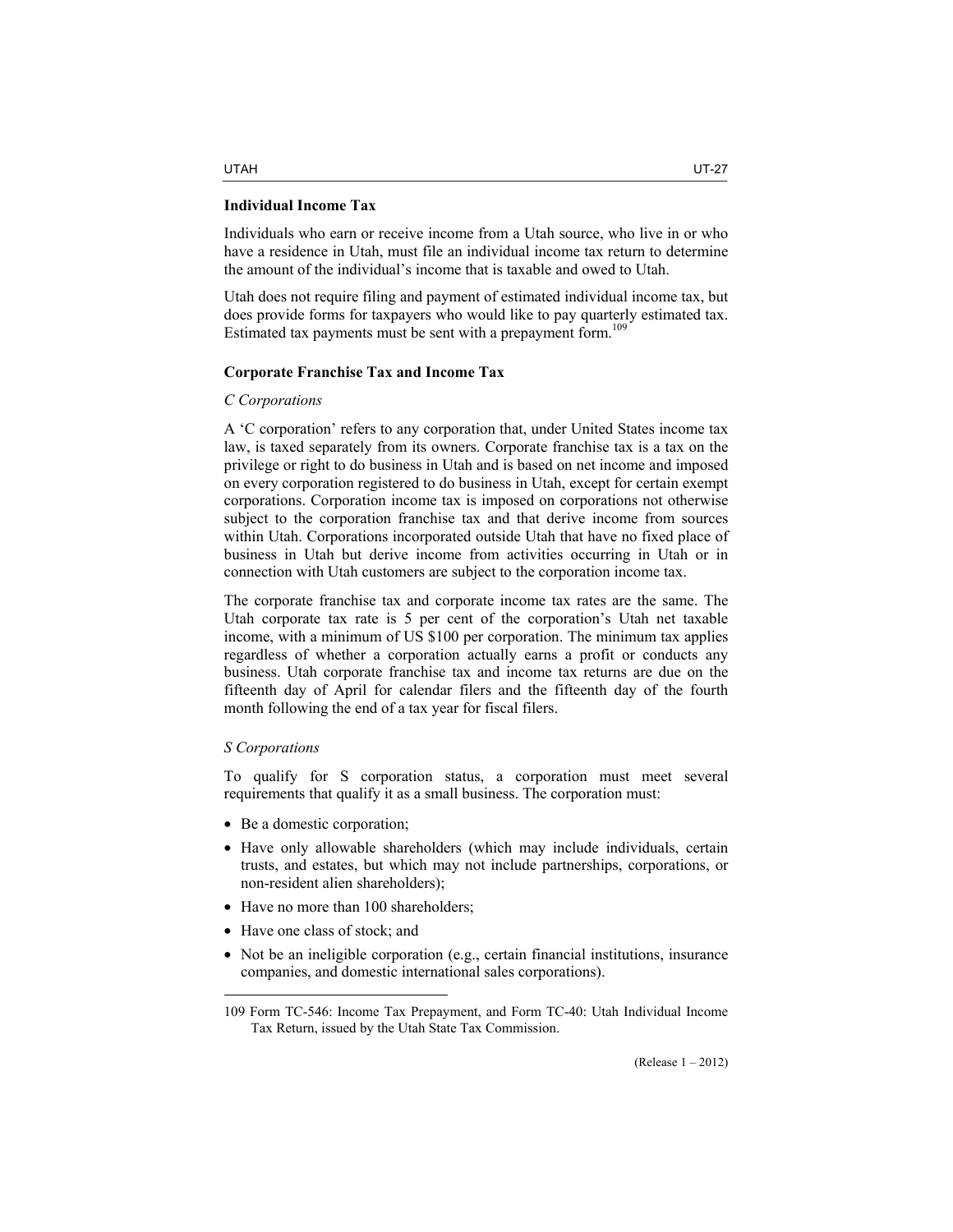#### **Individual Income Tax**

Individuals who earn or receive income from a Utah source, who live in or who have a residence in Utah, must file an individual income tax return to determine the amount of the individual's income that is taxable and owed to Utah.

Utah does not require filing and payment of estimated individual income tax, but does provide forms for taxpayers who would like to pay quarterly estimated tax. Estimated tax payments must be sent with a prepayment form.<sup>109</sup>

#### **Corporate Franchise Tax and Income Tax**

#### *C Corporations*

A 'C corporation' refers to any corporation that, under United States income tax law, is taxed separately from its owners. Corporate franchise tax is a tax on the privilege or right to do business in Utah and is based on net income and imposed on every corporation registered to do business in Utah, except for certain exempt corporations. Corporation income tax is imposed on corporations not otherwise subject to the corporation franchise tax and that derive income from sources within Utah. Corporations incorporated outside Utah that have no fixed place of business in Utah but derive income from activities occurring in Utah or in connection with Utah customers are subject to the corporation income tax.

The corporate franchise tax and corporate income tax rates are the same. The Utah corporate tax rate is 5 per cent of the corporation's Utah net taxable income, with a minimum of US \$100 per corporation. The minimum tax applies regardless of whether a corporation actually earns a profit or conducts any business. Utah corporate franchise tax and income tax returns are due on the fifteenth day of April for calendar filers and the fifteenth day of the fourth month following the end of a tax year for fiscal filers.

# *S Corporations*

 $\overline{a}$ 

To qualify for S corporation status, a corporation must meet several requirements that qualify it as a small business. The corporation must:

- Be a domestic corporation;
- Have only allowable shareholders (which may include individuals, certain trusts, and estates, but which may not include partnerships, corporations, or non-resident alien shareholders);
- Have no more than 100 shareholders;
- Have one class of stock; and
- Not be an ineligible corporation (e.g., certain financial institutions, insurance companies, and domestic international sales corporations).

<sup>109</sup> Form TC-546: Income Tax Prepayment, and Form TC-40: Utah Individual Income Tax Return, issued by the Utah State Tax Commission.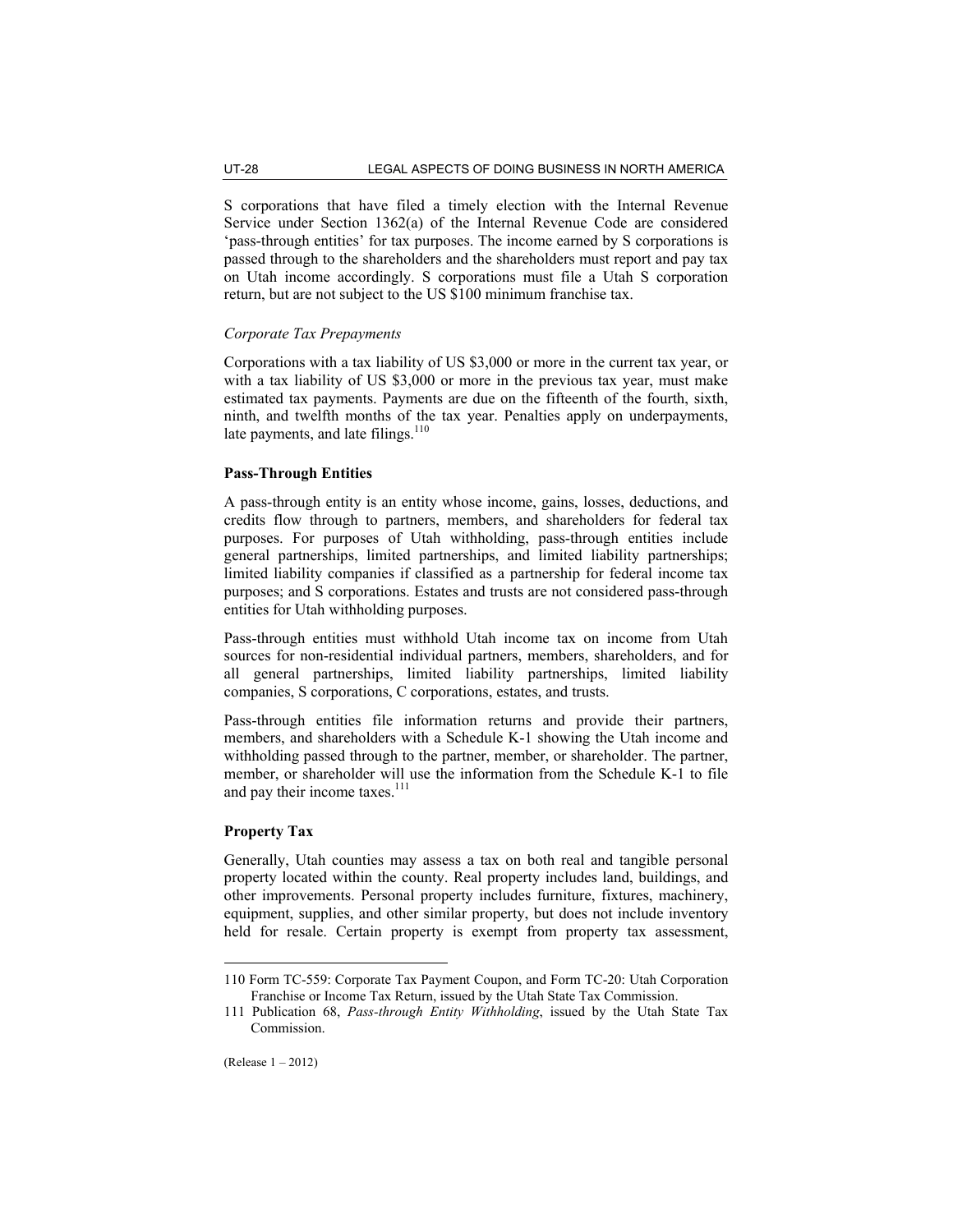S corporations that have filed a timely election with the Internal Revenue Service under Section 1362(a) of the Internal Revenue Code are considered 'pass-through entities' for tax purposes. The income earned by S corporations is passed through to the shareholders and the shareholders must report and pay tax on Utah income accordingly. S corporations must file a Utah S corporation return, but are not subject to the US \$100 minimum franchise tax.

# *Corporate Tax Prepayments*

Corporations with a tax liability of US \$3,000 or more in the current tax year, or with a tax liability of US \$3,000 or more in the previous tax year, must make estimated tax payments. Payments are due on the fifteenth of the fourth, sixth, ninth, and twelfth months of the tax year. Penalties apply on underpayments, late payments, and late filings. $110$ 

# **Pass-Through Entities**

A pass-through entity is an entity whose income, gains, losses, deductions, and credits flow through to partners, members, and shareholders for federal tax purposes. For purposes of Utah withholding, pass-through entities include general partnerships, limited partnerships, and limited liability partnerships; limited liability companies if classified as a partnership for federal income tax purposes; and S corporations. Estates and trusts are not considered pass-through entities for Utah withholding purposes.

Pass-through entities must withhold Utah income tax on income from Utah sources for non-residential individual partners, members, shareholders, and for all general partnerships, limited liability partnerships, limited liability companies, S corporations, C corporations, estates, and trusts.

Pass-through entities file information returns and provide their partners, members, and shareholders with a Schedule K-1 showing the Utah income and withholding passed through to the partner, member, or shareholder. The partner, member, or shareholder will use the information from the Schedule K-1 to file and pay their income taxes. $111$ 

# **Property Tax**

Generally, Utah counties may assess a tax on both real and tangible personal property located within the county. Real property includes land, buildings, and other improvements. Personal property includes furniture, fixtures, machinery, equipment, supplies, and other similar property, but does not include inventory held for resale. Certain property is exempt from property tax assessment,

(Release 1 – 2012)

<sup>110</sup> Form TC-559: Corporate Tax Payment Coupon, and Form TC-20: Utah Corporation Franchise or Income Tax Return, issued by the Utah State Tax Commission.

<sup>111</sup> Publication 68, *Pass-through Entity Withholding*, issued by the Utah State Tax Commission.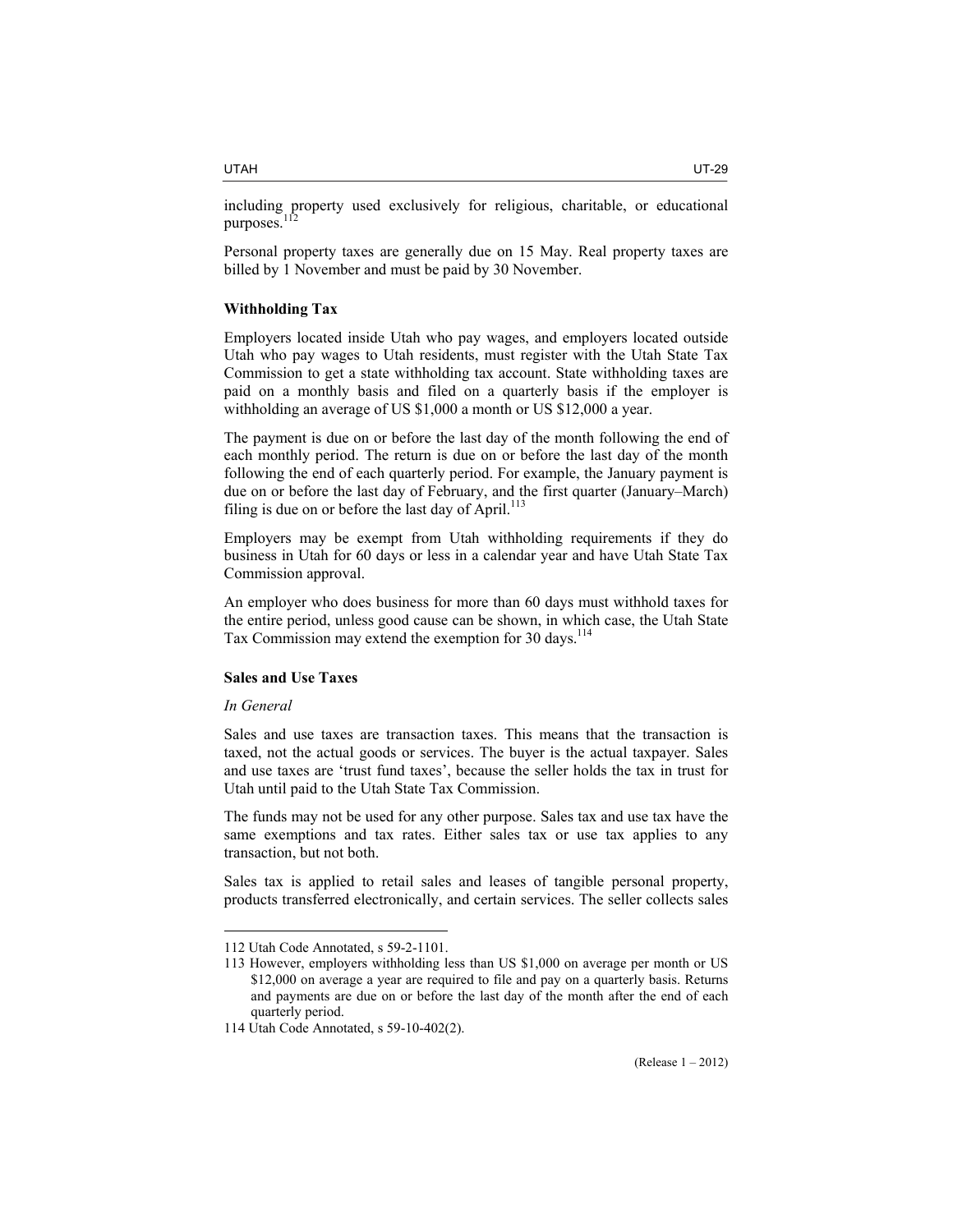Personal property taxes are generally due on 15 May. Real property taxes are billed by 1 November and must be paid by 30 November.

# **Withholding Tax**

Employers located inside Utah who pay wages, and employers located outside Utah who pay wages to Utah residents, must register with the Utah State Tax Commission to get a state withholding tax account. State withholding taxes are paid on a monthly basis and filed on a quarterly basis if the employer is withholding an average of US \$1,000 a month or US \$12,000 a year.

The payment is due on or before the last day of the month following the end of each monthly period. The return is due on or before the last day of the month following the end of each quarterly period. For example, the January payment is due on or before the last day of February, and the first quarter (January–March) filing is due on or before the last day of April. $113$ 

Employers may be exempt from Utah withholding requirements if they do business in Utah for 60 days or less in a calendar year and have Utah State Tax Commission approval.

An employer who does business for more than 60 days must withhold taxes for the entire period, unless good cause can be shown, in which case, the Utah State Tax Commission may extend the exemption for 30 days.<sup>114</sup>

# **Sales and Use Taxes**

# *In General*

 $\overline{a}$ 

Sales and use taxes are transaction taxes. This means that the transaction is taxed, not the actual goods or services. The buyer is the actual taxpayer. Sales and use taxes are 'trust fund taxes', because the seller holds the tax in trust for Utah until paid to the Utah State Tax Commission.

The funds may not be used for any other purpose. Sales tax and use tax have the same exemptions and tax rates. Either sales tax or use tax applies to any transaction, but not both.

Sales tax is applied to retail sales and leases of tangible personal property, products transferred electronically, and certain services. The seller collects sales

<sup>112</sup> Utah Code Annotated, s 59-2-1101.

<sup>113</sup> However, employers withholding less than US \$1,000 on average per month or US \$12,000 on average a year are required to file and pay on a quarterly basis. Returns and payments are due on or before the last day of the month after the end of each quarterly period.

<sup>114</sup> Utah Code Annotated, s 59-10-402(2).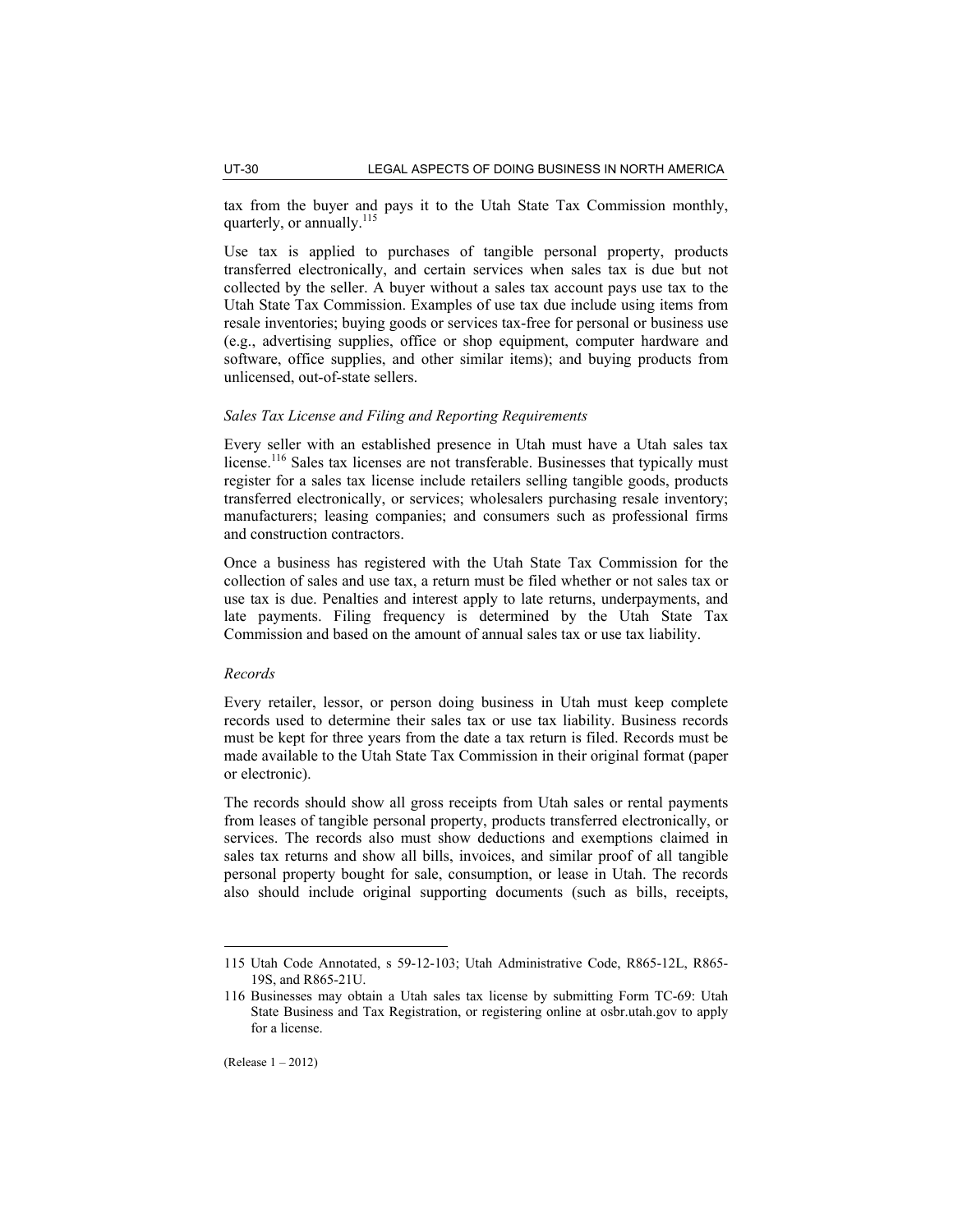tax from the buyer and pays it to the Utah State Tax Commission monthly, quarterly, or annually.<sup>115</sup>

Use tax is applied to purchases of tangible personal property, products transferred electronically, and certain services when sales tax is due but not collected by the seller. A buyer without a sales tax account pays use tax to the Utah State Tax Commission. Examples of use tax due include using items from resale inventories; buying goods or services tax-free for personal or business use (e.g., advertising supplies, office or shop equipment, computer hardware and software, office supplies, and other similar items); and buying products from unlicensed, out-of-state sellers.

#### *Sales Tax License and Filing and Reporting Requirements*

Every seller with an established presence in Utah must have a Utah sales tax license.<sup>116</sup> Sales tax licenses are not transferable. Businesses that typically must register for a sales tax license include retailers selling tangible goods, products transferred electronically, or services; wholesalers purchasing resale inventory; manufacturers; leasing companies; and consumers such as professional firms and construction contractors.

Once a business has registered with the Utah State Tax Commission for the collection of sales and use tax, a return must be filed whether or not sales tax or use tax is due. Penalties and interest apply to late returns, underpayments, and late payments. Filing frequency is determined by the Utah State Tax Commission and based on the amount of annual sales tax or use tax liability.

## *Records*

Every retailer, lessor, or person doing business in Utah must keep complete records used to determine their sales tax or use tax liability. Business records must be kept for three years from the date a tax return is filed. Records must be made available to the Utah State Tax Commission in their original format (paper or electronic).

The records should show all gross receipts from Utah sales or rental payments from leases of tangible personal property, products transferred electronically, or services. The records also must show deductions and exemptions claimed in sales tax returns and show all bills, invoices, and similar proof of all tangible personal property bought for sale, consumption, or lease in Utah. The records also should include original supporting documents (such as bills, receipts,

<sup>115</sup> Utah Code Annotated, s 59-12-103; Utah Administrative Code, R865-12L, R865- 19S, and R865-21U.

<sup>116</sup> Businesses may obtain a Utah sales tax license by submitting Form TC-69: Utah State Business and Tax Registration, or registering online at osbr.utah.gov to apply for a license.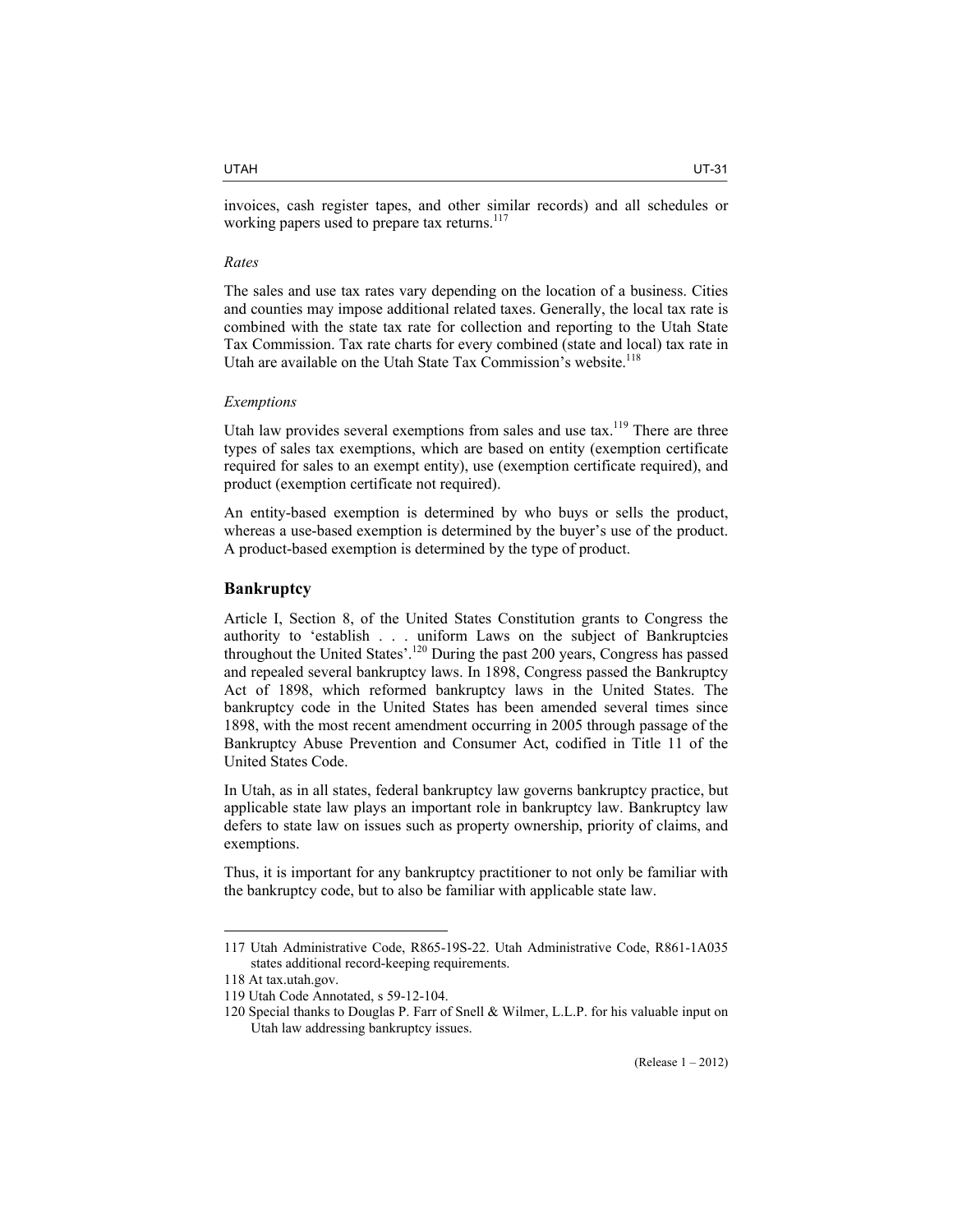#### *Rates*

The sales and use tax rates vary depending on the location of a business. Cities and counties may impose additional related taxes. Generally, the local tax rate is combined with the state tax rate for collection and reporting to the Utah State Tax Commission. Tax rate charts for every combined (state and local) tax rate in Utah are available on the Utah State Tax Commission's website.<sup>118</sup>

# *Exemptions*

Utah law provides several exemptions from sales and use  $\text{tax.}^{119}$  There are three types of sales tax exemptions, which are based on entity (exemption certificate required for sales to an exempt entity), use (exemption certificate required), and product (exemption certificate not required).

An entity-based exemption is determined by who buys or sells the product, whereas a use-based exemption is determined by the buyer's use of the product. A product-based exemption is determined by the type of product.

## **Bankruptcy**

Article I, Section 8, of the United States Constitution grants to Congress the authority to 'establish . . . uniform Laws on the subject of Bankruptcies throughout the United States'.<sup>120</sup> During the past 200 years, Congress has passed and repealed several bankruptcy laws. In 1898, Congress passed the Bankruptcy Act of 1898, which reformed bankruptcy laws in the United States. The bankruptcy code in the United States has been amended several times since 1898, with the most recent amendment occurring in 2005 through passage of the Bankruptcy Abuse Prevention and Consumer Act, codified in Title 11 of the United States Code.

In Utah, as in all states, federal bankruptcy law governs bankruptcy practice, but applicable state law plays an important role in bankruptcy law. Bankruptcy law defers to state law on issues such as property ownership, priority of claims, and exemptions.

Thus, it is important for any bankruptcy practitioner to not only be familiar with the bankruptcy code, but to also be familiar with applicable state law.

<sup>117</sup> Utah Administrative Code, R865-19S-22. Utah Administrative Code, R861-1A035 states additional record-keeping requirements.

<sup>118</sup> At tax.utah.gov.

<sup>119</sup> Utah Code Annotated, s 59-12-104.

<sup>120</sup> Special thanks to Douglas P. Farr of Snell & Wilmer, L.L.P. for his valuable input on Utah law addressing bankruptcy issues.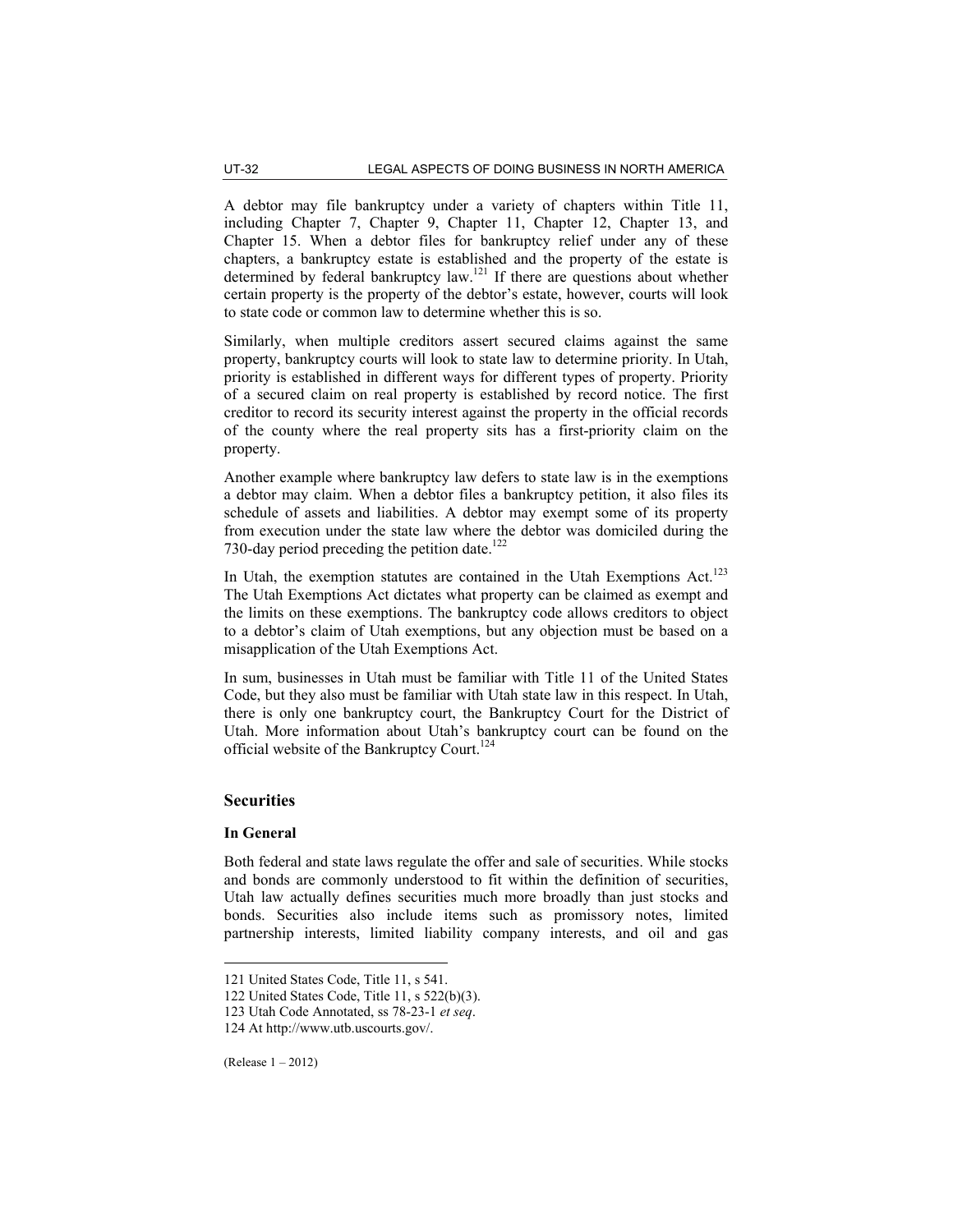A debtor may file bankruptcy under a variety of chapters within Title 11, including Chapter 7, Chapter 9, Chapter 11, Chapter 12, Chapter 13, and Chapter 15. When a debtor files for bankruptcy relief under any of these chapters, a bankruptcy estate is established and the property of the estate is determined by federal bankruptcy law.121 If there are questions about whether certain property is the property of the debtor's estate, however, courts will look to state code or common law to determine whether this is so.

Similarly, when multiple creditors assert secured claims against the same property, bankruptcy courts will look to state law to determine priority. In Utah, priority is established in different ways for different types of property. Priority of a secured claim on real property is established by record notice. The first creditor to record its security interest against the property in the official records of the county where the real property sits has a first-priority claim on the property.

Another example where bankruptcy law defers to state law is in the exemptions a debtor may claim. When a debtor files a bankruptcy petition, it also files its schedule of assets and liabilities. A debtor may exempt some of its property from execution under the state law where the debtor was domiciled during the 730-day period preceding the petition date.<sup>122</sup>

In Utah, the exemption statutes are contained in the Utah Exemptions Act. $123$ The Utah Exemptions Act dictates what property can be claimed as exempt and the limits on these exemptions. The bankruptcy code allows creditors to object to a debtor's claim of Utah exemptions, but any objection must be based on a misapplication of the Utah Exemptions Act.

In sum, businesses in Utah must be familiar with Title 11 of the United States Code, but they also must be familiar with Utah state law in this respect. In Utah, there is only one bankruptcy court, the Bankruptcy Court for the District of Utah. More information about Utah's bankruptcy court can be found on the official website of the Bankruptcy Court.<sup>124</sup>

# **Securities**

## **In General**

 $\overline{a}$ 

Both federal and state laws regulate the offer and sale of securities. While stocks and bonds are commonly understood to fit within the definition of securities, Utah law actually defines securities much more broadly than just stocks and bonds. Securities also include items such as promissory notes, limited partnership interests, limited liability company interests, and oil and gas

<sup>121</sup> United States Code, Title 11, s 541.

<sup>122</sup> United States Code, Title 11, s 522(b)(3).

<sup>123</sup> Utah Code Annotated, ss 78-23-1 *et seq*.

<sup>124</sup> At http://www.utb.uscourts.gov/.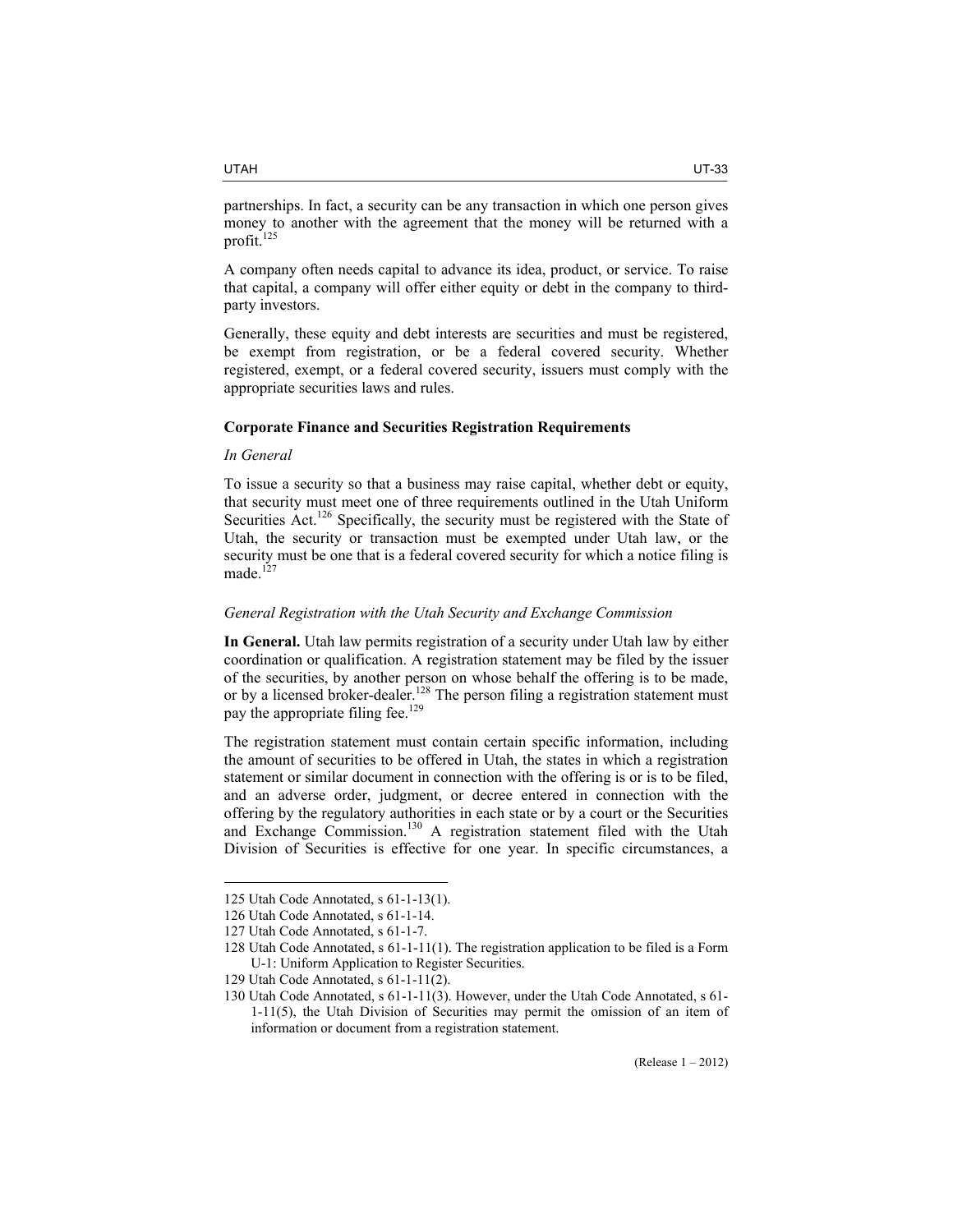partnerships. In fact, a security can be any transaction in which one person gives money to another with the agreement that the money will be returned with a profit.<sup>125</sup>

A company often needs capital to advance its idea, product, or service. To raise that capital, a company will offer either equity or debt in the company to thirdparty investors.

Generally, these equity and debt interests are securities and must be registered, be exempt from registration, or be a federal covered security. Whether registered, exempt, or a federal covered security, issuers must comply with the appropriate securities laws and rules.

# **Corporate Finance and Securities Registration Requirements**

#### *In General*

To issue a security so that a business may raise capital, whether debt or equity, that security must meet one of three requirements outlined in the Utah Uniform Securities Act.<sup>126</sup> Specifically, the security must be registered with the State of Utah, the security or transaction must be exempted under Utah law, or the security must be one that is a federal covered security for which a notice filing is made.<sup>127</sup>

# *General Registration with the Utah Security and Exchange Commission*

**In General.** Utah law permits registration of a security under Utah law by either coordination or qualification. A registration statement may be filed by the issuer of the securities, by another person on whose behalf the offering is to be made, or by a licensed broker-dealer.<sup>128</sup> The person filing a registration statement must pay the appropriate filing fee.<sup>129</sup>

The registration statement must contain certain specific information, including the amount of securities to be offered in Utah, the states in which a registration statement or similar document in connection with the offering is or is to be filed, and an adverse order, judgment, or decree entered in connection with the offering by the regulatory authorities in each state or by a court or the Securities and Exchange Commission.<sup>130</sup> A registration statement filed with the Utah Division of Securities is effective for one year. In specific circumstances, a

<sup>125</sup> Utah Code Annotated, s 61-1-13(1).

<sup>126</sup> Utah Code Annotated, s 61-1-14.

<sup>127</sup> Utah Code Annotated, s 61-1-7.

<sup>128</sup> Utah Code Annotated, s 61-1-11(1). The registration application to be filed is a Form U-1: Uniform Application to Register Securities.

<sup>129</sup> Utah Code Annotated, s 61-1-11(2).

<sup>130</sup> Utah Code Annotated, s 61-1-11(3). However, under the Utah Code Annotated, s 61- 1-11(5), the Utah Division of Securities may permit the omission of an item of information or document from a registration statement.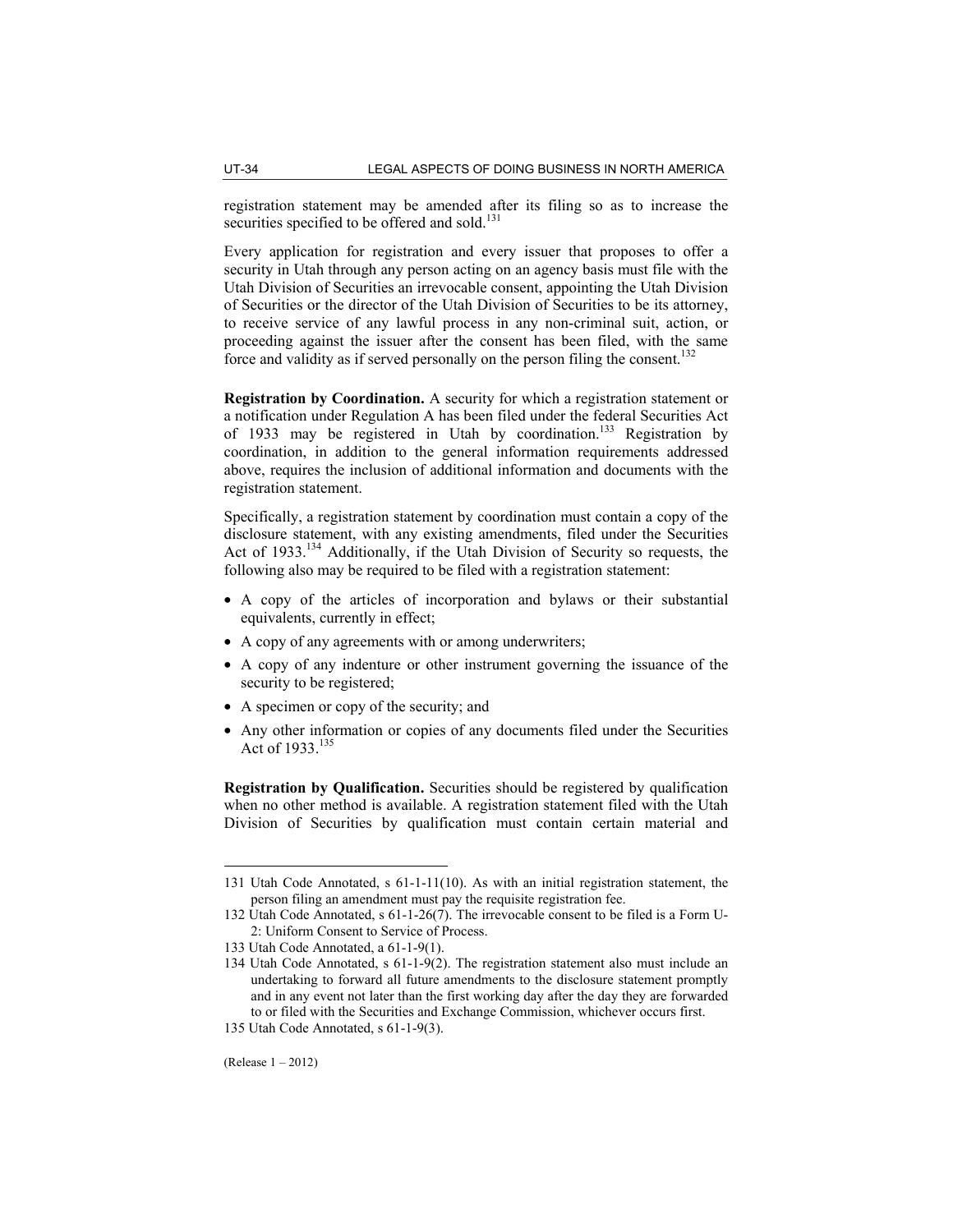registration statement may be amended after its filing so as to increase the securities specified to be offered and sold.<sup>131</sup>

Every application for registration and every issuer that proposes to offer a security in Utah through any person acting on an agency basis must file with the Utah Division of Securities an irrevocable consent, appointing the Utah Division of Securities or the director of the Utah Division of Securities to be its attorney, to receive service of any lawful process in any non-criminal suit, action, or proceeding against the issuer after the consent has been filed, with the same force and validity as if served personally on the person filing the consent.<sup>132</sup>

**Registration by Coordination.** A security for which a registration statement or a notification under Regulation A has been filed under the federal Securities Act of 1933 may be registered in Utah by coordination.133 Registration by coordination, in addition to the general information requirements addressed above, requires the inclusion of additional information and documents with the registration statement.

Specifically, a registration statement by coordination must contain a copy of the disclosure statement, with any existing amendments, filed under the Securities Act of 1933.<sup>134</sup> Additionally, if the Utah Division of Security so requests, the following also may be required to be filed with a registration statement:

- A copy of the articles of incorporation and bylaws or their substantial equivalents, currently in effect;
- A copy of any agreements with or among underwriters;
- A copy of any indenture or other instrument governing the issuance of the security to be registered;
- A specimen or copy of the security; and
- Any other information or copies of any documents filed under the Securities Act of 1933.<sup>135</sup>

**Registration by Qualification.** Securities should be registered by qualification when no other method is available. A registration statement filed with the Utah Division of Securities by qualification must contain certain material and

<sup>131</sup> Utah Code Annotated, s 61-1-11(10). As with an initial registration statement, the person filing an amendment must pay the requisite registration fee.

<sup>132</sup> Utah Code Annotated, s 61-1-26(7). The irrevocable consent to be filed is a Form U-2: Uniform Consent to Service of Process.

<sup>133</sup> Utah Code Annotated, a 61-1-9(1).

<sup>134</sup> Utah Code Annotated, s 61-1-9(2). The registration statement also must include an undertaking to forward all future amendments to the disclosure statement promptly and in any event not later than the first working day after the day they are forwarded to or filed with the Securities and Exchange Commission, whichever occurs first.

<sup>135</sup> Utah Code Annotated, s 61-1-9(3).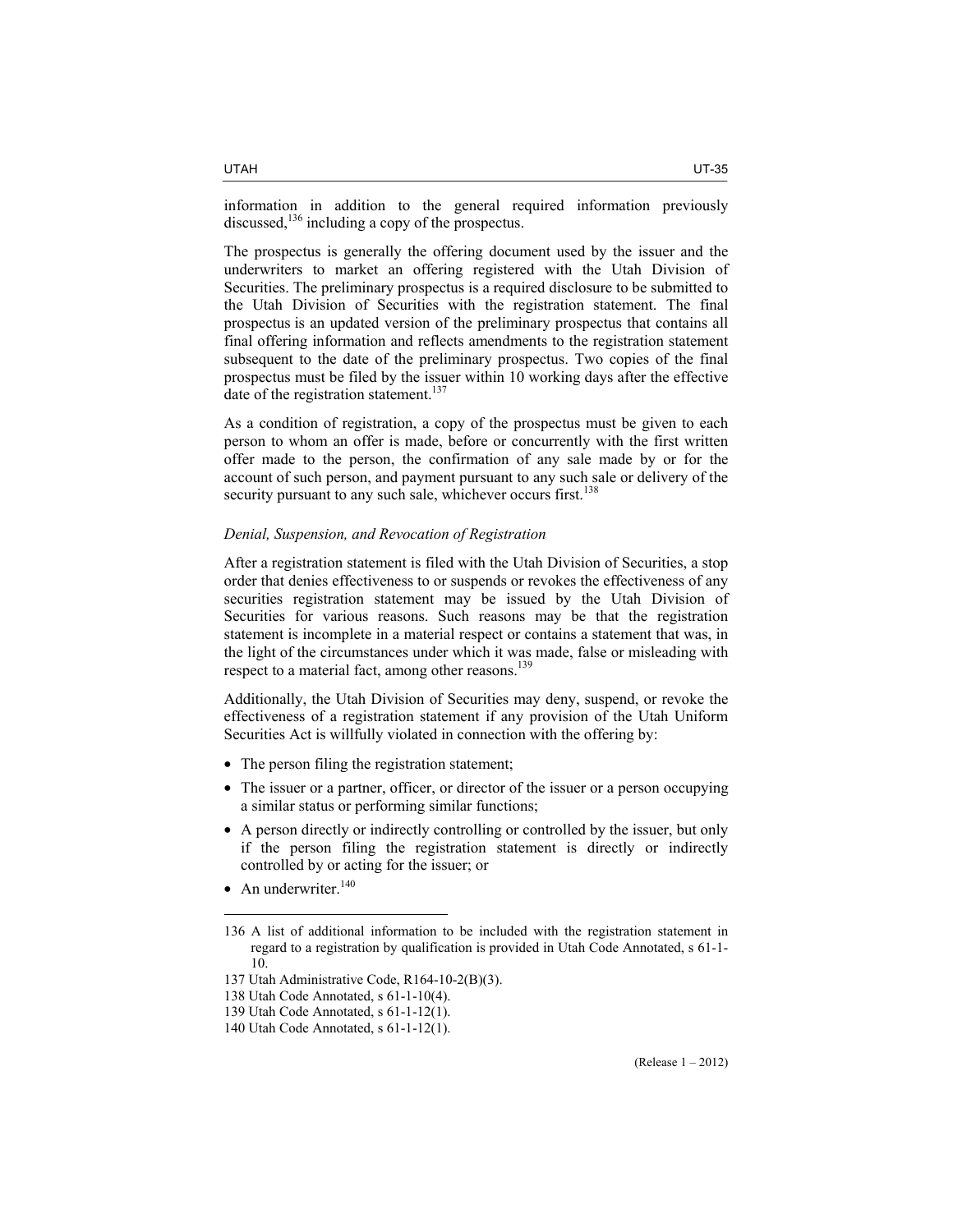information in addition to the general required information previously discussed, $136$  including a copy of the prospectus.

The prospectus is generally the offering document used by the issuer and the underwriters to market an offering registered with the Utah Division of Securities. The preliminary prospectus is a required disclosure to be submitted to the Utah Division of Securities with the registration statement. The final prospectus is an updated version of the preliminary prospectus that contains all final offering information and reflects amendments to the registration statement subsequent to the date of the preliminary prospectus. Two copies of the final prospectus must be filed by the issuer within 10 working days after the effective date of the registration statement.<sup>137</sup>

As a condition of registration, a copy of the prospectus must be given to each person to whom an offer is made, before or concurrently with the first written offer made to the person, the confirmation of any sale made by or for the account of such person, and payment pursuant to any such sale or delivery of the security pursuant to any such sale, whichever occurs first.<sup>138</sup>

#### *Denial, Suspension, and Revocation of Registration*

After a registration statement is filed with the Utah Division of Securities, a stop order that denies effectiveness to or suspends or revokes the effectiveness of any securities registration statement may be issued by the Utah Division of Securities for various reasons. Such reasons may be that the registration statement is incomplete in a material respect or contains a statement that was, in the light of the circumstances under which it was made, false or misleading with respect to a material fact, among other reasons.<sup>139</sup>

Additionally, the Utah Division of Securities may deny, suspend, or revoke the effectiveness of a registration statement if any provision of the Utah Uniform Securities Act is willfully violated in connection with the offering by:

- The person filing the registration statement;
- The issuer or a partner, officer, or director of the issuer or a person occupying a similar status or performing similar functions;
- A person directly or indirectly controlling or controlled by the issuer, but only if the person filing the registration statement is directly or indirectly controlled by or acting for the issuer; or
- An underwriter. $140$

<sup>136</sup> A list of additional information to be included with the registration statement in regard to a registration by qualification is provided in Utah Code Annotated, s 61-1- 10.

<sup>137</sup> Utah Administrative Code, R164-10-2(B)(3).

<sup>138</sup> Utah Code Annotated, s 61-1-10(4).

<sup>139</sup> Utah Code Annotated, s 61-1-12(1).

<sup>140</sup> Utah Code Annotated, s 61-1-12(1).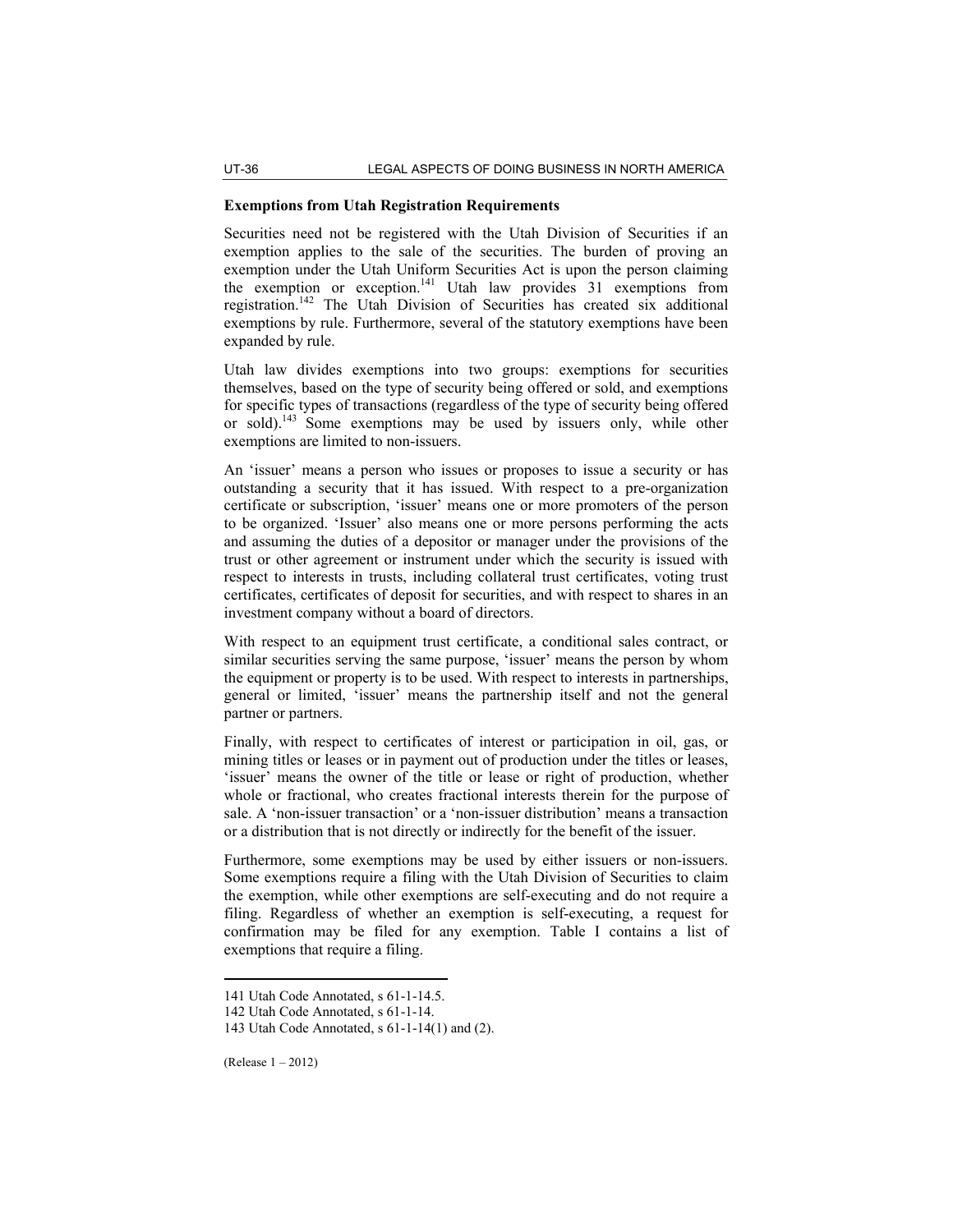# **Exemptions from Utah Registration Requirements**

Securities need not be registered with the Utah Division of Securities if an exemption applies to the sale of the securities. The burden of proving an exemption under the Utah Uniform Securities Act is upon the person claiming the exemption or exception.<sup>141</sup> Utah law provides 31 exemptions from registration.142 The Utah Division of Securities has created six additional exemptions by rule. Furthermore, several of the statutory exemptions have been expanded by rule.

Utah law divides exemptions into two groups: exemptions for securities themselves, based on the type of security being offered or sold, and exemptions for specific types of transactions (regardless of the type of security being offered or sold).<sup>143</sup> Some exemptions may be used by issuers only, while other exemptions are limited to non-issuers.

An 'issuer' means a person who issues or proposes to issue a security or has outstanding a security that it has issued. With respect to a pre-organization certificate or subscription, 'issuer' means one or more promoters of the person to be organized. 'Issuer' also means one or more persons performing the acts and assuming the duties of a depositor or manager under the provisions of the trust or other agreement or instrument under which the security is issued with respect to interests in trusts, including collateral trust certificates, voting trust certificates, certificates of deposit for securities, and with respect to shares in an investment company without a board of directors.

With respect to an equipment trust certificate, a conditional sales contract, or similar securities serving the same purpose, 'issuer' means the person by whom the equipment or property is to be used. With respect to interests in partnerships, general or limited, 'issuer' means the partnership itself and not the general partner or partners.

Finally, with respect to certificates of interest or participation in oil, gas, or mining titles or leases or in payment out of production under the titles or leases, 'issuer' means the owner of the title or lease or right of production, whether whole or fractional, who creates fractional interests therein for the purpose of sale. A 'non-issuer transaction' or a 'non-issuer distribution' means a transaction or a distribution that is not directly or indirectly for the benefit of the issuer.

Furthermore, some exemptions may be used by either issuers or non-issuers. Some exemptions require a filing with the Utah Division of Securities to claim the exemption, while other exemptions are self-executing and do not require a filing. Regardless of whether an exemption is self-executing, a request for confirmation may be filed for any exemption. Table I contains a list of exemptions that require a filing.

<sup>141</sup> Utah Code Annotated, s 61-1-14.5.

<sup>142</sup> Utah Code Annotated, s 61-1-14.

<sup>143</sup> Utah Code Annotated, s 61-1-14(1) and (2).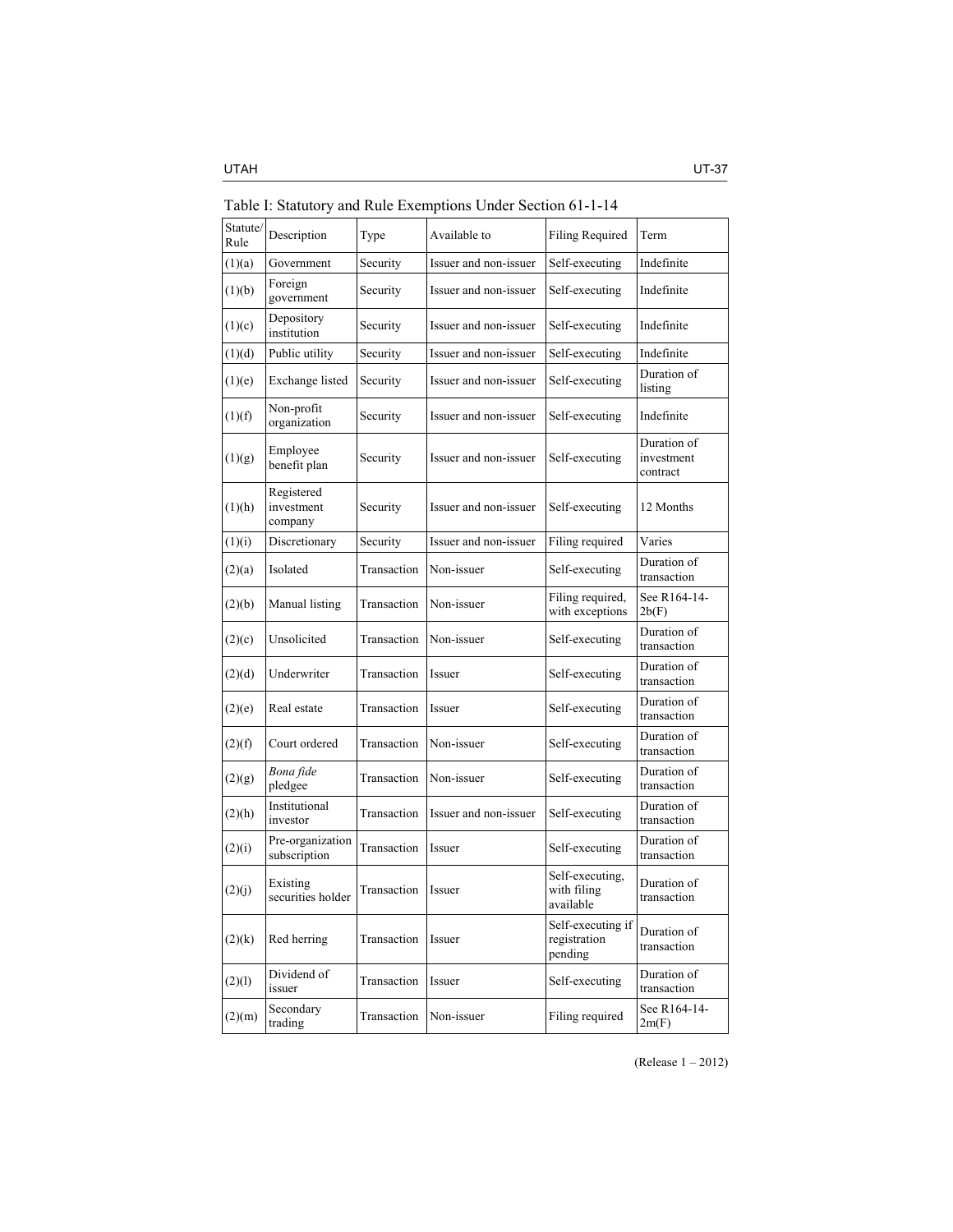| Statute/<br>Rule | Description                         | Type        | Available to          | Filing Required                              | Term                                  |
|------------------|-------------------------------------|-------------|-----------------------|----------------------------------------------|---------------------------------------|
| (1)(a)           | Government                          | Security    | Issuer and non-issuer | Self-executing                               | Indefinite                            |
| (1)(b)           | Foreign<br>government               | Security    | Issuer and non-issuer | Self-executing                               | Indefinite                            |
| (1)(c)           | Depository<br>institution           | Security    | Issuer and non-issuer | Self-executing                               | Indefinite                            |
| (1)(d)           | Public utility                      | Security    | Issuer and non-issuer | Self-executing                               | Indefinite                            |
| (1)(e)           | Exchange listed                     | Security    | Issuer and non-issuer | Self-executing                               | Duration of<br>listing                |
| (1)(f)           | Non-profit<br>organization          | Security    | Issuer and non-issuer | Self-executing                               | Indefinite                            |
| (1)(g)           | Employee<br>benefit plan            | Security    | Issuer and non-issuer | Self-executing                               | Duration of<br>investment<br>contract |
| (1)(h)           | Registered<br>investment<br>company | Security    | Issuer and non-issuer | Self-executing                               | 12 Months                             |
| (1)(i)           | Discretionary                       | Security    | Issuer and non-issuer | Filing required                              | Varies                                |
| (2)(a)           | Isolated                            | Transaction | Non-issuer            | Self-executing                               | Duration of<br>transaction            |
| (2)(b)           | Manual listing                      | Transaction | Non-issuer            | Filing required,<br>with exceptions          | See R164-14-<br>2b(F)                 |
| (2)(c)           | Unsolicited                         | Transaction | Non-issuer            | Self-executing                               | Duration of<br>transaction            |
| (2)(d)           | Underwriter                         | Transaction | Issuer                | Self-executing                               | Duration of<br>transaction            |
| (2)(e)           | Real estate                         | Transaction | Issuer                | Self-executing                               | Duration of<br>transaction            |
| (2)(f)           | Court ordered                       | Transaction | Non-issuer            | Self-executing                               | Duration of<br>transaction            |
| (2)(g)           | Bona fide<br>pledgee                | Transaction | Non-issuer            | Self-executing                               | Duration of<br>transaction            |
| (2)(h)           | Institutional<br>investor           | Transaction | Issuer and non-issuer | Self-executing                               | Duration of<br>transaction            |
| (2)(i)           | Pre-organization<br>subscription    | Transaction | Issuer                | Self-executing                               | Duration of<br>transaction            |
| (2)(j)           | Existing<br>securities holder       | Transaction | Issuer                | Self-executing,<br>with filing<br>available  | Duration of<br>transaction            |
| (2)(k)           | Red herring                         | Transaction | Issuer                | Self-executing if<br>registration<br>pending | Duration of<br>transaction            |
| (2)(1)           | Dividend of<br>issuer               | Transaction | Issuer                | Self-executing                               | Duration of<br>transaction            |
| (2)(m)           | Secondary<br>trading                | Transaction | Non-issuer            | Filing required                              | See R164-14-<br>2m(F)                 |

Table I: Statutory and Rule Exemptions Under Section 61-1-14

(Release 1 – 2012)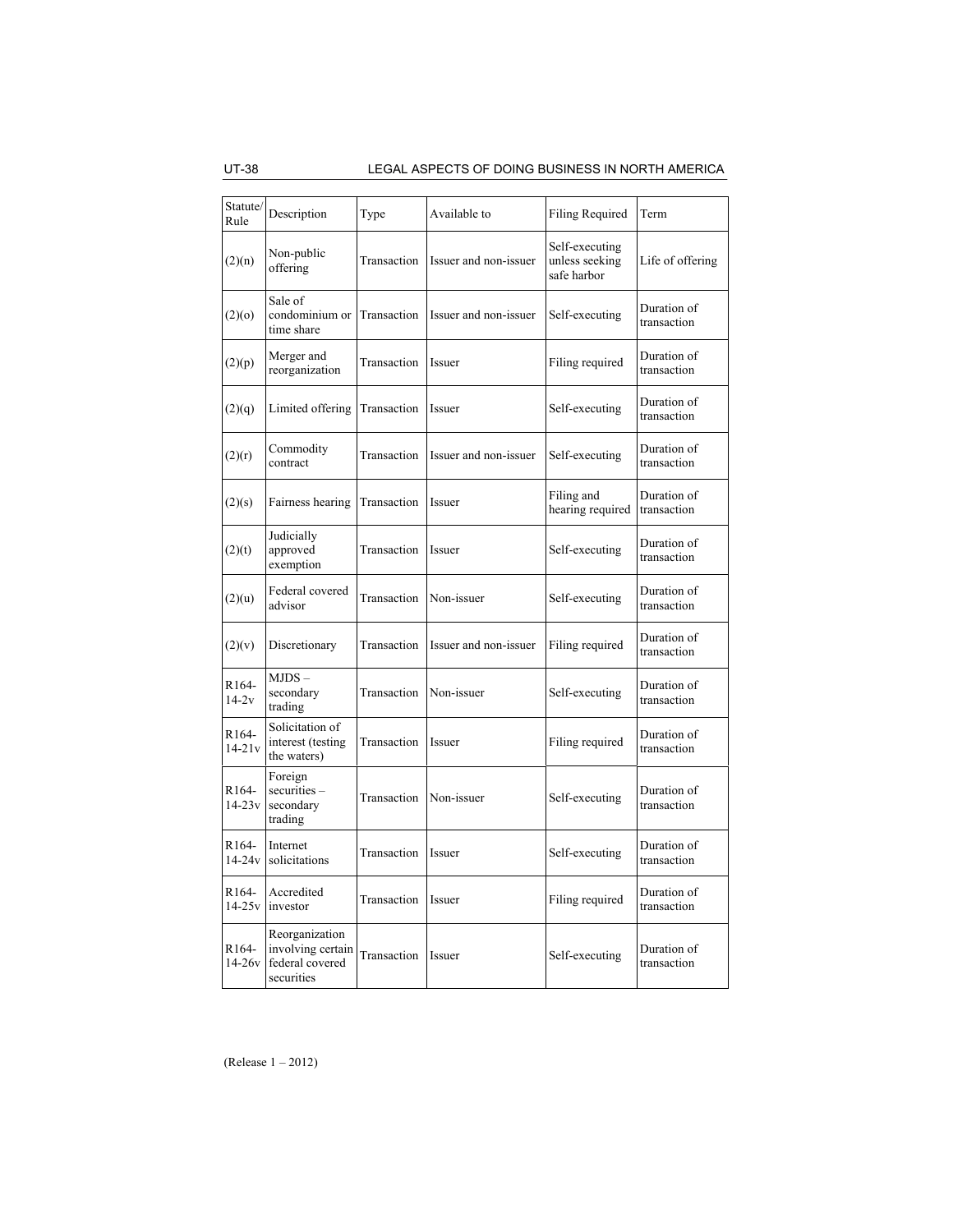UT-38 LEGAL ASPECTS OF DOING BUSINESS IN NORTH AMERICA

| Statute/                         |                                                                      |             |                       |                                                 |                            |
|----------------------------------|----------------------------------------------------------------------|-------------|-----------------------|-------------------------------------------------|----------------------------|
| Rule                             | Description                                                          | Type        | Available to          | Filing Required                                 | Term                       |
| (2)(n)                           | Non-public<br>offering                                               | Transaction | Issuer and non-issuer | Self-executing<br>unless seeking<br>safe harbor | Life of offering           |
| (2)(0)                           | Sale of<br>condominium or<br>time share                              | Transaction | Issuer and non-issuer | Self-executing                                  | Duration of<br>transaction |
| (2)(p)                           | Merger and<br>reorganization                                         | Transaction | Issuer                | Filing required                                 | Duration of<br>transaction |
| (2)(q)                           | Limited offering                                                     | Transaction | Issuer                | Self-executing                                  | Duration of<br>transaction |
| (2)(r)                           | Commodity<br>contract                                                | Transaction | Issuer and non-issuer | Self-executing                                  | Duration of<br>transaction |
| (2)(s)                           | Fairness hearing                                                     | Transaction | Issuer                | Filing and<br>hearing required                  | Duration of<br>transaction |
| (2)(t)                           | Judicially<br>approved<br>exemption                                  | Transaction | Issuer                | Self-executing                                  | Duration of<br>transaction |
| (2)(u)                           | Federal covered<br>advisor                                           | Transaction | Non-issuer            | Self-executing                                  | Duration of<br>transaction |
| (2)(v)                           | Discretionary                                                        | Transaction | Issuer and non-issuer | Filing required                                 | Duration of<br>transaction |
| R <sub>164</sub> -<br>$14-2v$    | $MJDS -$<br>secondary<br>trading                                     | Transaction | Non-issuer            | Self-executing                                  | Duration of<br>transaction |
| R <sub>164</sub> -<br>$14 - 21v$ | Solicitation of<br>interest (testing<br>the waters)                  | Transaction | Issuer                | Filing required                                 | Duration of<br>transaction |
| R <sub>164</sub> -<br>$14 - 23v$ | Foreign<br>$securities -$<br>secondary<br>trading                    | Transaction | Non-issuer            | Self-executing                                  | Duration of<br>transaction |
| R <sub>164</sub> -<br>$14 - 24v$ | Internet<br>solicitations                                            | Transaction | Issuer                | Self-executing                                  | Duration of<br>transaction |
| R <sub>164</sub> -<br>$14 - 25v$ | Accredited<br>investor                                               | Transaction | Issuer                | Filing required                                 | Duration of<br>transaction |
| R <sub>164</sub> -<br>$14 - 26v$ | Reorganization<br>involving certain<br>federal covered<br>securities | Transaction | Issuer                | Self-executing                                  | Duration of<br>transaction |

(Release 1 – 2012)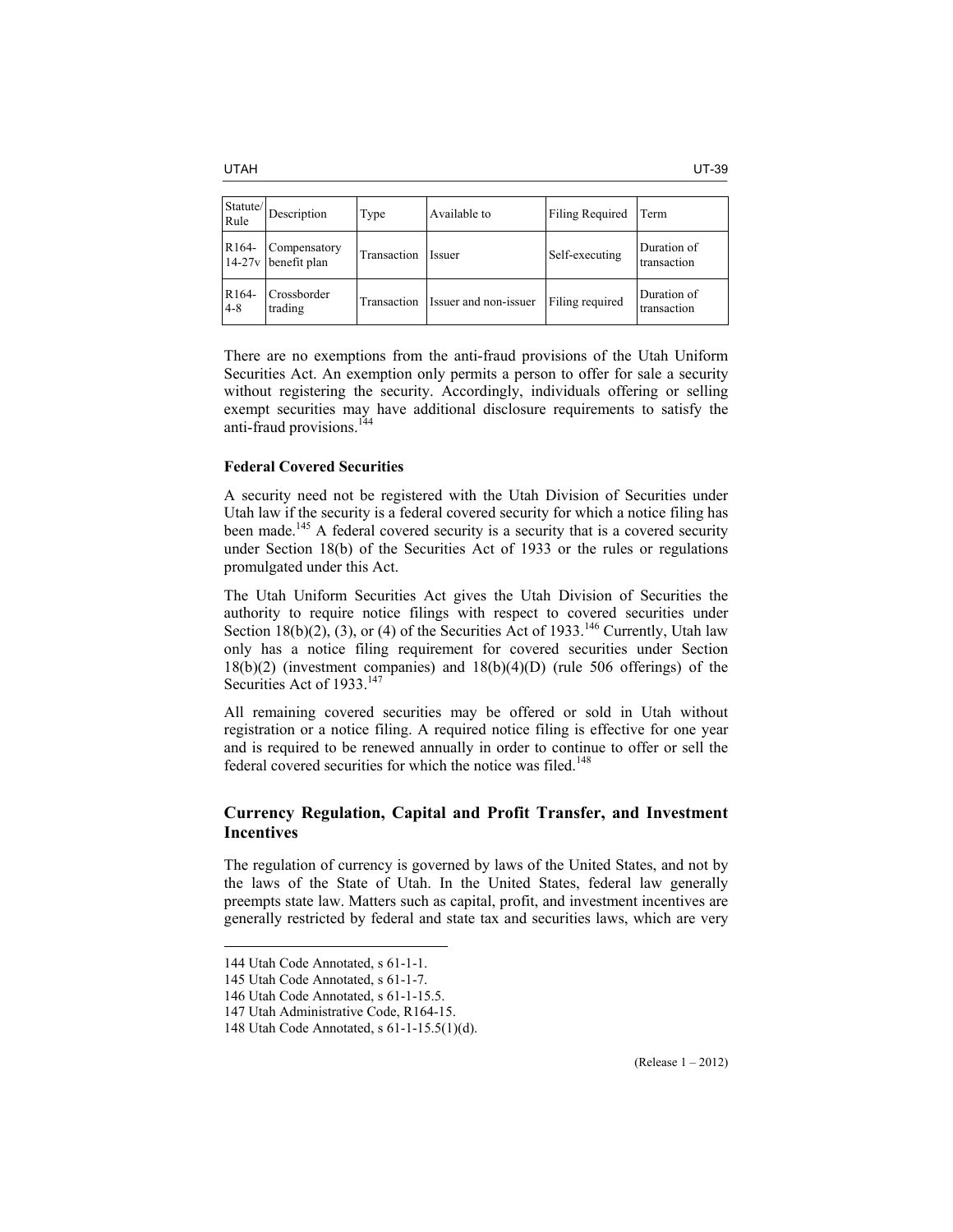| Statute/<br>Rule            | Description                         | Type        | Available to          | Filing Required | Term                       |
|-----------------------------|-------------------------------------|-------------|-----------------------|-----------------|----------------------------|
| R <sub>164</sub> -          | Compensatory<br>14-27y benefit plan | Transaction | <i>Issuer</i>         | Self-executing  | Duration of<br>transaction |
| R <sub>164</sub> -<br>$4-8$ | Crossborder<br>trading              | Transaction | Issuer and non-issuer | Filing required | Duration of<br>transaction |

There are no exemptions from the anti-fraud provisions of the Utah Uniform Securities Act. An exemption only permits a person to offer for sale a security without registering the security. Accordingly, individuals offering or selling exempt securities may have additional disclosure requirements to satisfy the anti-fraud provisions.<sup>144</sup>

# **Federal Covered Securities**

A security need not be registered with the Utah Division of Securities under Utah law if the security is a federal covered security for which a notice filing has been made.<sup>145</sup> A federal covered security is a security that is a covered security under Section 18(b) of the Securities Act of 1933 or the rules or regulations promulgated under this Act.

The Utah Uniform Securities Act gives the Utah Division of Securities the authority to require notice filings with respect to covered securities under Section 18(b)(2), (3), or (4) of the Securities Act of 1933.<sup>146</sup> Currently, Utah law only has a notice filing requirement for covered securities under Section 18(b)(2) (investment companies) and 18(b)(4)(D) (rule 506 offerings) of the Securities Act of 1933.<sup>147</sup>

All remaining covered securities may be offered or sold in Utah without registration or a notice filing. A required notice filing is effective for one year and is required to be renewed annually in order to continue to offer or sell the federal covered securities for which the notice was filed.<sup>148</sup>

# **Currency Regulation, Capital and Profit Transfer, and Investment Incentives**

The regulation of currency is governed by laws of the United States, and not by the laws of the State of Utah. In the United States, federal law generally preempts state law. Matters such as capital, profit, and investment incentives are generally restricted by federal and state tax and securities laws, which are very

<sup>144</sup> Utah Code Annotated, s 61-1-1.

<sup>145</sup> Utah Code Annotated, s 61-1-7.

<sup>146</sup> Utah Code Annotated, s 61-1-15.5.

<sup>147</sup> Utah Administrative Code, R164-15.

<sup>148</sup> Utah Code Annotated, s 61-1-15.5(1)(d).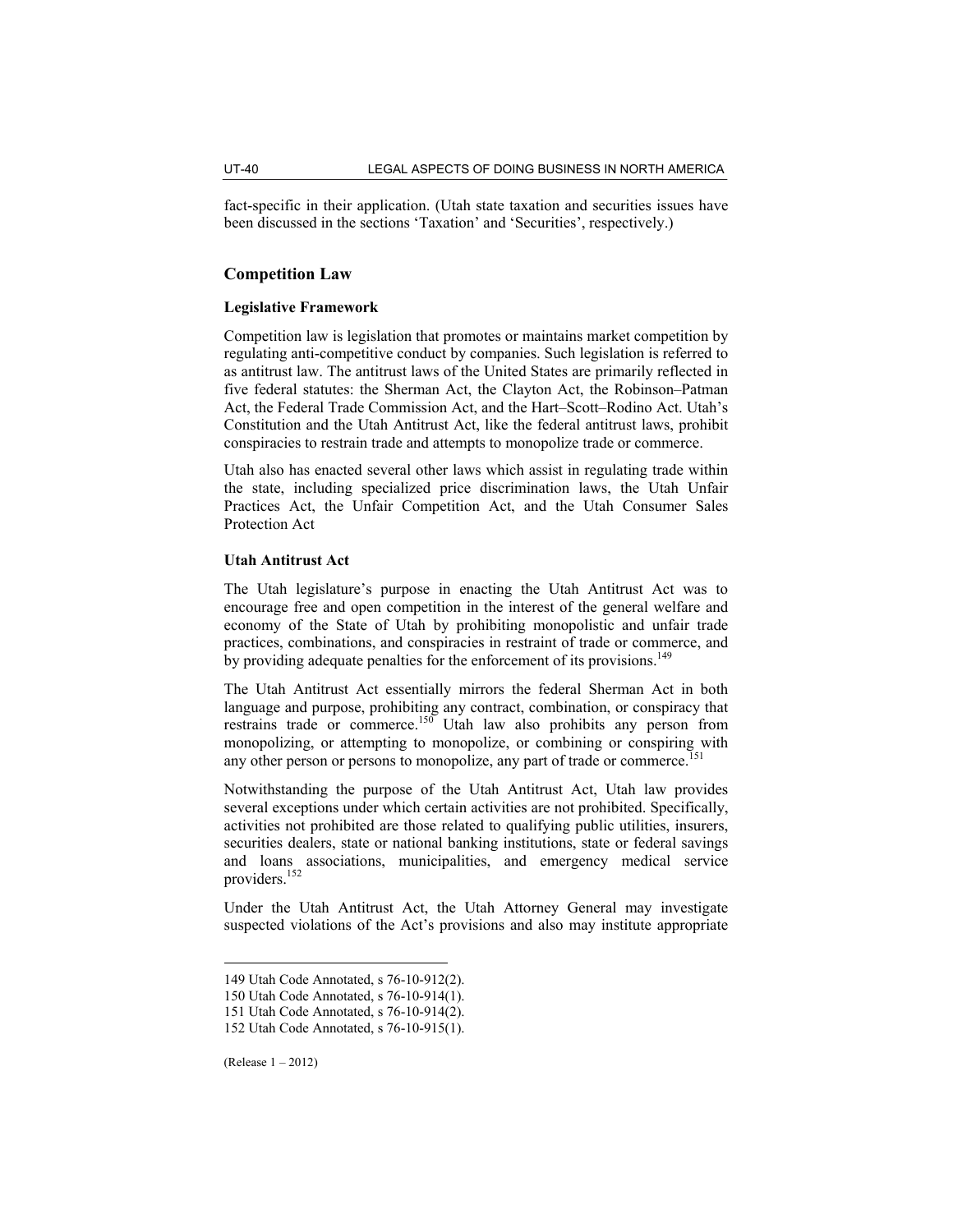fact-specific in their application. (Utah state taxation and securities issues have been discussed in the sections 'Taxation' and 'Securities', respectively.)

# **Competition Law**

# **Legislative Framework**

Competition law is legislation that promotes or maintains market competition by regulating anti-competitive conduct by companies. Such legislation is referred to as antitrust law. The antitrust laws of the United States are primarily reflected in five federal statutes: the Sherman Act, the Clayton Act, the Robinson–Patman Act, the Federal Trade Commission Act, and the Hart–Scott–Rodino Act. Utah's Constitution and the Utah Antitrust Act, like the federal antitrust laws, prohibit conspiracies to restrain trade and attempts to monopolize trade or commerce.

Utah also has enacted several other laws which assist in regulating trade within the state, including specialized price discrimination laws, the Utah Unfair Practices Act, the Unfair Competition Act, and the Utah Consumer Sales Protection Act

#### **Utah Antitrust Act**

The Utah legislature's purpose in enacting the Utah Antitrust Act was to encourage free and open competition in the interest of the general welfare and economy of the State of Utah by prohibiting monopolistic and unfair trade practices, combinations, and conspiracies in restraint of trade or commerce, and by providing adequate penalties for the enforcement of its provisions.<sup>149</sup>

The Utah Antitrust Act essentially mirrors the federal Sherman Act in both language and purpose, prohibiting any contract, combination, or conspiracy that restrains trade or commerce.<sup>150</sup> Utah law also prohibits any person from monopolizing, or attempting to monopolize, or combining or conspiring with any other person or persons to monopolize, any part of trade or commerce.<sup>151</sup>

Notwithstanding the purpose of the Utah Antitrust Act, Utah law provides several exceptions under which certain activities are not prohibited. Specifically, activities not prohibited are those related to qualifying public utilities, insurers, securities dealers, state or national banking institutions, state or federal savings and loans associations, municipalities, and emergency medical service providers.<sup>152</sup>

Under the Utah Antitrust Act, the Utah Attorney General may investigate suspected violations of the Act's provisions and also may institute appropriate

<sup>149</sup> Utah Code Annotated, s 76-10-912(2).

<sup>150</sup> Utah Code Annotated, s 76-10-914(1).

<sup>151</sup> Utah Code Annotated, s 76-10-914(2).

<sup>152</sup> Utah Code Annotated, s 76-10-915(1).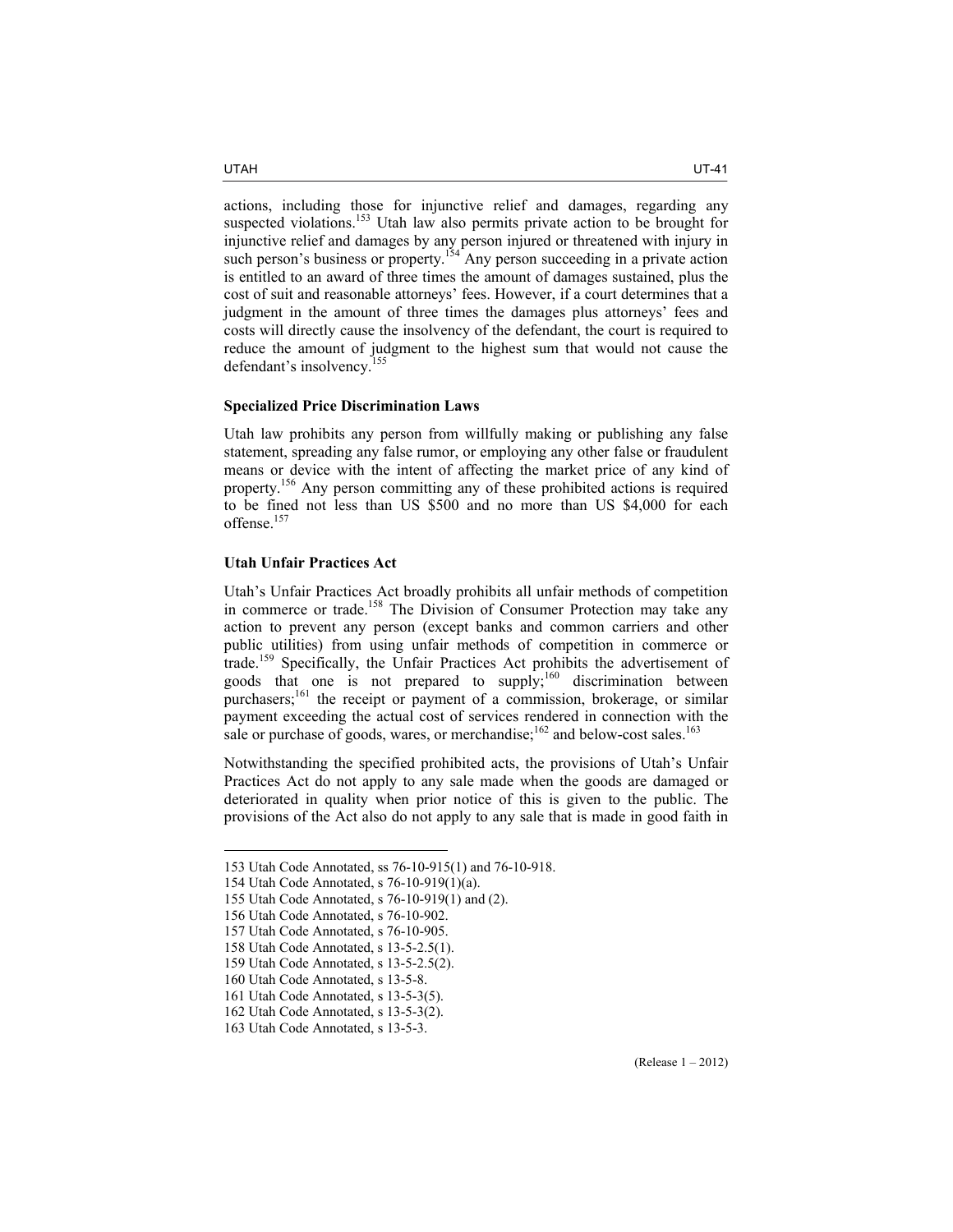actions, including those for injunctive relief and damages, regarding any suspected violations.<sup>153</sup> Utah law also permits private action to be brought for injunctive relief and damages by any person injured or threatened with injury in such person's business or property.<sup>154</sup> Any person succeeding in a private action is entitled to an award of three times the amount of damages sustained, plus the cost of suit and reasonable attorneys' fees. However, if a court determines that a judgment in the amount of three times the damages plus attorneys' fees and costs will directly cause the insolvency of the defendant, the court is required to reduce the amount of judgment to the highest sum that would not cause the defendant's insolvency.<sup>155</sup>

#### **Specialized Price Discrimination Laws**

Utah law prohibits any person from willfully making or publishing any false statement, spreading any false rumor, or employing any other false or fraudulent means or device with the intent of affecting the market price of any kind of property.156 Any person committing any of these prohibited actions is required to be fined not less than US \$500 and no more than US \$4,000 for each offense.157

# **Utah Unfair Practices Act**

Utah's Unfair Practices Act broadly prohibits all unfair methods of competition in commerce or trade.<sup>158</sup> The Division of Consumer Protection may take any action to prevent any person (except banks and common carriers and other public utilities) from using unfair methods of competition in commerce or trade.159 Specifically, the Unfair Practices Act prohibits the advertisement of goods that one is not prepared to supply;<sup>160</sup> discrimination between purchasers;<sup>161</sup> the receipt or payment of a commission, brokerage, or similar payment exceeding the actual cost of services rendered in connection with the sale or purchase of goods, wares, or merchandise;<sup>162</sup> and below-cost sales.<sup>163</sup>

Notwithstanding the specified prohibited acts, the provisions of Utah's Unfair Practices Act do not apply to any sale made when the goods are damaged or deteriorated in quality when prior notice of this is given to the public. The provisions of the Act also do not apply to any sale that is made in good faith in

<sup>153</sup> Utah Code Annotated, ss 76-10-915(1) and 76-10-918.

<sup>154</sup> Utah Code Annotated, s 76-10-919(1)(a).

<sup>155</sup> Utah Code Annotated, s 76-10-919(1) and (2).

<sup>156</sup> Utah Code Annotated, s 76-10-902.

<sup>157</sup> Utah Code Annotated, s 76-10-905.

<sup>158</sup> Utah Code Annotated, s 13-5-2.5(1).

<sup>159</sup> Utah Code Annotated, s 13-5-2.5(2).

<sup>160</sup> Utah Code Annotated, s 13-5-8.

<sup>161</sup> Utah Code Annotated, s 13-5-3(5).

<sup>162</sup> Utah Code Annotated, s 13-5-3(2).

<sup>163</sup> Utah Code Annotated, s 13-5-3.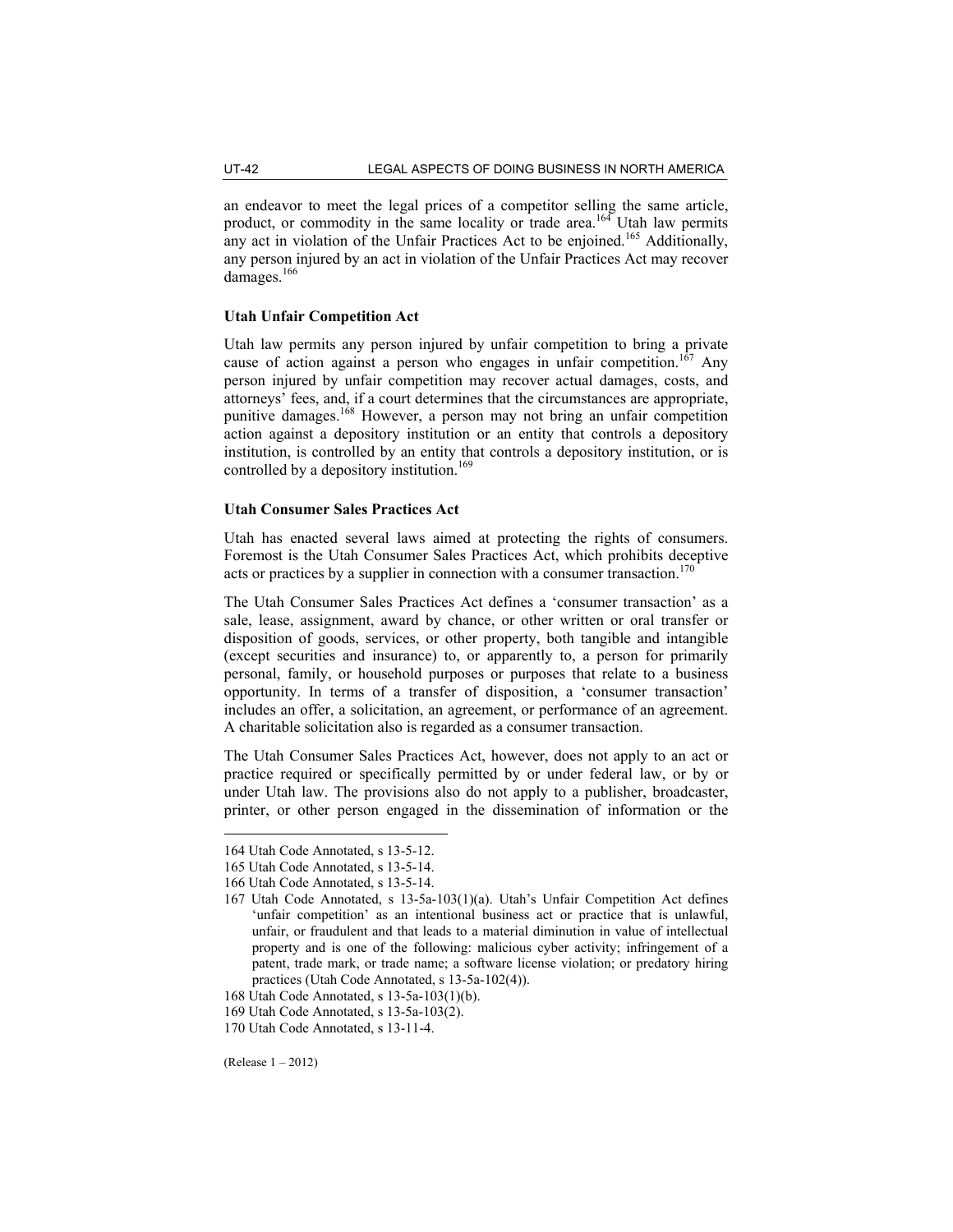an endeavor to meet the legal prices of a competitor selling the same article, product, or commodity in the same locality or trade area.<sup>164</sup> Utah law permits any act in violation of the Unfair Practices Act to be enjoined.<sup>165</sup> Additionally, any person injured by an act in violation of the Unfair Practices Act may recover damages.<sup>166</sup>

# **Utah Unfair Competition Act**

Utah law permits any person injured by unfair competition to bring a private cause of action against a person who engages in unfair competition.<sup>167</sup> Any person injured by unfair competition may recover actual damages, costs, and attorneys' fees, and, if a court determines that the circumstances are appropriate, punitive damages.<sup>168</sup> However, a person may not bring an unfair competition action against a depository institution or an entity that controls a depository institution, is controlled by an entity that controls a depository institution, or is controlled by a depository institution.<sup>169</sup>

# **Utah Consumer Sales Practices Act**

Utah has enacted several laws aimed at protecting the rights of consumers. Foremost is the Utah Consumer Sales Practices Act, which prohibits deceptive acts or practices by a supplier in connection with a consumer transaction.<sup>170</sup>

The Utah Consumer Sales Practices Act defines a 'consumer transaction' as a sale, lease, assignment, award by chance, or other written or oral transfer or disposition of goods, services, or other property, both tangible and intangible (except securities and insurance) to, or apparently to, a person for primarily personal, family, or household purposes or purposes that relate to a business opportunity. In terms of a transfer of disposition, a 'consumer transaction' includes an offer, a solicitation, an agreement, or performance of an agreement. A charitable solicitation also is regarded as a consumer transaction.

The Utah Consumer Sales Practices Act, however, does not apply to an act or practice required or specifically permitted by or under federal law, or by or under Utah law. The provisions also do not apply to a publisher, broadcaster, printer, or other person engaged in the dissemination of information or the

(Release 1 – 2012)

<sup>164</sup> Utah Code Annotated, s 13-5-12.

<sup>165</sup> Utah Code Annotated, s 13-5-14.

<sup>166</sup> Utah Code Annotated, s 13-5-14.

<sup>167</sup> Utah Code Annotated, s 13-5a-103(1)(a). Utah's Unfair Competition Act defines 'unfair competition' as an intentional business act or practice that is unlawful, unfair, or fraudulent and that leads to a material diminution in value of intellectual property and is one of the following: malicious cyber activity; infringement of a patent, trade mark, or trade name; a software license violation; or predatory hiring practices (Utah Code Annotated, s 13-5a-102(4)).

<sup>168</sup> Utah Code Annotated, s 13-5a-103(1)(b).

<sup>169</sup> Utah Code Annotated, s 13-5a-103(2).

<sup>170</sup> Utah Code Annotated, s 13-11-4.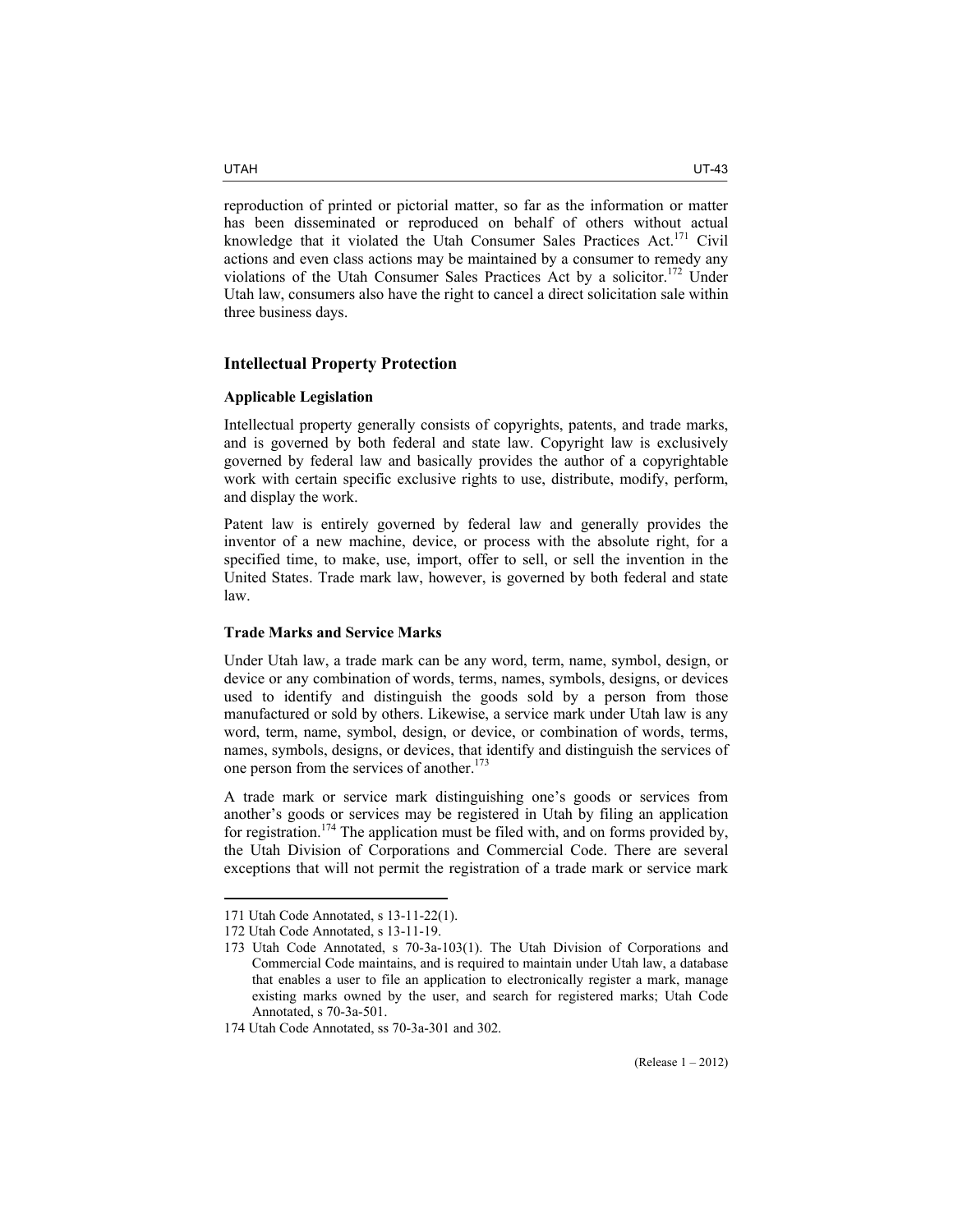reproduction of printed or pictorial matter, so far as the information or matter has been disseminated or reproduced on behalf of others without actual knowledge that it violated the Utah Consumer Sales Practices Act.<sup>171</sup> Civil actions and even class actions may be maintained by a consumer to remedy any violations of the Utah Consumer Sales Practices Act by a solicitor.<sup>172</sup> Under Utah law, consumers also have the right to cancel a direct solicitation sale within three business days.

# **Intellectual Property Protection**

#### **Applicable Legislation**

Intellectual property generally consists of copyrights, patents, and trade marks, and is governed by both federal and state law. Copyright law is exclusively governed by federal law and basically provides the author of a copyrightable work with certain specific exclusive rights to use, distribute, modify, perform, and display the work.

Patent law is entirely governed by federal law and generally provides the inventor of a new machine, device, or process with the absolute right, for a specified time, to make, use, import, offer to sell, or sell the invention in the United States. Trade mark law, however, is governed by both federal and state law.

# **Trade Marks and Service Marks**

Under Utah law, a trade mark can be any word, term, name, symbol, design, or device or any combination of words, terms, names, symbols, designs, or devices used to identify and distinguish the goods sold by a person from those manufactured or sold by others. Likewise, a service mark under Utah law is any word, term, name, symbol, design, or device, or combination of words, terms, names, symbols, designs, or devices, that identify and distinguish the services of one person from the services of another.<sup>173</sup>

A trade mark or service mark distinguishing one's goods or services from another's goods or services may be registered in Utah by filing an application for registration.<sup>174</sup> The application must be filed with, and on forms provided by, the Utah Division of Corporations and Commercial Code. There are several exceptions that will not permit the registration of a trade mark or service mark

<sup>171</sup> Utah Code Annotated, s 13-11-22(1).

<sup>172</sup> Utah Code Annotated, s 13-11-19.

<sup>173</sup> Utah Code Annotated, s 70-3a-103(1). The Utah Division of Corporations and Commercial Code maintains, and is required to maintain under Utah law, a database that enables a user to file an application to electronically register a mark, manage existing marks owned by the user, and search for registered marks; Utah Code Annotated, s 70-3a-501.

<sup>174</sup> Utah Code Annotated, ss 70-3a-301 and 302.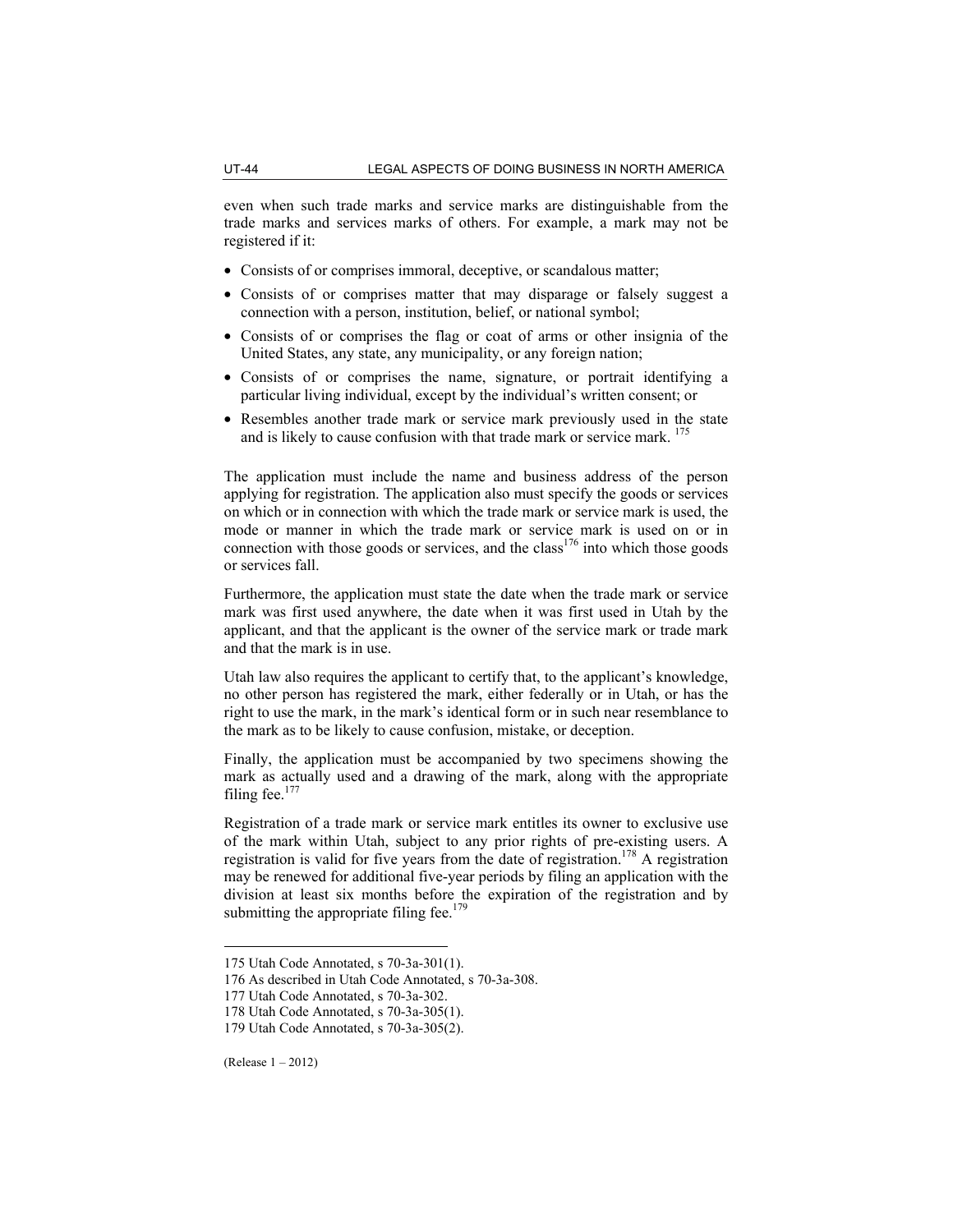even when such trade marks and service marks are distinguishable from the trade marks and services marks of others. For example, a mark may not be registered if it:

- Consists of or comprises immoral, deceptive, or scandalous matter;
- Consists of or comprises matter that may disparage or falsely suggest a connection with a person, institution, belief, or national symbol;
- Consists of or comprises the flag or coat of arms or other insignia of the United States, any state, any municipality, or any foreign nation;
- Consists of or comprises the name, signature, or portrait identifying a particular living individual, except by the individual's written consent; or
- Resembles another trade mark or service mark previously used in the state and is likely to cause confusion with that trade mark or service mark. <sup>175</sup>

The application must include the name and business address of the person applying for registration. The application also must specify the goods or services on which or in connection with which the trade mark or service mark is used, the mode or manner in which the trade mark or service mark is used on or in connection with those goods or services, and the class<sup>176</sup> into which those goods or services fall.

Furthermore, the application must state the date when the trade mark or service mark was first used anywhere, the date when it was first used in Utah by the applicant, and that the applicant is the owner of the service mark or trade mark and that the mark is in use.

Utah law also requires the applicant to certify that, to the applicant's knowledge, no other person has registered the mark, either federally or in Utah, or has the right to use the mark, in the mark's identical form or in such near resemblance to the mark as to be likely to cause confusion, mistake, or deception.

Finally, the application must be accompanied by two specimens showing the mark as actually used and a drawing of the mark, along with the appropriate filing fee. $177$ 

Registration of a trade mark or service mark entitles its owner to exclusive use of the mark within Utah, subject to any prior rights of pre-existing users. A registration is valid for five years from the date of registration.<sup>178</sup> A registration may be renewed for additional five-year periods by filing an application with the division at least six months before the expiration of the registration and by submitting the appropriate filing fee.<sup>179</sup>

<sup>175</sup> Utah Code Annotated, s 70-3a-301(1).

<sup>176</sup> As described in Utah Code Annotated, s 70-3a-308.

<sup>177</sup> Utah Code Annotated, s 70-3a-302.

<sup>178</sup> Utah Code Annotated, s 70-3a-305(1).

<sup>179</sup> Utah Code Annotated, s 70-3a-305(2).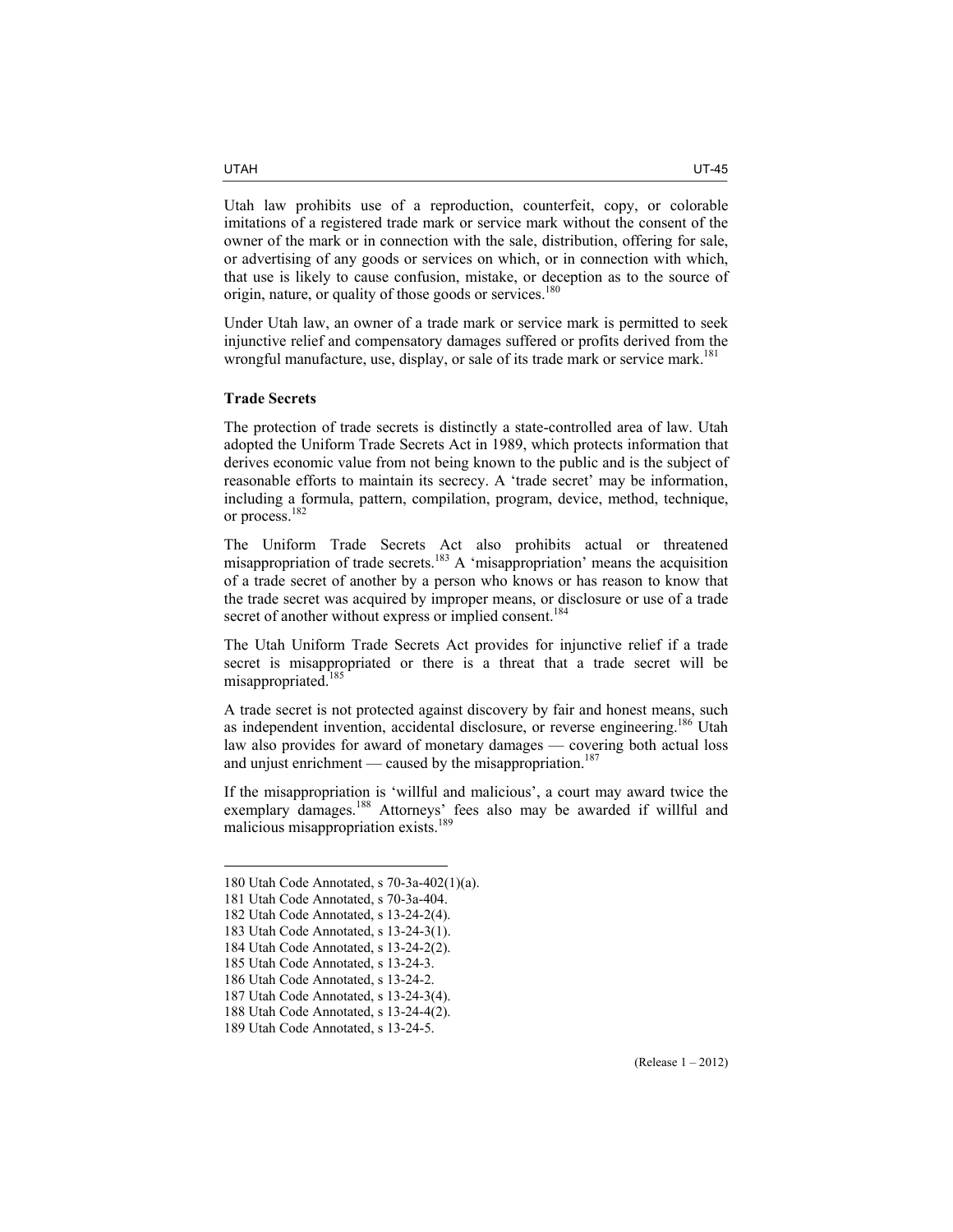Utah law prohibits use of a reproduction, counterfeit, copy, or colorable imitations of a registered trade mark or service mark without the consent of the owner of the mark or in connection with the sale, distribution, offering for sale, or advertising of any goods or services on which, or in connection with which, that use is likely to cause confusion, mistake, or deception as to the source of origin, nature, or quality of those goods or services.<sup>180</sup>

Under Utah law, an owner of a trade mark or service mark is permitted to seek injunctive relief and compensatory damages suffered or profits derived from the wrongful manufacture, use, display, or sale of its trade mark or service mark.<sup>181</sup>

# **Trade Secrets**

The protection of trade secrets is distinctly a state-controlled area of law. Utah adopted the Uniform Trade Secrets Act in 1989, which protects information that derives economic value from not being known to the public and is the subject of reasonable efforts to maintain its secrecy. A 'trade secret' may be information, including a formula, pattern, compilation, program, device, method, technique, or process.182

The Uniform Trade Secrets Act also prohibits actual or threatened misappropriation of trade secrets.<sup>183</sup> A 'misappropriation' means the acquisition of a trade secret of another by a person who knows or has reason to know that the trade secret was acquired by improper means, or disclosure or use of a trade secret of another without express or implied consent.<sup>184</sup>

The Utah Uniform Trade Secrets Act provides for injunctive relief if a trade secret is misappropriated or there is a threat that a trade secret will be misappropriated.<sup>185</sup>

A trade secret is not protected against discovery by fair and honest means, such as independent invention, accidental disclosure, or reverse engineering.<sup>186</sup> Utah law also provides for award of monetary damages — covering both actual loss and unjust enrichment — caused by the misappropriation.<sup>187</sup>

If the misappropriation is 'willful and malicious', a court may award twice the exemplary damages.<sup>188</sup> Attorneys' fees also may be awarded if willful and malicious misappropriation exists.<sup>189</sup>

<sup>180</sup> Utah Code Annotated, s 70-3a-402(1)(a).

<sup>181</sup> Utah Code Annotated, s 70-3a-404.

<sup>182</sup> Utah Code Annotated, s 13-24-2(4).

<sup>183</sup> Utah Code Annotated, s 13-24-3(1).

<sup>184</sup> Utah Code Annotated, s 13-24-2(2).

<sup>185</sup> Utah Code Annotated, s 13-24-3.

<sup>186</sup> Utah Code Annotated, s 13-24-2.

<sup>187</sup> Utah Code Annotated, s 13-24-3(4).

<sup>188</sup> Utah Code Annotated, s 13-24-4(2).

<sup>189</sup> Utah Code Annotated, s 13-24-5.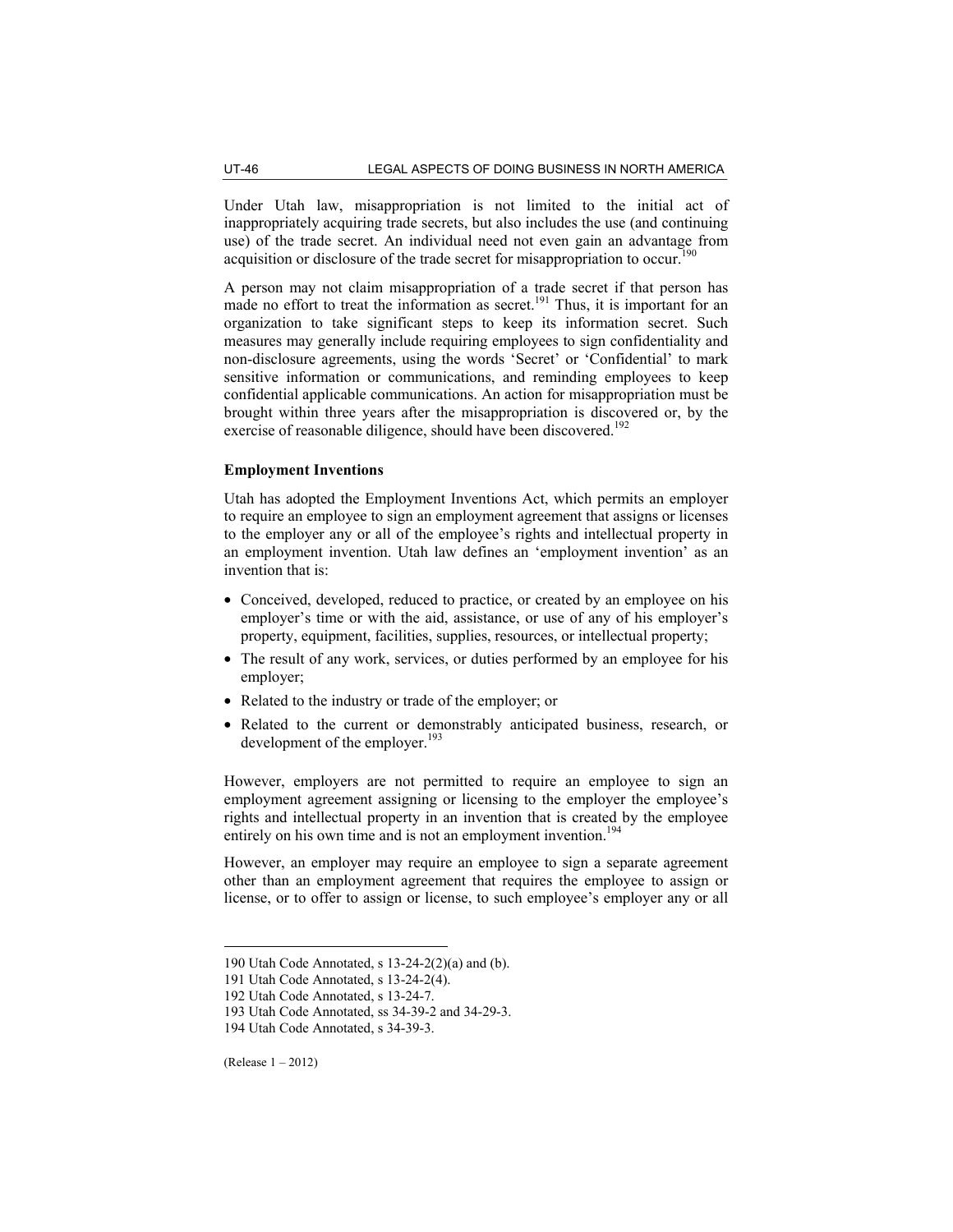Under Utah law, misappropriation is not limited to the initial act of inappropriately acquiring trade secrets, but also includes the use (and continuing use) of the trade secret. An individual need not even gain an advantage from acquisition or disclosure of the trade secret for misappropriation to occur.<sup>190</sup>

A person may not claim misappropriation of a trade secret if that person has made no effort to treat the information as secret.<sup>191</sup> Thus, it is important for an organization to take significant steps to keep its information secret. Such measures may generally include requiring employees to sign confidentiality and non-disclosure agreements, using the words 'Secret' or 'Confidential' to mark sensitive information or communications, and reminding employees to keep confidential applicable communications. An action for misappropriation must be brought within three years after the misappropriation is discovered or, by the exercise of reasonable diligence, should have been discovered.<sup>192</sup>

# **Employment Inventions**

Utah has adopted the Employment Inventions Act, which permits an employer to require an employee to sign an employment agreement that assigns or licenses to the employer any or all of the employee's rights and intellectual property in an employment invention. Utah law defines an 'employment invention' as an invention that is:

- Conceived, developed, reduced to practice, or created by an employee on his employer's time or with the aid, assistance, or use of any of his employer's property, equipment, facilities, supplies, resources, or intellectual property;
- The result of any work, services, or duties performed by an employee for his employer;
- Related to the industry or trade of the employer; or
- Related to the current or demonstrably anticipated business, research, or development of the employer.<sup>193</sup>

However, employers are not permitted to require an employee to sign an employment agreement assigning or licensing to the employer the employee's rights and intellectual property in an invention that is created by the employee entirely on his own time and is not an employment invention.<sup>194</sup>

However, an employer may require an employee to sign a separate agreement other than an employment agreement that requires the employee to assign or license, or to offer to assign or license, to such employee's employer any or all

(Release 1 – 2012)

<sup>190</sup> Utah Code Annotated, s 13-24-2(2)(a) and (b).

<sup>191</sup> Utah Code Annotated, s 13-24-2(4).

<sup>192</sup> Utah Code Annotated, s 13-24-7.

<sup>193</sup> Utah Code Annotated, ss 34-39-2 and 34-29-3.

<sup>194</sup> Utah Code Annotated, s 34-39-3.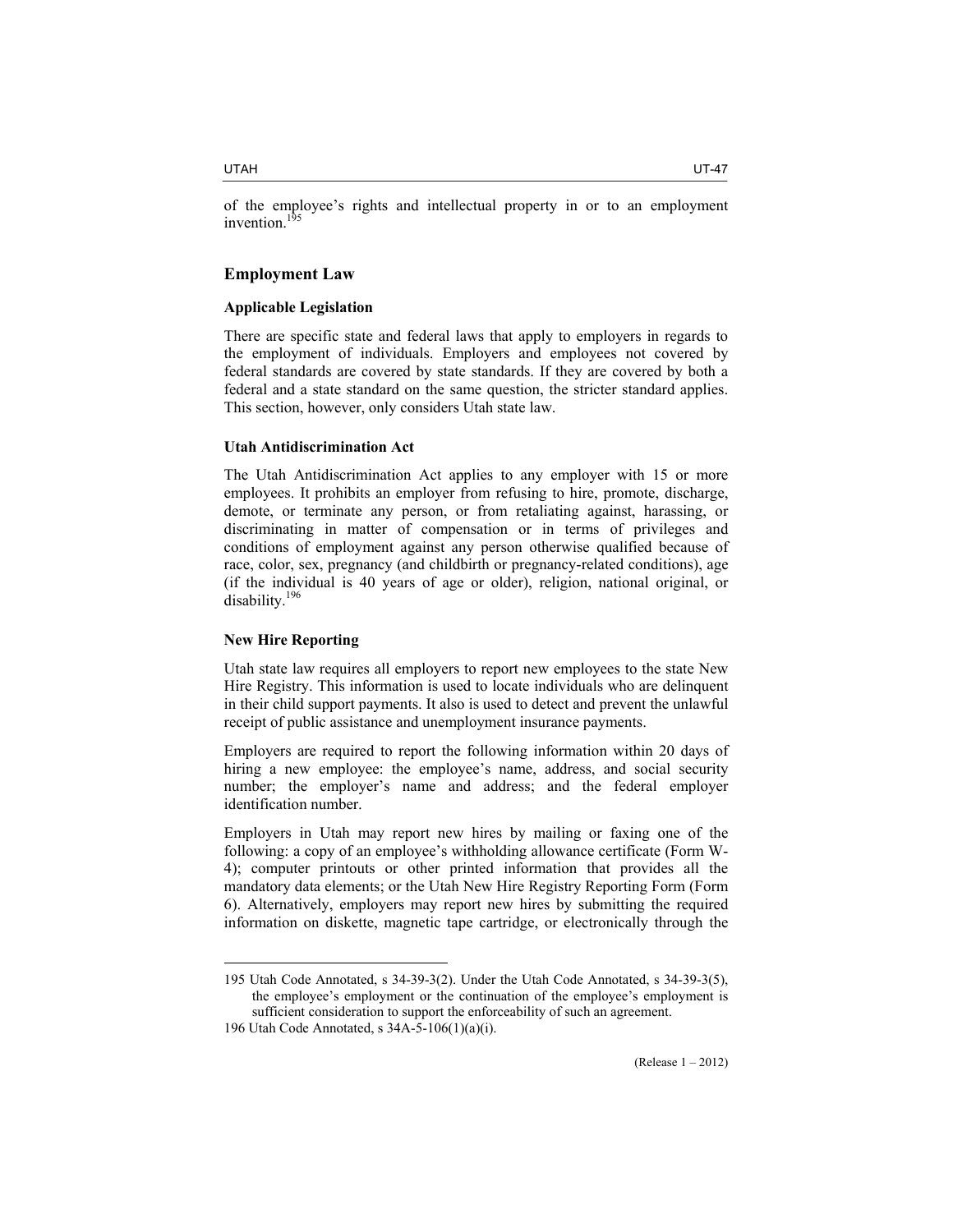of the employee's rights and intellectual property in or to an employment invention.<sup>195</sup>

# **Employment Law**

# **Applicable Legislation**

There are specific state and federal laws that apply to employers in regards to the employment of individuals. Employers and employees not covered by federal standards are covered by state standards. If they are covered by both a federal and a state standard on the same question, the stricter standard applies. This section, however, only considers Utah state law.

#### **Utah Antidiscrimination Act**

The Utah Antidiscrimination Act applies to any employer with 15 or more employees. It prohibits an employer from refusing to hire, promote, discharge, demote, or terminate any person, or from retaliating against, harassing, or discriminating in matter of compensation or in terms of privileges and conditions of employment against any person otherwise qualified because of race, color, sex, pregnancy (and childbirth or pregnancy-related conditions), age (if the individual is 40 years of age or older), religion, national original, or disability.<sup>196</sup>

# **New Hire Reporting**

 $\overline{a}$ 

Utah state law requires all employers to report new employees to the state New Hire Registry. This information is used to locate individuals who are delinquent in their child support payments. It also is used to detect and prevent the unlawful receipt of public assistance and unemployment insurance payments.

Employers are required to report the following information within 20 days of hiring a new employee: the employee's name, address, and social security number; the employer's name and address; and the federal employer identification number.

Employers in Utah may report new hires by mailing or faxing one of the following: a copy of an employee's withholding allowance certificate (Form W-4); computer printouts or other printed information that provides all the mandatory data elements; or the Utah New Hire Registry Reporting Form (Form 6). Alternatively, employers may report new hires by submitting the required information on diskette, magnetic tape cartridge, or electronically through the

<sup>195</sup> Utah Code Annotated, s 34-39-3(2). Under the Utah Code Annotated, s 34-39-3(5), the employee's employment or the continuation of the employee's employment is sufficient consideration to support the enforceability of such an agreement.

<sup>196</sup> Utah Code Annotated, s 34A-5-106(1)(a)(i).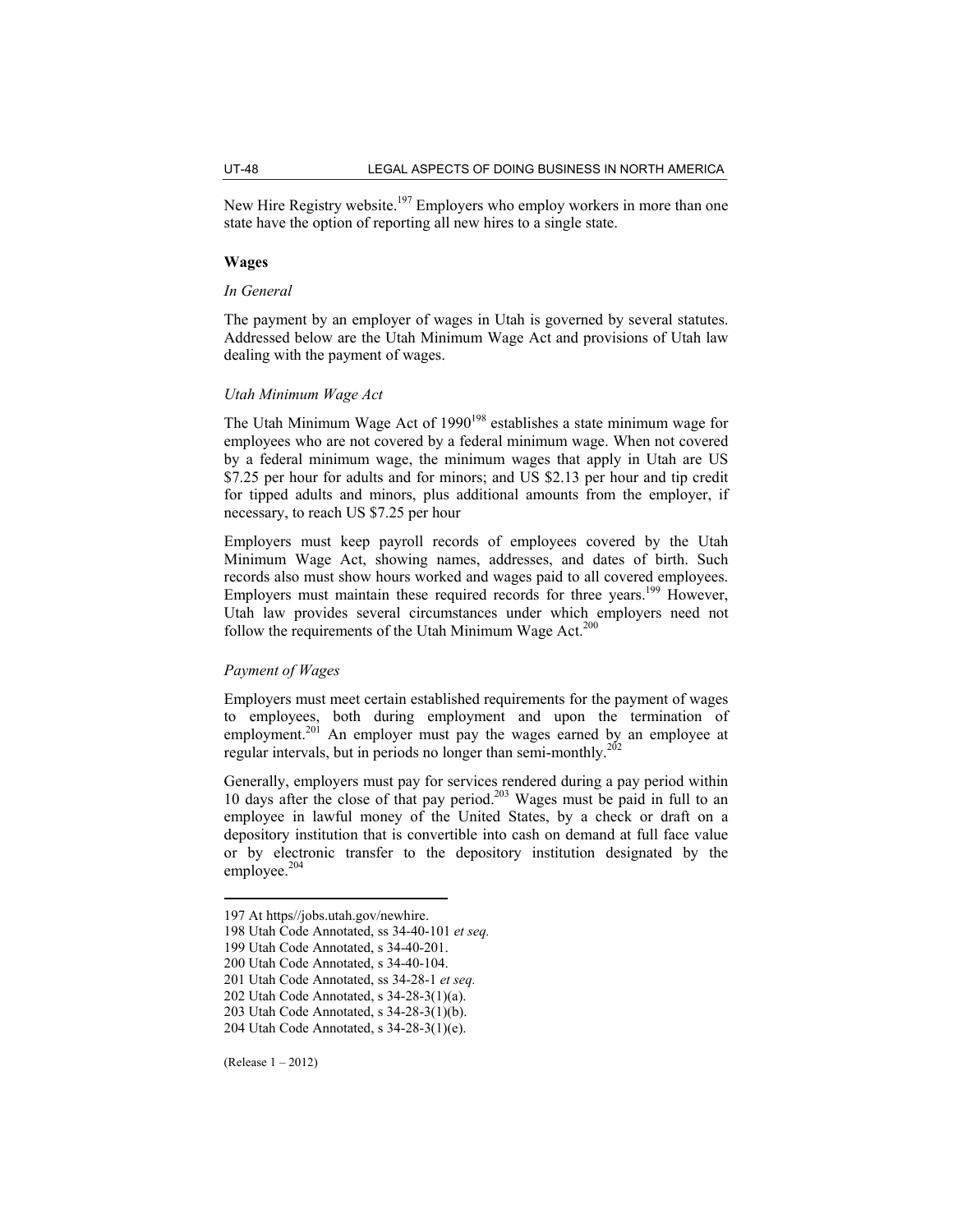New Hire Registry website.<sup>197</sup> Employers who employ workers in more than one state have the option of reporting all new hires to a single state.

#### **Wages**

# *In General*

The payment by an employer of wages in Utah is governed by several statutes. Addressed below are the Utah Minimum Wage Act and provisions of Utah law dealing with the payment of wages.

# *Utah Minimum Wage Act*

The Utah Minimum Wage Act of 1990<sup>198</sup> establishes a state minimum wage for employees who are not covered by a federal minimum wage. When not covered by a federal minimum wage, the minimum wages that apply in Utah are US \$7.25 per hour for adults and for minors; and US \$2.13 per hour and tip credit for tipped adults and minors, plus additional amounts from the employer, if necessary, to reach US \$7.25 per hour

Employers must keep payroll records of employees covered by the Utah Minimum Wage Act, showing names, addresses, and dates of birth. Such records also must show hours worked and wages paid to all covered employees. Employers must maintain these required records for three years.<sup>199</sup> However, Utah law provides several circumstances under which employers need not follow the requirements of the Utah Minimum Wage Act. $200$ 

# *Payment of Wages*

Employers must meet certain established requirements for the payment of wages to employees, both during employment and upon the termination of employment.<sup>201</sup> An employer must pay the wages earned by an employee at regular intervals, but in periods no longer than semi-monthly.<sup>202</sup>

Generally, employers must pay for services rendered during a pay period within 10 days after the close of that pay period.<sup>203</sup> Wages must be paid in full to an employee in lawful money of the United States, by a check or draft on a depository institution that is convertible into cash on demand at full face value or by electronic transfer to the depository institution designated by the employee.<sup>204</sup>

(Release 1 – 2012)

<sup>197</sup> At https//jobs.utah.gov/newhire.

<sup>198</sup> Utah Code Annotated, ss 34-40-101 *et seq.*

<sup>199</sup> Utah Code Annotated, s 34-40-201.

<sup>200</sup> Utah Code Annotated, s 34-40-104.

<sup>201</sup> Utah Code Annotated, ss 34-28-1 *et seq.*

<sup>202</sup> Utah Code Annotated, s 34-28-3(1)(a).

<sup>203</sup> Utah Code Annotated, s 34-28-3(1)(b).

<sup>204</sup> Utah Code Annotated, s 34-28-3(1)(e).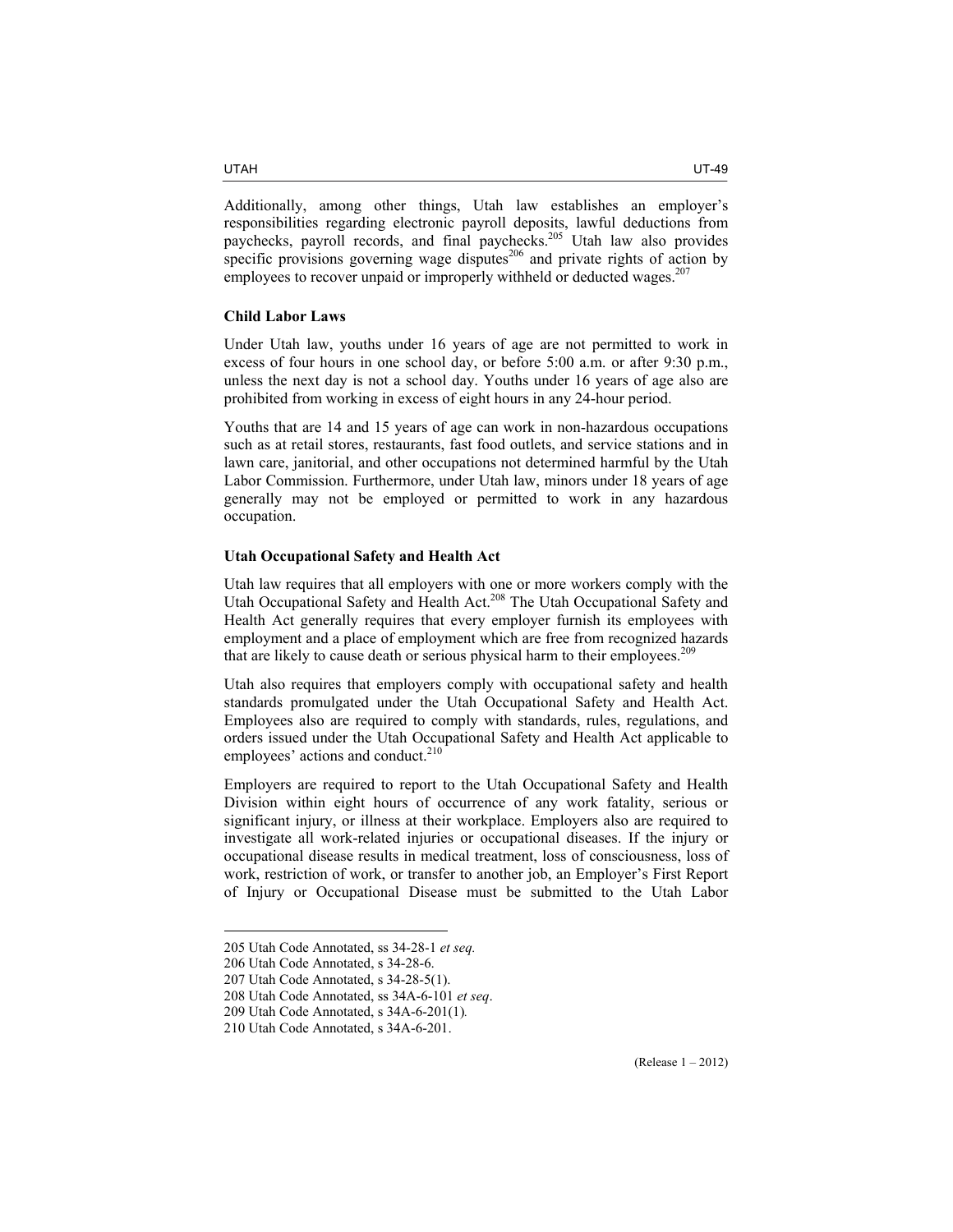Additionally, among other things, Utah law establishes an employer's responsibilities regarding electronic payroll deposits, lawful deductions from paychecks, payroll records, and final paychecks.<sup>205</sup> Utah law also provides specific provisions governing wage disputes $^{206}$  and private rights of action by employees to recover unpaid or improperly withheld or deducted wages. $207$ 

# **Child Labor Laws**

Under Utah law, youths under 16 years of age are not permitted to work in excess of four hours in one school day, or before 5:00 a.m. or after 9:30 p.m., unless the next day is not a school day. Youths under 16 years of age also are prohibited from working in excess of eight hours in any 24-hour period.

Youths that are 14 and 15 years of age can work in non-hazardous occupations such as at retail stores, restaurants, fast food outlets, and service stations and in lawn care, janitorial, and other occupations not determined harmful by the Utah Labor Commission. Furthermore, under Utah law, minors under 18 years of age generally may not be employed or permitted to work in any hazardous occupation.

#### **Utah Occupational Safety and Health Act**

Utah law requires that all employers with one or more workers comply with the Utah Occupational Safety and Health Act.<sup>208</sup> The Utah Occupational Safety and Health Act generally requires that every employer furnish its employees with employment and a place of employment which are free from recognized hazards that are likely to cause death or serious physical harm to their employees.<sup>209</sup>

Utah also requires that employers comply with occupational safety and health standards promulgated under the Utah Occupational Safety and Health Act. Employees also are required to comply with standards, rules, regulations, and orders issued under the Utah Occupational Safety and Health Act applicable to employees' actions and conduct.<sup>210</sup>

Employers are required to report to the Utah Occupational Safety and Health Division within eight hours of occurrence of any work fatality, serious or significant injury, or illness at their workplace. Employers also are required to investigate all work-related injuries or occupational diseases. If the injury or occupational disease results in medical treatment, loss of consciousness, loss of work, restriction of work, or transfer to another job, an Employer's First Report of Injury or Occupational Disease must be submitted to the Utah Labor

<sup>205</sup> Utah Code Annotated, ss 34-28-1 *et seq.*

<sup>206</sup> Utah Code Annotated, s 34-28-6.

<sup>207</sup> Utah Code Annotated, s 34-28-5(1).

<sup>208</sup> Utah Code Annotated, ss 34A-6-101 *et seq*.

<sup>209</sup> Utah Code Annotated, s 34A-6-201(1)*.* 

<sup>210</sup> Utah Code Annotated, s 34A-6-201.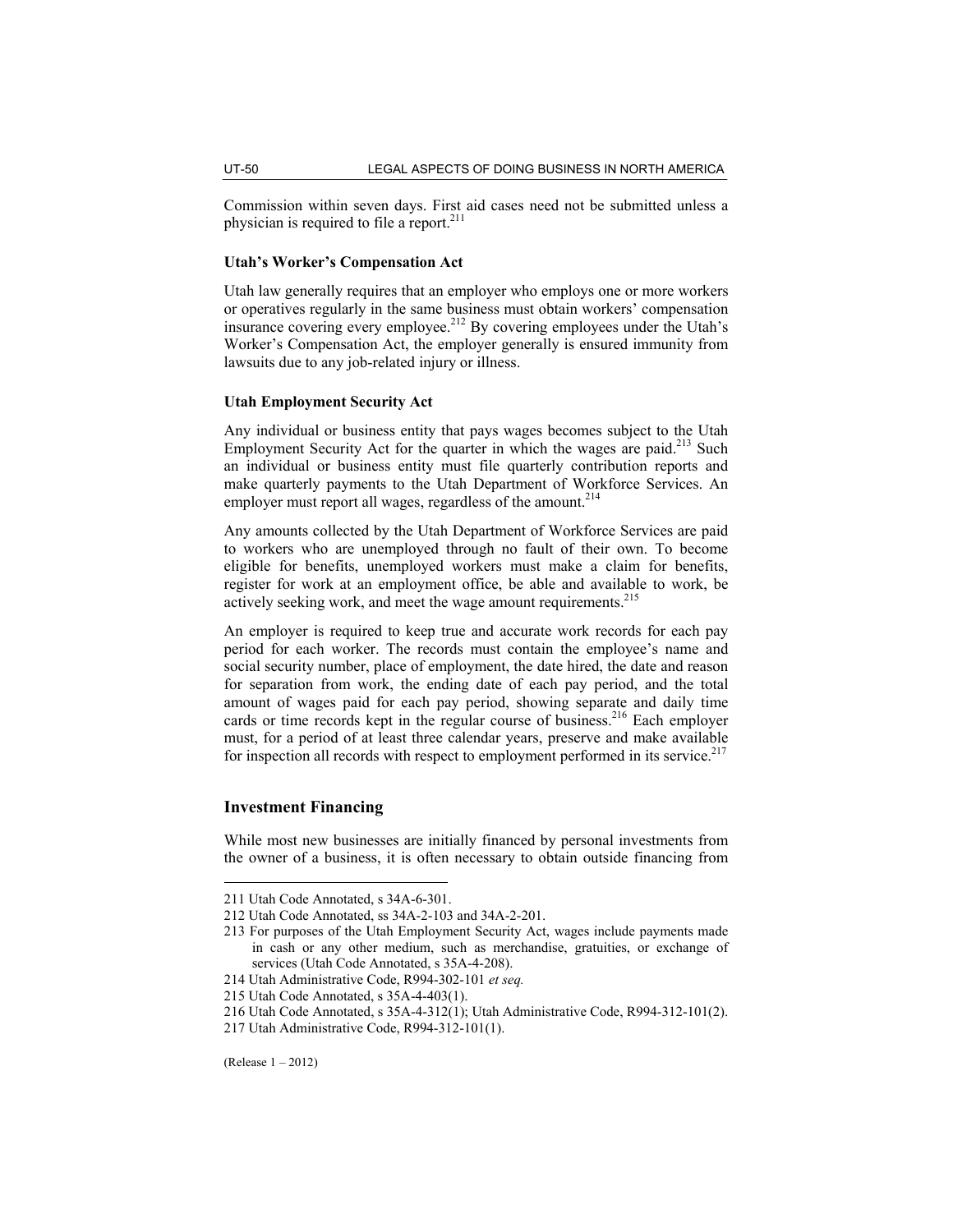Commission within seven days. First aid cases need not be submitted unless a physician is required to file a report.<sup>211</sup>

# **Utah's Worker's Compensation Act**

Utah law generally requires that an employer who employs one or more workers or operatives regularly in the same business must obtain workers' compensation insurance covering every employee.<sup>212</sup> By covering employees under the Utah's Worker's Compensation Act, the employer generally is ensured immunity from lawsuits due to any job-related injury or illness.

# **Utah Employment Security Act**

Any individual or business entity that pays wages becomes subject to the Utah Employment Security Act for the quarter in which the wages are paid.<sup>213</sup> Such an individual or business entity must file quarterly contribution reports and make quarterly payments to the Utah Department of Workforce Services. An employer must report all wages, regardless of the amount.<sup>214</sup>

Any amounts collected by the Utah Department of Workforce Services are paid to workers who are unemployed through no fault of their own. To become eligible for benefits, unemployed workers must make a claim for benefits, register for work at an employment office, be able and available to work, be actively seeking work, and meet the wage amount requirements.<sup>215</sup>

An employer is required to keep true and accurate work records for each pay period for each worker. The records must contain the employee's name and social security number, place of employment, the date hired, the date and reason for separation from work, the ending date of each pay period, and the total amount of wages paid for each pay period, showing separate and daily time cards or time records kept in the regular course of business.<sup>216</sup> Each employer must, for a period of at least three calendar years, preserve and make available for inspection all records with respect to employment performed in its service. $217$ 

# **Investment Financing**

While most new businesses are initially financed by personal investments from the owner of a business, it is often necessary to obtain outside financing from

<sup>211</sup> Utah Code Annotated, s 34A-6-301.

<sup>212</sup> Utah Code Annotated, ss 34A-2-103 and 34A-2-201.

<sup>213</sup> For purposes of the Utah Employment Security Act, wages include payments made in cash or any other medium, such as merchandise, gratuities, or exchange of services (Utah Code Annotated, s 35A-4-208).

<sup>214</sup> Utah Administrative Code, R994-302-101 *et seq.*

<sup>215</sup> Utah Code Annotated, s 35A-4-403(1).

<sup>216</sup> Utah Code Annotated, s 35A-4-312(1); Utah Administrative Code, R994-312-101(2).

<sup>217</sup> Utah Administrative Code, R994-312-101(1).